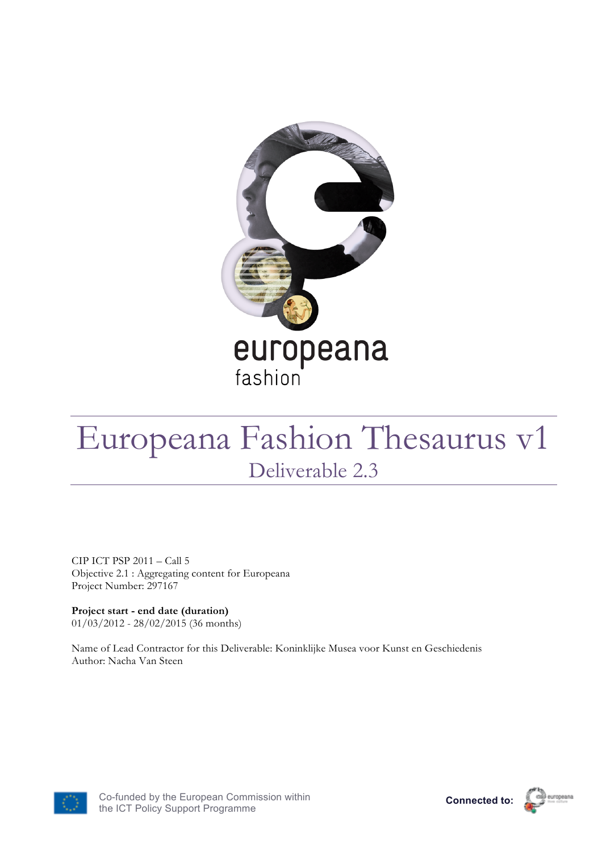

# Europeana Fashion Thesaurus v1 Deliverable 2.3

CIP ICT PSP 2011 – Call 5 Objective 2.1 : Aggregating content for Europeana Project Number: 297167

**Project start - end date (duration)** 01/03/2012 - 28/02/2015 (36 months)

Name of Lead Contractor for this Deliverable: Koninklijke Musea voor Kunst en Geschiedenis Author: Nacha Van Steen





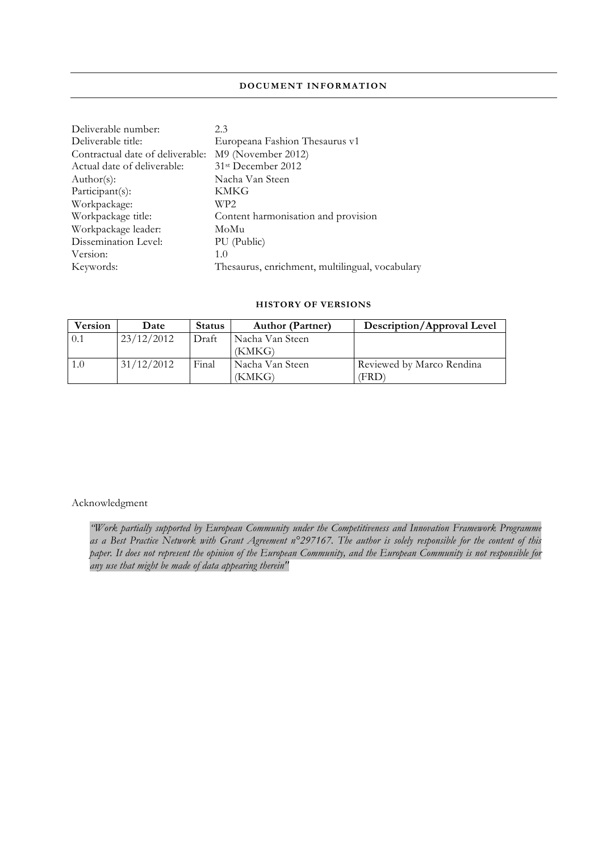#### **DOCUMENT INFORMATION**

| 2.3                                                    |
|--------------------------------------------------------|
| Europeana Fashion Thesaurus v1                         |
| M9 (November 2012)<br>Contractual date of deliverable: |
| 31 <sup>st</sup> December 2012                         |
| Nacha Van Steen                                        |
| KMKG                                                   |
| WP2                                                    |
| Content harmonisation and provision                    |
| MoMu                                                   |
| PU (Public)                                            |
| 1.0                                                    |
| Thesaurus, enrichment, multilingual, vocabulary        |
|                                                        |

### **HISTORY OF VERSIONS**

| <b>Version</b> | Date       | <b>Status</b> | <b>Author (Partner)</b> | Description/Approval Level |
|----------------|------------|---------------|-------------------------|----------------------------|
| 0.1            | 23/12/2012 | Draft         | Nacha Van Steen         |                            |
|                |            |               | (KMKG)                  |                            |
|                | 31/12/2012 | Final         | Nacha Van Steen         | Reviewed by Marco Rendina  |
|                |            |               | (KMKG)                  | FRD)                       |

#### Acknowledgment

*"Work partially supported by European Community under the Competitiveness and Innovation Framework Programme as a Best Practice Network with Grant Agreement n°297167. The author is solely responsible for the content of this paper. It does not represent the opinion of the European Community, and the European Community is not responsible for any use that might be made of data appearing therein"*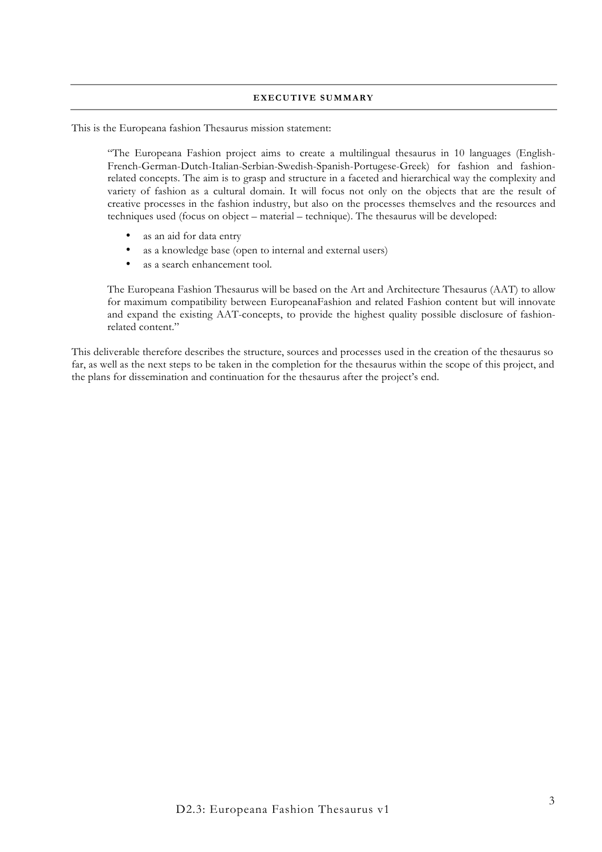#### **EXECUTIVE SUMMARY**

This is the Europeana fashion Thesaurus mission statement:

"The Europeana Fashion project aims to create a multilingual thesaurus in 10 languages (English-French-German-Dutch-Italian-Serbian-Swedish-Spanish-Portugese-Greek) for fashion and fashionrelated concepts. The aim is to grasp and structure in a faceted and hierarchical way the complexity and variety of fashion as a cultural domain. It will focus not only on the objects that are the result of creative processes in the fashion industry, but also on the processes themselves and the resources and techniques used (focus on object – material – technique). The thesaurus will be developed:

- as an aid for data entry
- as a knowledge base (open to internal and external users)
- as a search enhancement tool.

The Europeana Fashion Thesaurus will be based on the Art and Architecture Thesaurus (AAT) to allow for maximum compatibility between EuropeanaFashion and related Fashion content but will innovate and expand the existing AAT-concepts, to provide the highest quality possible disclosure of fashionrelated content."

This deliverable therefore describes the structure, sources and processes used in the creation of the thesaurus so far, as well as the next steps to be taken in the completion for the thesaurus within the scope of this project, and the plans for dissemination and continuation for the thesaurus after the project's end.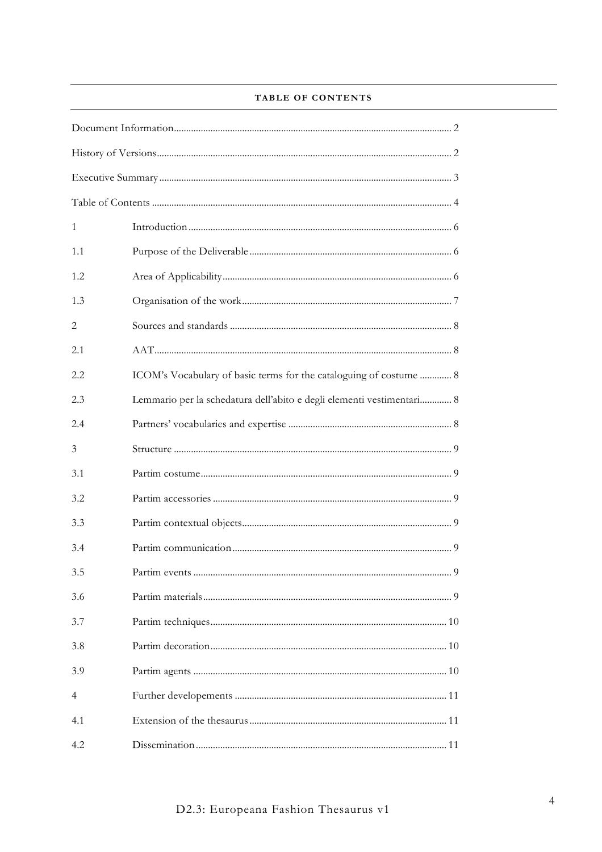# TABLE OF CONTENTS

| $\mathbf{1}$ |                                                                       |  |  |  |
|--------------|-----------------------------------------------------------------------|--|--|--|
| 1.1          |                                                                       |  |  |  |
| 1.2          |                                                                       |  |  |  |
| 1.3          |                                                                       |  |  |  |
| 2            |                                                                       |  |  |  |
| 2.1          |                                                                       |  |  |  |
| 2.2          | ICOM's Vocabulary of basic terms for the cataloguing of costume  8    |  |  |  |
| 2.3          | Lemmario per la schedatura dell'abito e degli elementi vestimentari 8 |  |  |  |
| 2.4          |                                                                       |  |  |  |
| 3            |                                                                       |  |  |  |
| 3.1          |                                                                       |  |  |  |
| 3.2          |                                                                       |  |  |  |
| 3.3          |                                                                       |  |  |  |
| 3.4          |                                                                       |  |  |  |
| 3.5          | Partim events                                                         |  |  |  |
| 3.6          |                                                                       |  |  |  |
| 3.7          |                                                                       |  |  |  |
| 3.8          |                                                                       |  |  |  |
| 3.9          |                                                                       |  |  |  |
| 4            |                                                                       |  |  |  |
| 4.1          |                                                                       |  |  |  |
| 4.2          |                                                                       |  |  |  |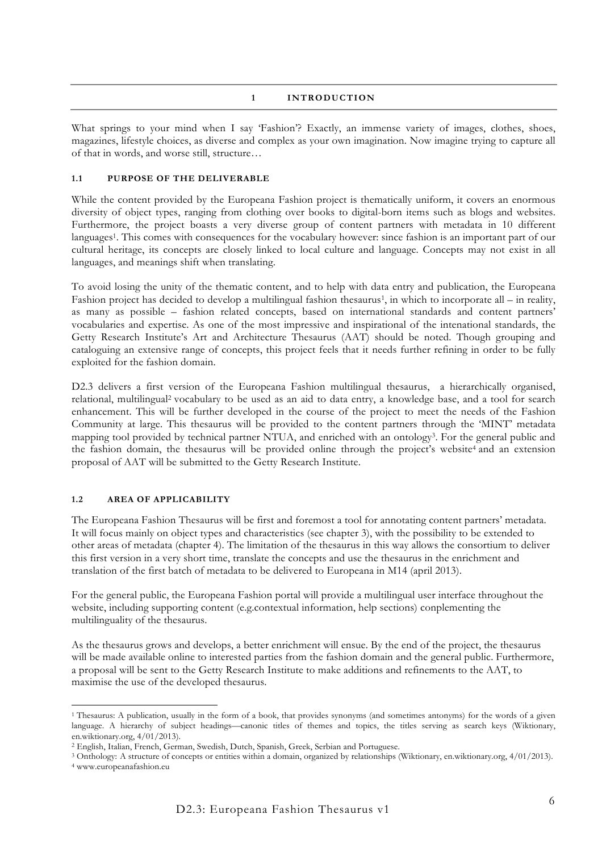### **1 INTRODUCTION**

What springs to your mind when I say 'Fashion'? Exactly, an immense variety of images, clothes, shoes, magazines, lifestyle choices, as diverse and complex as your own imagination. Now imagine trying to capture all of that in words, and worse still, structure…

#### **1.1 PURPOSE OF THE DELIVERABLE**

While the content provided by the Europeana Fashion project is thematically uniform, it covers an enormous diversity of object types, ranging from clothing over books to digital-born items such as blogs and websites. Furthermore, the project boasts a very diverse group of content partners with metadata in 10 different languages1. This comes with consequences for the vocabulary however: since fashion is an important part of our cultural heritage, its concepts are closely linked to local culture and language. Concepts may not exist in all languages, and meanings shift when translating.

To avoid losing the unity of the thematic content, and to help with data entry and publication, the Europeana Fashion project has decided to develop a multilingual fashion thesaurus<sup>1</sup>, in which to incorporate all – in reality, as many as possible – fashion related concepts, based on international standards and content partners' vocabularies and expertise. As one of the most impressive and inspirational of the intenational standards, the Getty Research Institute's Art and Architecture Thesaurus (AAT) should be noted. Though grouping and cataloguing an extensive range of concepts, this project feels that it needs further refining in order to be fully exploited for the fashion domain.

D2.3 delivers a first version of the Europeana Fashion multilingual thesaurus, a hierarchically organised, relational, multilingual2 vocabulary to be used as an aid to data entry, a knowledge base, and a tool for search enhancement. This will be further developed in the course of the project to meet the needs of the Fashion Community at large. This thesaurus will be provided to the content partners through the 'MINT' metadata mapping tool provided by technical partner NTUA, and enriched with an ontology3. For the general public and the fashion domain, the thesaurus will be provided online through the project's website<sup>4</sup> and an extension proposal of AAT will be submitted to the Getty Research Institute.

#### **1.2 AREA OF APPLICABILITY**

The Europeana Fashion Thesaurus will be first and foremost a tool for annotating content partners' metadata. It will focus mainly on object types and characteristics (see chapter 3), with the possibility to be extended to other areas of metadata (chapter 4). The limitation of the thesaurus in this way allows the consortium to deliver this first version in a very short time, translate the concepts and use the thesaurus in the enrichment and translation of the first batch of metadata to be delivered to Europeana in M14 (april 2013).

For the general public, the Europeana Fashion portal will provide a multilingual user interface throughout the website, including supporting content (e.g.contextual information, help sections) conplementing the multilinguality of the thesaurus.

As the thesaurus grows and develops, a better enrichment will ensue. By the end of the project, the thesaurus will be made available online to interested parties from the fashion domain and the general public. Furthermore, a proposal will be sent to the Getty Research Institute to make additions and refinements to the AAT, to maximise the use of the developed thesaurus.

 <sup>1</sup> Thesaurus: A publication, usually in the form of a book, that provides synonyms (and sometimes antonyms) for the words of a given language. A hierarchy of subject headings—canonic titles of themes and topics, the titles serving as search keys (Wiktionary, en.wiktionary.org, 4/01/2013).

<sup>2</sup> English, Italian, French, German, Swedish, Dutch, Spanish, Greek, Serbian and Portuguese.

<sup>3</sup> Onthology: A structure of concepts or entities within a domain, organized by relationships (Wiktionary, en.wiktionary.org, 4/01/2013).

<sup>4</sup> www.europeanafashion.eu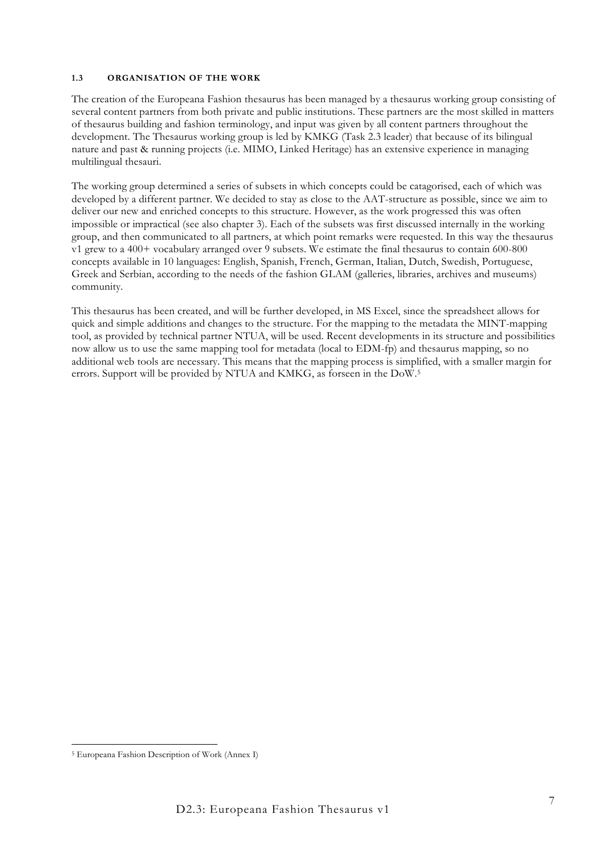#### **1.3 ORGANISATION OF THE WORK**

The creation of the Europeana Fashion thesaurus has been managed by a thesaurus working group consisting of several content partners from both private and public institutions. These partners are the most skilled in matters of thesaurus building and fashion terminology, and input was given by all content partners throughout the development. The Thesaurus working group is led by KMKG (Task 2.3 leader) that because of its bilingual nature and past & running projects (i.e. MIMO, Linked Heritage) has an extensive experience in managing multilingual thesauri.

The working group determined a series of subsets in which concepts could be catagorised, each of which was developed by a different partner. We decided to stay as close to the AAT-structure as possible, since we aim to deliver our new and enriched concepts to this structure. However, as the work progressed this was often impossible or impractical (see also chapter 3). Each of the subsets was first discussed internally in the working group, and then communicated to all partners, at which point remarks were requested. In this way the thesaurus v1 grew to a 400+ vocabulary arranged over 9 subsets. We estimate the final thesaurus to contain 600-800 concepts available in 10 languages: English, Spanish, French, German, Italian, Dutch, Swedish, Portuguese, Greek and Serbian, according to the needs of the fashion GLAM (galleries, libraries, archives and museums) community.

This thesaurus has been created, and will be further developed, in MS Excel, since the spreadsheet allows for quick and simple additions and changes to the structure. For the mapping to the metadata the MINT-mapping tool, as provided by technical partner NTUA, will be used. Recent developments in its structure and possibilities now allow us to use the same mapping tool for metadata (local to EDM-fp) and thesaurus mapping, so no additional web tools are necessary. This means that the mapping process is simplified, with a smaller margin for errors. Support will be provided by NTUA and KMKG, as forseen in the DoW.5

 <sup>5</sup> Europeana Fashion Description of Work (Annex I)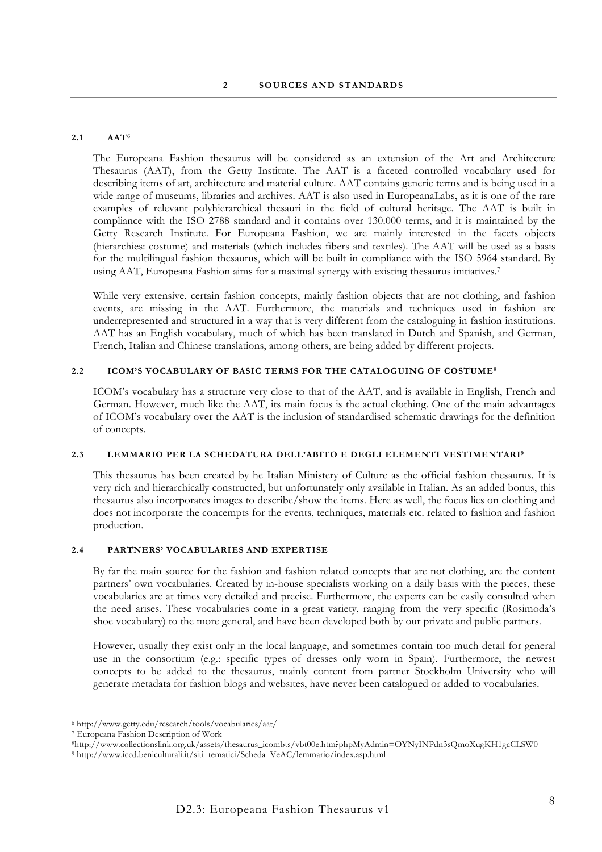#### **2.1 AAT6**

The Europeana Fashion thesaurus will be considered as an extension of the Art and Architecture Thesaurus (AAT), from the Getty Institute. The AAT is a faceted controlled vocabulary used for describing items of art, architecture and material culture. AAT contains generic terms and is being used in a wide range of museums, libraries and archives. AAT is also used in EuropeanaLabs, as it is one of the rare examples of relevant polyhierarchical thesauri in the field of cultural heritage. The AAT is built in compliance with the ISO 2788 standard and it contains over 130.000 terms, and it is maintained by the Getty Research Institute. For Europeana Fashion, we are mainly interested in the facets objects (hierarchies: costume) and materials (which includes fibers and textiles). The AAT will be used as a basis for the multilingual fashion thesaurus, which will be built in compliance with the ISO 5964 standard. By using AAT, Europeana Fashion aims for a maximal synergy with existing thesaurus initiatives.7

While very extensive, certain fashion concepts, mainly fashion objects that are not clothing, and fashion events, are missing in the AAT. Furthermore, the materials and techniques used in fashion are underrepresented and structured in a way that is very different from the cataloguing in fashion institutions. AAT has an English vocabulary, much of which has been translated in Dutch and Spanish, and German, French, Italian and Chinese translations, among others, are being added by different projects.

#### **2.2 ICOM'S VOCABULARY OF BASIC TERMS FOR THE CATALOGUING OF COSTUME8**

ICOM's vocabulary has a structure very close to that of the AAT, and is available in English, French and German. However, much like the AAT, its main focus is the actual clothing. One of the main advantages of ICOM's vocabulary over the AAT is the inclusion of standardised schematic drawings for the definition of concepts.

#### **2.3 LEMMARIO PER LA SCHEDATURA DELL'ABITO E DEGLI ELEMENTI VESTIMENTARI9**

This thesaurus has been created by he Italian Ministery of Culture as the official fashion thesaurus. It is very rich and hierarchically constructed, but unfortunately only available in Italian. As an added bonus, this thesaurus also incorporates images to describe/show the items. Here as well, the focus lies on clothing and does not incorporate the concempts for the events, techniques, materials etc. related to fashion and fashion production.

### **2.4 PARTNERS' VOCABULARIES AND EXPERTISE**

By far the main source for the fashion and fashion related concepts that are not clothing, are the content partners' own vocabularies. Created by in-house specialists working on a daily basis with the pieces, these vocabularies are at times very detailed and precise. Furthermore, the experts can be easily consulted when the need arises. These vocabularies come in a great variety, ranging from the very specific (Rosimoda's shoe vocabulary) to the more general, and have been developed both by our private and public partners.

However, usually they exist only in the local language, and sometimes contain too much detail for general use in the consortium (e.g.: specific types of dresses only worn in Spain). Furthermore, the newest concepts to be added to the thesaurus, mainly content from partner Stockholm University who will generate metadata for fashion blogs and websites, have never been catalogued or added to vocabularies.

 <sup>6</sup> http://www.getty.edu/research/tools/vocabularies/aat/

<sup>7</sup> Europeana Fashion Description of Work

<sup>8</sup>http://www.collectionslink.org.uk/assets/thesaurus\_icombts/vbt00e.htm?phpMyAdmin=OYNyINPdn3sQmoXugKH1gcCLSW0 <sup>9</sup> http://www.iccd.beniculturali.it/siti\_tematici/Scheda\_VeAC/lemmario/index.asp.html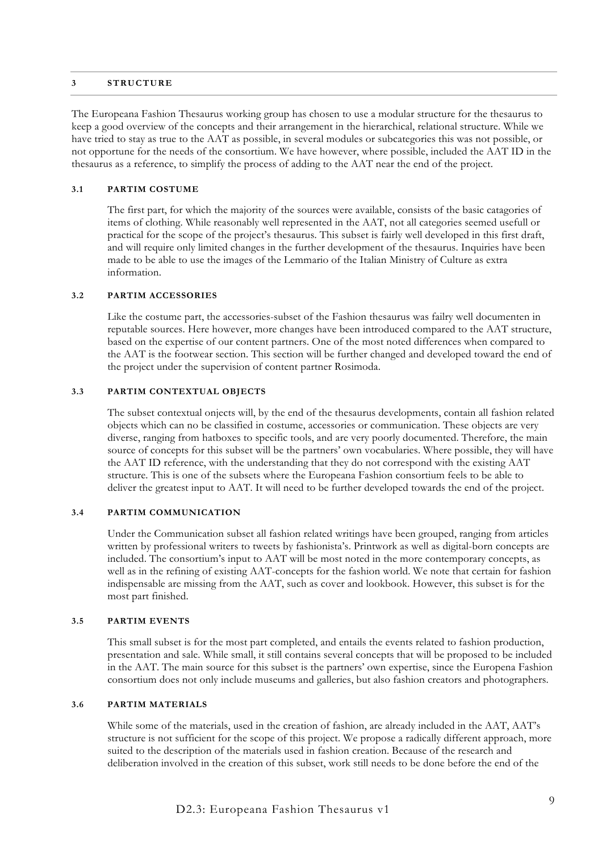#### **3 STRUCTURE**

The Europeana Fashion Thesaurus working group has chosen to use a modular structure for the thesaurus to keep a good overview of the concepts and their arrangement in the hierarchical, relational structure. While we have tried to stay as true to the AAT as possible, in several modules or subcategories this was not possible, or not opportune for the needs of the consortium. We have however, where possible, included the AAT ID in the thesaurus as a reference, to simplify the process of adding to the AAT near the end of the project.

#### **3.1 PARTIM COSTUME**

The first part, for which the majority of the sources were available, consists of the basic catagories of items of clothing. While reasonably well represented in the AAT, not all categories seemed usefull or practical for the scope of the project's thesaurus. This subset is fairly well developed in this first draft, and will require only limited changes in the further development of the thesaurus. Inquiries have been made to be able to use the images of the Lemmario of the Italian Ministry of Culture as extra information.

### **3.2 PARTIM ACCESSORIES**

Like the costume part, the accessories-subset of the Fashion thesaurus was failry well documenten in reputable sources. Here however, more changes have been introduced compared to the AAT structure, based on the expertise of our content partners. One of the most noted differences when compared to the AAT is the footwear section. This section will be further changed and developed toward the end of the project under the supervision of content partner Rosimoda.

#### **3.3 PARTIM CONTEXTUAL OBJECTS**

The subset contextual onjects will, by the end of the thesaurus developments, contain all fashion related objects which can no be classified in costume, accessories or communication. These objects are very diverse, ranging from hatboxes to specific tools, and are very poorly documented. Therefore, the main source of concepts for this subset will be the partners' own vocabularies. Where possible, they will have the AAT ID reference, with the understanding that they do not correspond with the existing AAT structure. This is one of the subsets where the Europeana Fashion consortium feels to be able to deliver the greatest input to AAT. It will need to be further developed towards the end of the project.

### **3.4 PARTIM COMMUNICATION**

Under the Communication subset all fashion related writings have been grouped, ranging from articles written by professional writers to tweets by fashionista's. Printwork as well as digital-born concepts are included. The consortium's input to AAT will be most noted in the more contemporary concepts, as well as in the refining of existing AAT-concepts for the fashion world. We note that certain for fashion indispensable are missing from the AAT, such as cover and lookbook. However, this subset is for the most part finished.

#### **3.5 PARTIM EVENTS**

This small subset is for the most part completed, and entails the events related to fashion production, presentation and sale. While small, it still contains several concepts that will be proposed to be included in the AAT. The main source for this subset is the partners' own expertise, since the Europena Fashion consortium does not only include museums and galleries, but also fashion creators and photographers.

#### **3.6 PARTIM MATERIALS**

While some of the materials, used in the creation of fashion, are already included in the AAT, AAT's structure is not sufficient for the scope of this project. We propose a radically different approach, more suited to the description of the materials used in fashion creation. Because of the research and deliberation involved in the creation of this subset, work still needs to be done before the end of the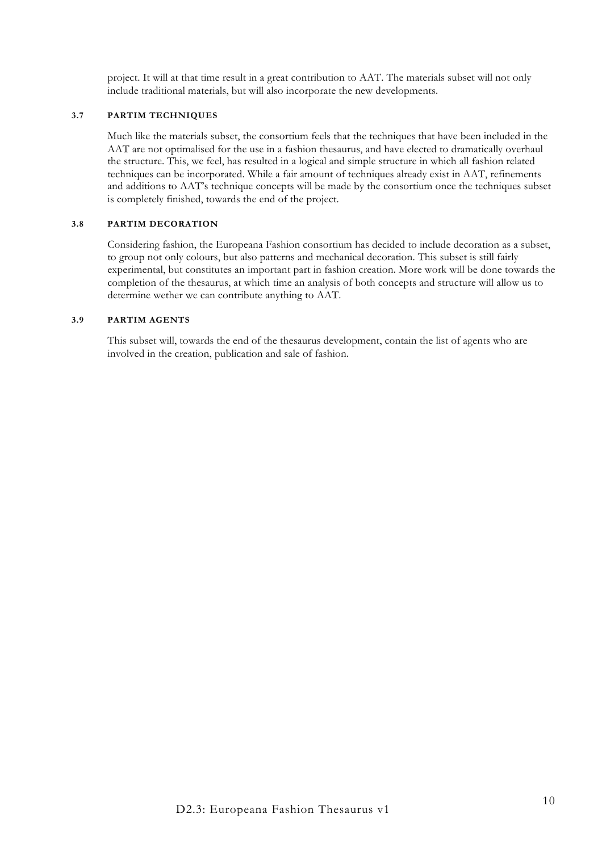project. It will at that time result in a great contribution to AAT. The materials subset will not only include traditional materials, but will also incorporate the new developments.

#### **3.7 PARTIM TECHNIQUES**

Much like the materials subset, the consortium feels that the techniques that have been included in the AAT are not optimalised for the use in a fashion thesaurus, and have elected to dramatically overhaul the structure. This, we feel, has resulted in a logical and simple structure in which all fashion related techniques can be incorporated. While a fair amount of techniques already exist in AAT, refinements and additions to AAT's technique concepts will be made by the consortium once the techniques subset is completely finished, towards the end of the project.

### **3.8 PARTIM DECORATION**

Considering fashion, the Europeana Fashion consortium has decided to include decoration as a subset, to group not only colours, but also patterns and mechanical decoration. This subset is still fairly experimental, but constitutes an important part in fashion creation. More work will be done towards the completion of the thesaurus, at which time an analysis of both concepts and structure will allow us to determine wether we can contribute anything to AAT.

#### **3.9 PARTIM AGENTS**

This subset will, towards the end of the thesaurus development, contain the list of agents who are involved in the creation, publication and sale of fashion.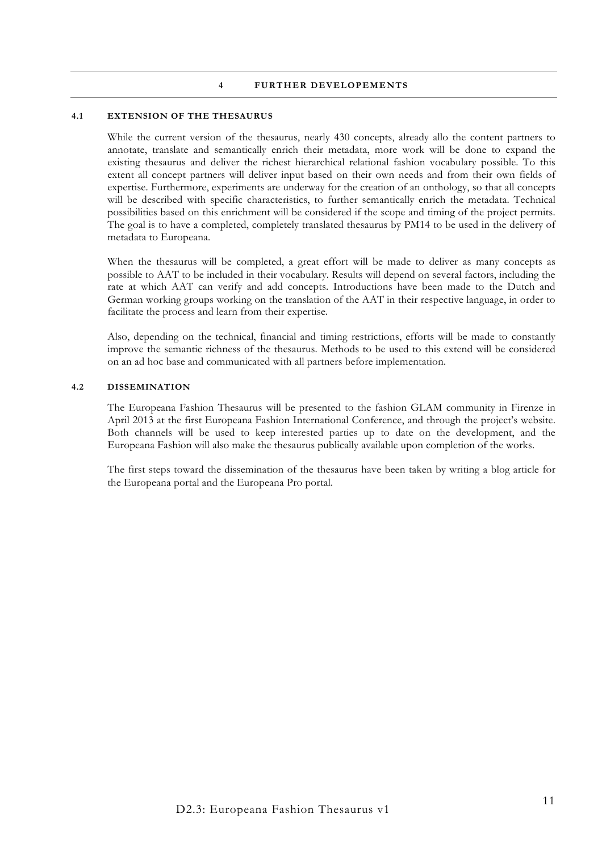#### **4 FURTHER DEVELOPEMENTS**

#### **4.1 EXTENSION OF THE THESAURUS**

While the current version of the thesaurus, nearly 430 concepts, already allo the content partners to annotate, translate and semantically enrich their metadata, more work will be done to expand the existing thesaurus and deliver the richest hierarchical relational fashion vocabulary possible. To this extent all concept partners will deliver input based on their own needs and from their own fields of expertise. Furthermore, experiments are underway for the creation of an onthology, so that all concepts will be described with specific characteristics, to further semantically enrich the metadata. Technical possibilities based on this enrichment will be considered if the scope and timing of the project permits. The goal is to have a completed, completely translated thesaurus by PM14 to be used in the delivery of metadata to Europeana.

When the thesaurus will be completed, a great effort will be made to deliver as many concepts as possible to AAT to be included in their vocabulary. Results will depend on several factors, including the rate at which AAT can verify and add concepts. Introductions have been made to the Dutch and German working groups working on the translation of the AAT in their respective language, in order to facilitate the process and learn from their expertise.

Also, depending on the technical, financial and timing restrictions, efforts will be made to constantly improve the semantic richness of the thesaurus. Methods to be used to this extend will be considered on an ad hoc base and communicated with all partners before implementation.

#### **4.2 DISSEMINATION**

The Europeana Fashion Thesaurus will be presented to the fashion GLAM community in Firenze in April 2013 at the first Europeana Fashion International Conference, and through the project's website. Both channels will be used to keep interested parties up to date on the development, and the Europeana Fashion will also make the thesaurus publically available upon completion of the works.

The first steps toward the dissemination of the thesaurus have been taken by writing a blog article for the Europeana portal and the Europeana Pro portal.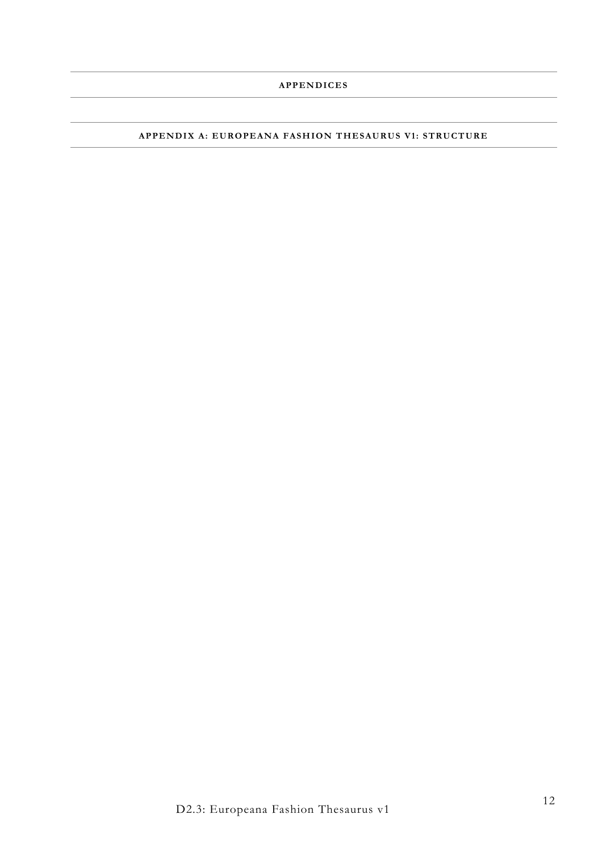### **APPENDIX A: EUROPEANA FASHION THESAURUS V1: STRUCTURE**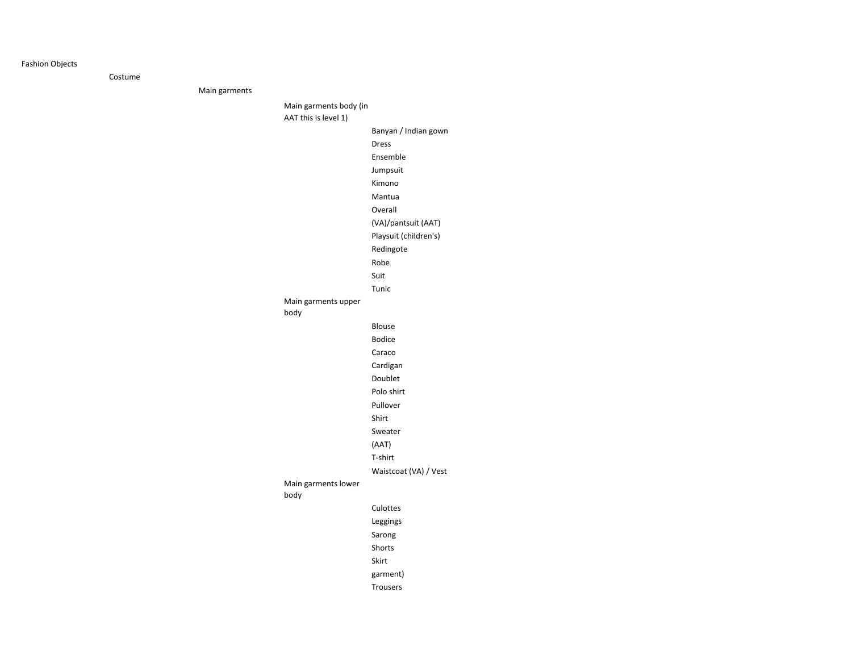#### Fashion Objects

Costume

Main garments

Main garments body (in

AAT this is level 1)

body

body

Banyan / Indian gownDressEnsembleJumpsuit Kimono Mantua Overall (VA)/pantsuit (AAT)Playsuit (children's)RedingoteRobe SuitTunicMain garments upper Blouse Bodice Caraco Cardigan Doublet Polo shirtPulloverShirtSweater (AAT)T-shirtWaistcoat (VA) / Vest Main garments lower CulottesLeggingsSarong ShortsSkirtgarment)Trousers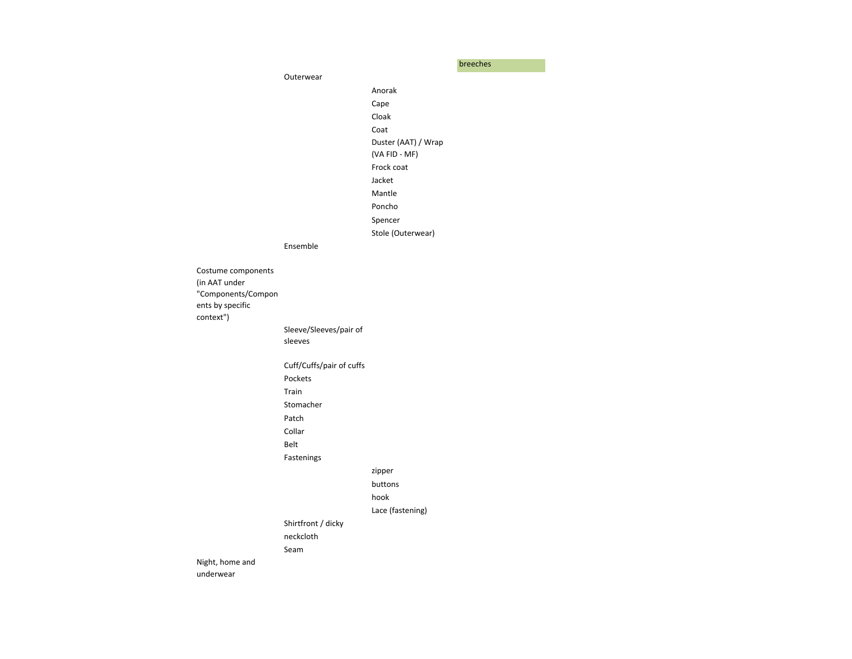breeches

OuterwearAnorakCape Cloak Coat Duster (AAT) / Wrap (VA FID - MF)Frock coatJacketMantle Poncho SpencerStole (Outerwear)EnsembleCostume components (in AAT under "Components/Components by specific context")Sleeve/Sleeves/pair of sleeves Cuff/Cuffs/pair of cuffsPocketsTrain StomacherPatch CollarBeltFasteningszipperbuttonshook Lace (fastening)Shirtfront / dicky neckclothSeamNight, home and underwear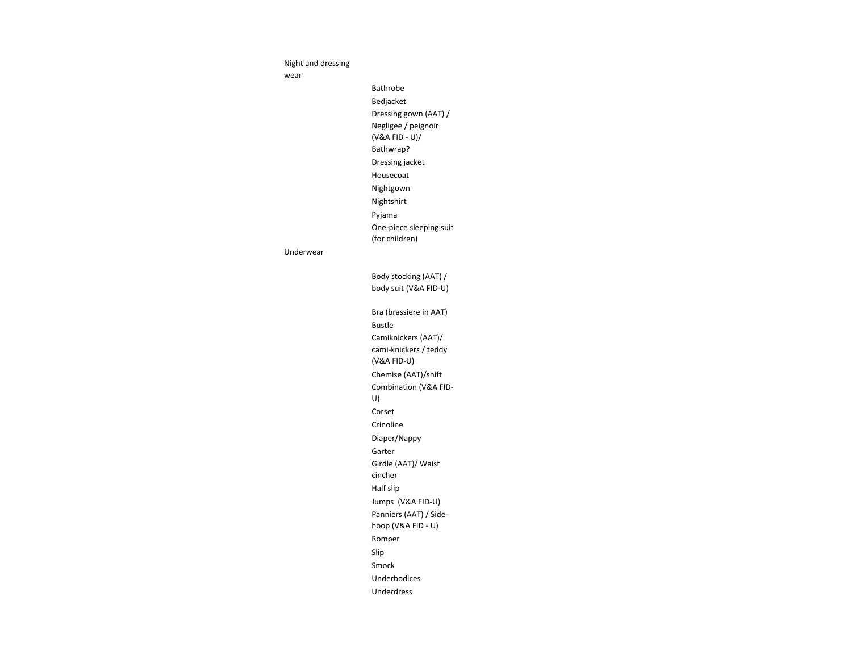Night and dressing

wear

Bathrobe Bedjacket Dressing gown (AAT) / Negligee / peignoir (V&A FID - U)/ Bathwrap? Dressing jacket Housecoat Nightgown NightshirtPyjama One-piece sleeping suit (for children)

#### Underwear

Body stocking (AAT) / body suit (V&A FID-U)Bra (brassiere in AAT)Bustle Camiknickers (AAT)/ cami-knickers / teddy (V&A FID-U)Chemise (AAT)/shiftCombination (V&A FID-U)CorsetCrinoline Diaper/NappyGarter Girdle (AAT)/ Waist cincher Half slip Jumps (V&A FID-U)Panniers (AAT) / Sidehoop (V&A FID - U)Romper

Slip

Smock

Underbodices

Underdress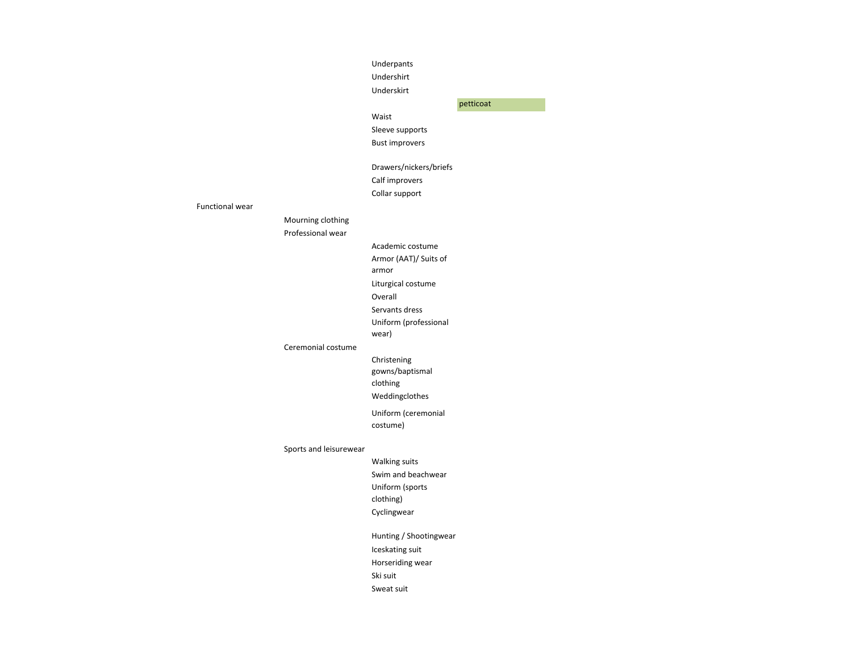#### Underpants

Undershirt

Underskirt

petticoat

#### Waist

Sleeve supportsBust improvers

Drawers/nickers/briefsCalf improversCollar support

#### Functional wear

Mourning clothingProfessional wear

> Academic costumeArmor (AAT)/ Suits of

> > armor

Liturgical costumeOverall

Servants dress

Uniform (professional

wear)

#### Ceremonial costume

Christening gowns/baptismal clothing

Weddingclothes

Uniform (ceremonial costume)

Sports and leisurewear

Walking suitsSwim and beachwearUniform (sports clothing)Cyclingwear

Hunting / ShootingwearIceskating suitHorseriding wear Ski suitSweat suit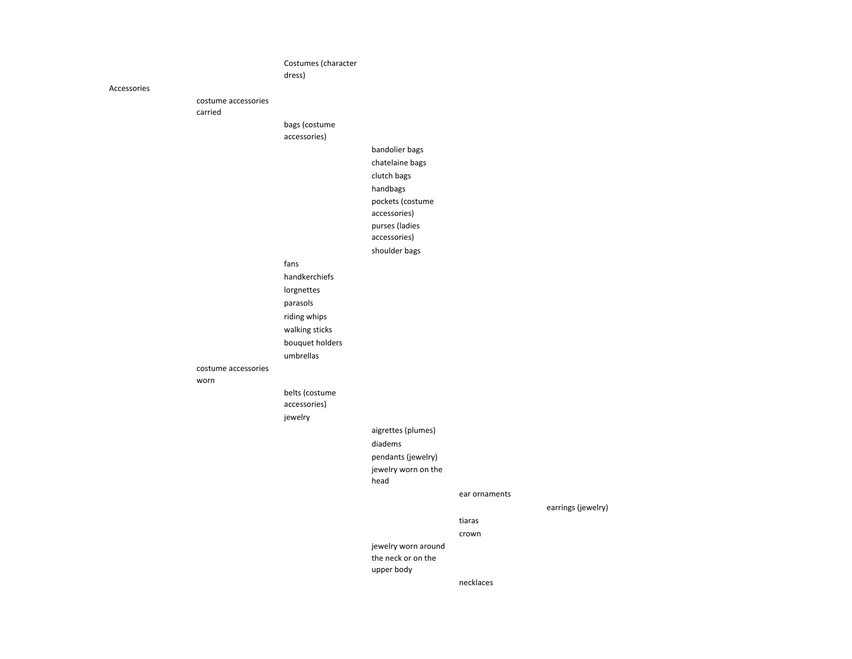Costumes (character dress)Accessoriescostume accessories carriedbags (costume accessories)bandolier bagschatelaine bagsclutch bagshandbags pockets (costume accessories)purses (ladies accessories)shoulder bagsfanshandkerchiefslorgnettesparasolsriding whipswalking sticksbouquet holdersumbrellascostume accessories wornbelts (costume accessories)jewelryaigrettes (plumes)diademspendants (jewelry)jewelry worn on the headear ornamentsearrings (jewelry)tiarascrownjewelry worn around the neck or on the upper bodynecklaces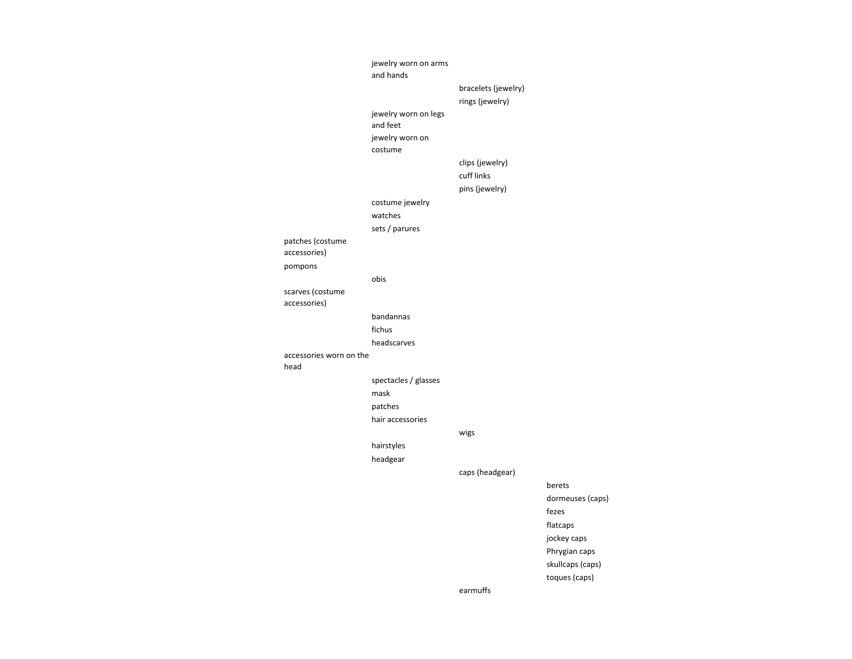|                                 | jewelry worn on arms<br>and hands |                     |                  |
|---------------------------------|-----------------------------------|---------------------|------------------|
|                                 |                                   | bracelets (jewelry) |                  |
|                                 |                                   | rings (jewelry)     |                  |
|                                 | jewelry worn on legs              |                     |                  |
|                                 | and feet                          |                     |                  |
|                                 | jewelry worn on<br>costume        |                     |                  |
|                                 |                                   | clips (jewelry)     |                  |
|                                 |                                   | cuff links          |                  |
|                                 |                                   | pins (jewelry)      |                  |
|                                 | costume jewelry                   |                     |                  |
|                                 | watches                           |                     |                  |
|                                 | sets / parures                    |                     |                  |
| patches (costume                |                                   |                     |                  |
| accessories)                    |                                   |                     |                  |
| pompons                         |                                   |                     |                  |
|                                 | obis                              |                     |                  |
| scarves (costume                |                                   |                     |                  |
| accessories)                    |                                   |                     |                  |
|                                 | bandannas                         |                     |                  |
|                                 | fichus                            |                     |                  |
|                                 | headscarves                       |                     |                  |
| accessories worn on the<br>head |                                   |                     |                  |
|                                 | spectacles / glasses              |                     |                  |
|                                 | mask                              |                     |                  |
|                                 | patches                           |                     |                  |
|                                 | hair accessories                  |                     |                  |
|                                 |                                   | wigs                |                  |
|                                 | hairstyles                        |                     |                  |
|                                 | headgear                          |                     |                  |
|                                 |                                   | caps (headgear)     |                  |
|                                 |                                   |                     | berets           |
|                                 |                                   |                     | dormeuses (caps) |
|                                 |                                   |                     | fezes            |
|                                 |                                   |                     | flatcaps         |
|                                 |                                   |                     | jockey caps      |
|                                 |                                   |                     | Phrygian caps    |
|                                 |                                   |                     | skullcaps (caps) |
|                                 |                                   |                     | toques (caps)    |
|                                 |                                   | earmuffs            |                  |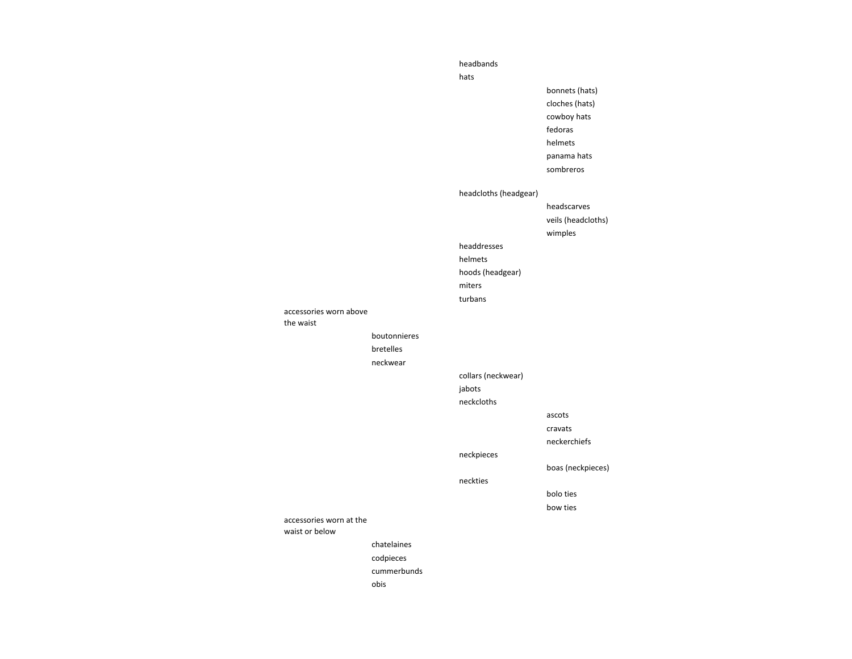|                         |              | headbands             |                    |
|-------------------------|--------------|-----------------------|--------------------|
|                         |              | hats                  |                    |
|                         |              |                       | bonnets (hats)     |
|                         |              |                       | cloches (hats)     |
|                         |              |                       | cowboy hats        |
|                         |              |                       | fedoras            |
|                         |              |                       | helmets            |
|                         |              |                       | panama hats        |
|                         |              |                       | sombreros          |
|                         |              |                       |                    |
|                         |              | headcloths (headgear) |                    |
|                         |              |                       | headscarves        |
|                         |              |                       | veils (headcloths) |
|                         |              |                       | wimples            |
|                         |              | headdresses           |                    |
|                         |              | helmets               |                    |
|                         |              | hoods (headgear)      |                    |
|                         |              | miters                |                    |
|                         |              | turbans               |                    |
| accessories worn above  |              |                       |                    |
| the waist               |              |                       |                    |
|                         | boutonnieres |                       |                    |
|                         | bretelles    |                       |                    |
|                         | neckwear     |                       |                    |
|                         |              | collars (neckwear)    |                    |
|                         |              | jabots                |                    |
|                         |              | neckcloths            |                    |
|                         |              |                       | ascots             |
|                         |              |                       | cravats            |
|                         |              |                       | neckerchiefs       |
|                         |              | neckpieces            |                    |
|                         |              |                       | boas (neckpieces)  |
|                         |              | neckties              |                    |
|                         |              |                       | bolo ties          |
|                         |              |                       | bow ties           |
| accessories worn at the |              |                       |                    |
| waist or below          |              |                       |                    |
|                         | chatelaines  |                       |                    |
|                         | codpieces    |                       |                    |
|                         | cummerbunds  |                       |                    |
|                         | obis         |                       |                    |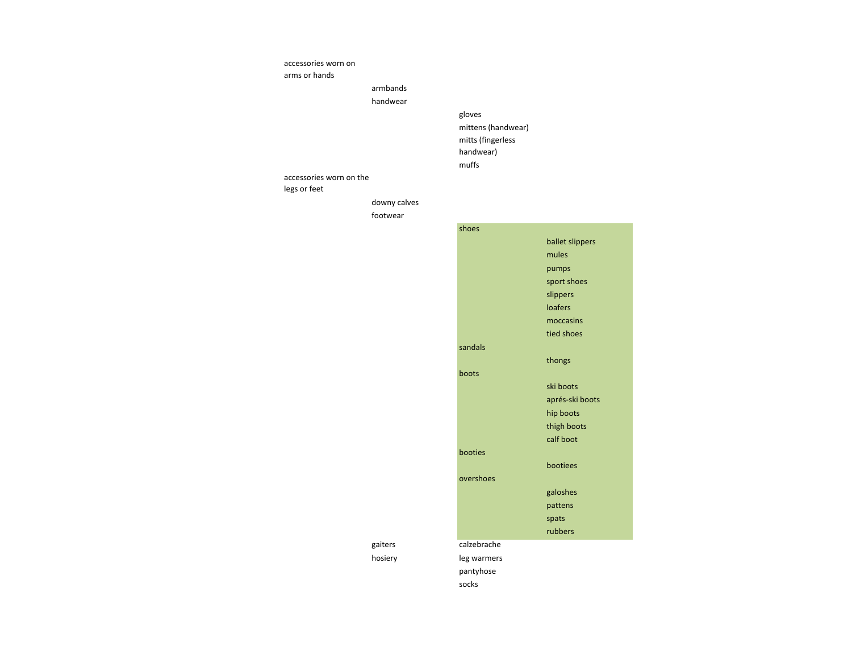#### accessories worn on

arms or hands

# armbands

handwear

# gloves

mittens (handwear)mitts (fingerless handwear)muffs

#### accessories worn on the legs or feet

# downy calves

footwear



#### gaiters

hosiery

pantyhose

socks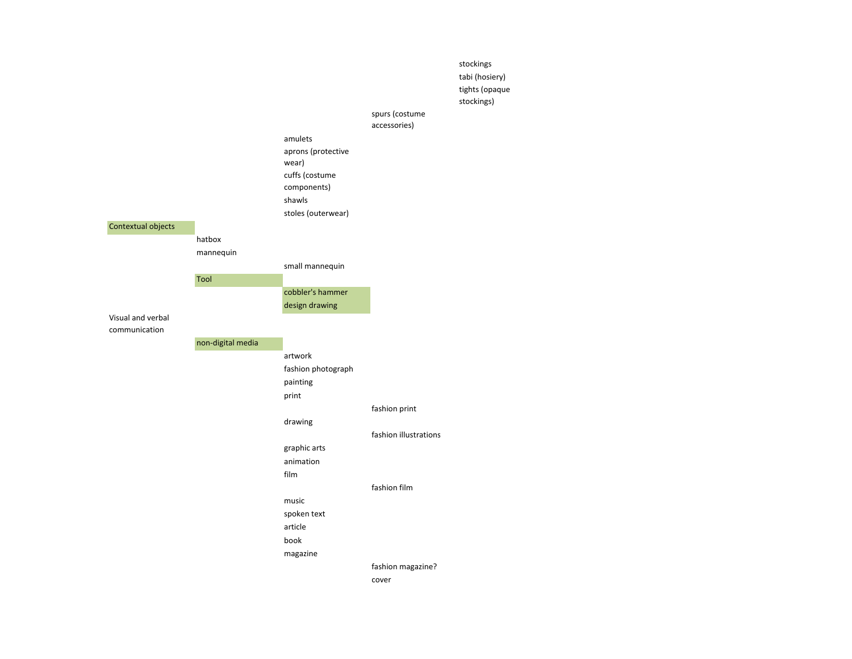|                    |                   |                               |                                | stockings<br>tabi (hosiery)<br>tights (opaque<br>stockings) |
|--------------------|-------------------|-------------------------------|--------------------------------|-------------------------------------------------------------|
|                    |                   |                               | spurs (costume<br>accessories) |                                                             |
|                    |                   | amulets                       |                                |                                                             |
|                    |                   | aprons (protective            |                                |                                                             |
|                    |                   | wear)                         |                                |                                                             |
|                    |                   | cuffs (costume<br>components) |                                |                                                             |
|                    |                   | shawls                        |                                |                                                             |
|                    |                   | stoles (outerwear)            |                                |                                                             |
| Contextual objects |                   |                               |                                |                                                             |
|                    | hatbox            |                               |                                |                                                             |
|                    | mannequin         |                               |                                |                                                             |
|                    | <b>Tool</b>       | small mannequin               |                                |                                                             |
|                    |                   | cobbler's hammer              |                                |                                                             |
|                    |                   | design drawing                |                                |                                                             |
| Visual and verbal  |                   |                               |                                |                                                             |
| communication      |                   |                               |                                |                                                             |
|                    | non-digital media |                               |                                |                                                             |
|                    |                   | artwork<br>fashion photograph |                                |                                                             |
|                    |                   | painting                      |                                |                                                             |
|                    |                   | print                         |                                |                                                             |
|                    |                   |                               | fashion print                  |                                                             |
|                    |                   | drawing                       |                                |                                                             |
|                    |                   |                               | fashion illustrations          |                                                             |
|                    |                   | graphic arts                  |                                |                                                             |
|                    |                   | animation                     |                                |                                                             |
|                    |                   | film                          | fashion film                   |                                                             |
|                    |                   | music                         |                                |                                                             |
|                    |                   | spoken text                   |                                |                                                             |
|                    |                   | article                       |                                |                                                             |
|                    |                   | book                          |                                |                                                             |
|                    |                   | magazine                      |                                |                                                             |
|                    |                   |                               | fashion magazine?              |                                                             |
|                    |                   |                               | cover                          |                                                             |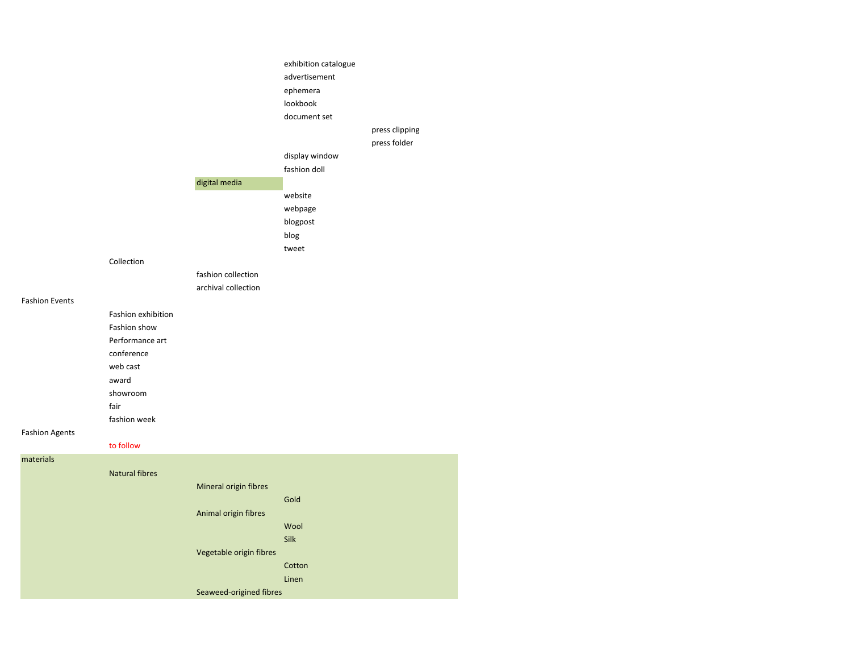|                       |                       |                         | exhibition catalogue |                |
|-----------------------|-----------------------|-------------------------|----------------------|----------------|
|                       |                       |                         | advertisement        |                |
|                       |                       |                         | ephemera             |                |
|                       |                       |                         | lookbook             |                |
|                       |                       |                         | document set         |                |
|                       |                       |                         |                      | press clipping |
|                       |                       |                         |                      | press folder   |
|                       |                       |                         | display window       |                |
|                       |                       |                         | fashion doll         |                |
|                       |                       | digital media           |                      |                |
|                       |                       |                         | website              |                |
|                       |                       |                         | webpage              |                |
|                       |                       |                         | blogpost             |                |
|                       |                       |                         | blog                 |                |
|                       |                       |                         | tweet                |                |
|                       | Collection            |                         |                      |                |
|                       |                       | fashion collection      |                      |                |
|                       |                       | archival collection     |                      |                |
| <b>Fashion Events</b> |                       |                         |                      |                |
|                       | Fashion exhibition    |                         |                      |                |
|                       | Fashion show          |                         |                      |                |
|                       | Performance art       |                         |                      |                |
|                       | conference            |                         |                      |                |
|                       | web cast              |                         |                      |                |
|                       | award                 |                         |                      |                |
|                       | showroom              |                         |                      |                |
|                       | fair                  |                         |                      |                |
|                       | fashion week          |                         |                      |                |
| <b>Fashion Agents</b> |                       |                         |                      |                |
|                       | to follow             |                         |                      |                |
| materials             |                       |                         |                      |                |
|                       | <b>Natural fibres</b> |                         |                      |                |
|                       |                       | Mineral origin fibres   |                      |                |
|                       |                       |                         | Gold                 |                |
|                       |                       | Animal origin fibres    |                      |                |
|                       |                       |                         | Wool                 |                |
|                       |                       |                         | Silk                 |                |
|                       |                       | Vegetable origin fibres |                      |                |
|                       |                       |                         | Cotton               |                |
|                       |                       |                         | Linen                |                |
|                       |                       | Seaweed-origined fibres |                      |                |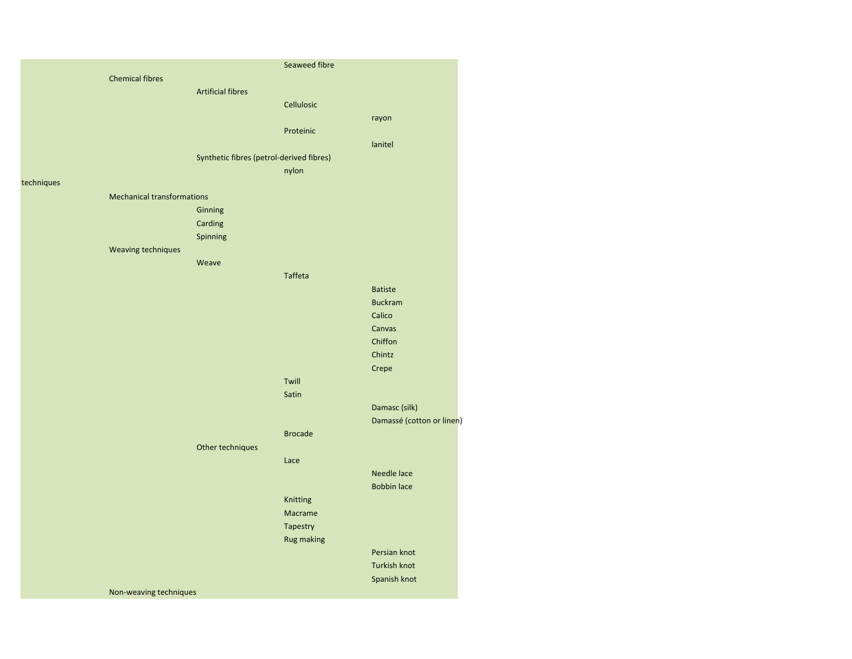|            |                                   |                          | Seaweed fibre                            |                           |
|------------|-----------------------------------|--------------------------|------------------------------------------|---------------------------|
|            | <b>Chemical fibres</b>            |                          |                                          |                           |
|            |                                   | <b>Artificial fibres</b> |                                          |                           |
|            |                                   |                          | Cellulosic                               |                           |
|            |                                   |                          |                                          | rayon                     |
|            |                                   |                          | Proteinic                                |                           |
|            |                                   |                          |                                          | lanitel                   |
|            |                                   |                          | Synthetic fibres (petrol-derived fibres) |                           |
|            |                                   |                          | nylon                                    |                           |
| techniques |                                   |                          |                                          |                           |
|            | <b>Mechanical transformations</b> |                          |                                          |                           |
|            |                                   | Ginning                  |                                          |                           |
|            |                                   | Carding                  |                                          |                           |
|            |                                   | Spinning                 |                                          |                           |
|            | Weaving techniques                |                          |                                          |                           |
|            |                                   | Weave                    |                                          |                           |
|            |                                   |                          | <b>Taffeta</b>                           |                           |
|            |                                   |                          |                                          | <b>Batiste</b>            |
|            |                                   |                          |                                          | <b>Buckram</b>            |
|            |                                   |                          |                                          | Calico                    |
|            |                                   |                          |                                          | Canvas                    |
|            |                                   |                          |                                          | Chiffon                   |
|            |                                   |                          |                                          | Chintz                    |
|            |                                   |                          |                                          | Crepe                     |
|            |                                   |                          | Twill                                    |                           |
|            |                                   |                          | Satin                                    |                           |
|            |                                   |                          |                                          | Damasc (silk)             |
|            |                                   |                          |                                          | Damassé (cotton or linen) |
|            |                                   |                          | <b>Brocade</b>                           |                           |
|            |                                   | Other techniques         |                                          |                           |
|            |                                   |                          | Lace                                     |                           |
|            |                                   |                          |                                          | Needle lace               |
|            |                                   |                          |                                          | <b>Bobbin lace</b>        |
|            |                                   |                          | Knitting                                 |                           |
|            |                                   |                          | Macrame                                  |                           |
|            |                                   |                          | Tapestry                                 |                           |
|            |                                   |                          | <b>Rug making</b>                        |                           |
|            |                                   |                          |                                          | Persian knot              |
|            |                                   |                          |                                          | <b>Turkish knot</b>       |
|            |                                   |                          |                                          | Spanish knot              |
|            | Non-weaving techniques            |                          |                                          |                           |
|            |                                   |                          |                                          |                           |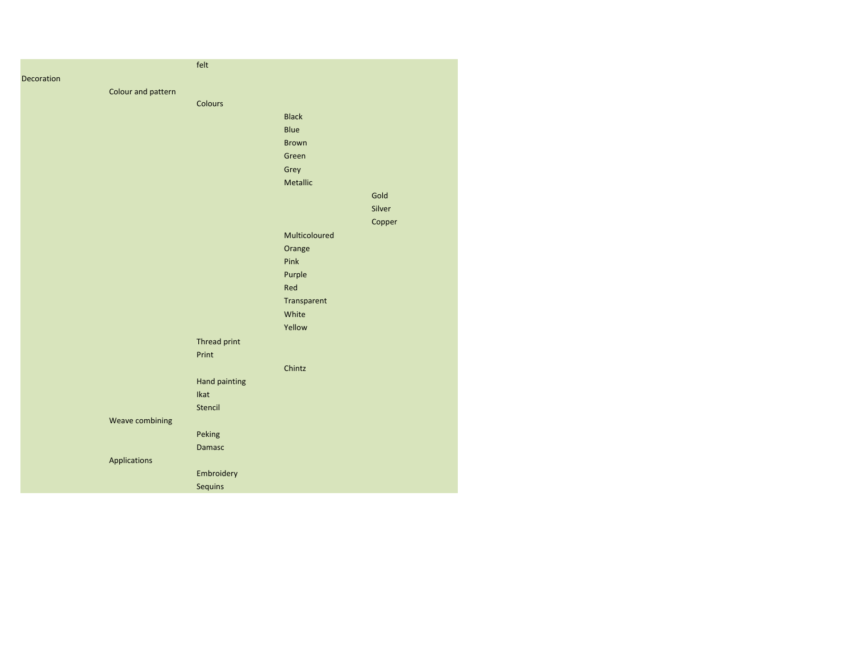|                    | felt          |               |        |
|--------------------|---------------|---------------|--------|
| Decoration         |               |               |        |
| Colour and pattern |               |               |        |
|                    | Colours       |               |        |
|                    |               | <b>Black</b>  |        |
|                    |               | Blue          |        |
|                    |               | <b>Brown</b>  |        |
|                    |               | Green         |        |
|                    |               | Grey          |        |
|                    |               | Metallic      |        |
|                    |               |               | Gold   |
|                    |               |               | Silver |
|                    |               |               | Copper |
|                    |               | Multicoloured |        |
|                    |               | Orange        |        |
|                    |               | Pink          |        |
|                    |               | Purple        |        |
|                    |               | Red           |        |
|                    |               | Transparent   |        |
|                    |               | White         |        |
|                    |               | Yellow        |        |
|                    | Thread print  |               |        |
|                    | Print         |               |        |
|                    |               | Chintz        |        |
|                    | Hand painting |               |        |
|                    | Ikat          |               |        |
|                    | Stencil       |               |        |
| Weave combining    |               |               |        |
|                    | Peking        |               |        |
|                    | <b>Damasc</b> |               |        |
| Applications       |               |               |        |
|                    | Embroidery    |               |        |
|                    | Sequins       |               |        |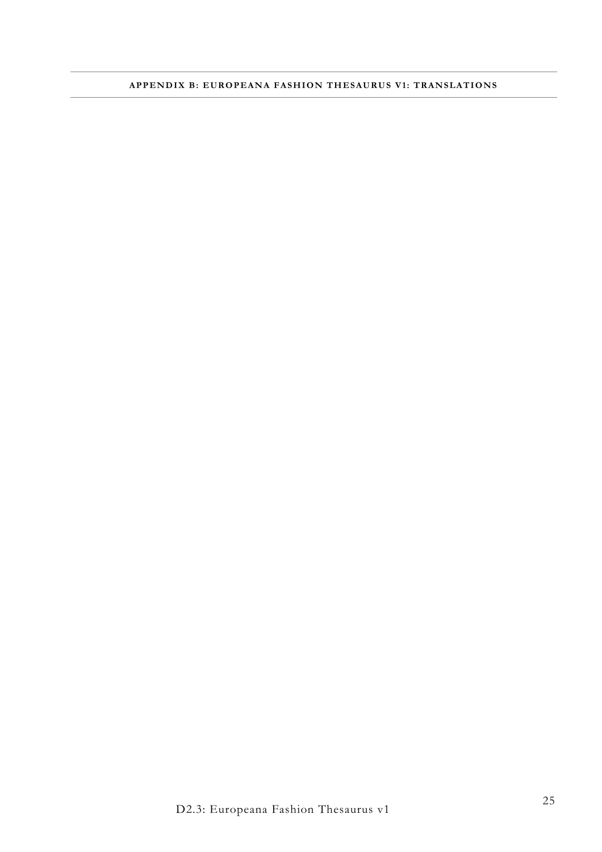# **APPENDIX B: EUROPEANA FASHION THESAURUS V1: TRANSLATIONS**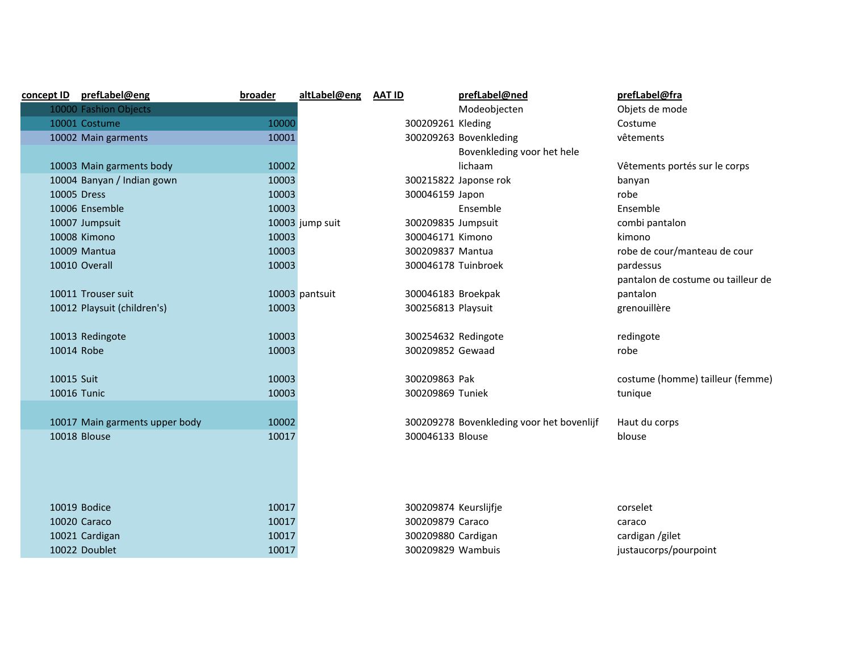| <u>concept ID</u> | prefLabel@eng                  | <b>broader</b> | altLabel@eng    | <b>AAT ID</b>         | prefLabel@ned                             | prefLabel@fra                      |
|-------------------|--------------------------------|----------------|-----------------|-----------------------|-------------------------------------------|------------------------------------|
|                   | 10000 Fashion Objects          |                |                 |                       | Modeobjecten                              | Objets de mode                     |
|                   | 10001 Costume                  | 10000          |                 | 300209261 Kleding     |                                           | Costume                            |
|                   | 10002 Main garments            | 10001          |                 |                       | 300209263 Bovenkleding                    | vêtements                          |
|                   |                                |                |                 |                       | Bovenkleding voor het hele                |                                    |
|                   | 10003 Main garments body       | 10002          |                 |                       | lichaam                                   | Vêtements portés sur le corps      |
|                   | 10004 Banyan / Indian gown     | 10003          |                 |                       | 300215822 Japonse rok                     | banyan                             |
|                   | 10005 Dress                    | 10003          |                 | 300046159 Japon       |                                           | robe                               |
|                   | 10006 Ensemble                 | 10003          |                 |                       | Ensemble                                  | Ensemble                           |
|                   | 10007 Jumpsuit                 |                | 10003 jump suit | 300209835 Jumpsuit    |                                           | combi pantalon                     |
|                   | 10008 Kimono                   | 10003          |                 | 300046171 Kimono      |                                           | kimono                             |
|                   | 10009 Mantua                   | 10003          |                 | 300209837 Mantua      |                                           | robe de cour/manteau de cour       |
|                   | 10010 Overall                  | 10003          |                 | 300046178 Tuinbroek   |                                           | pardessus                          |
|                   |                                |                |                 |                       |                                           | pantalon de costume ou tailleur de |
|                   | 10011 Trouser suit             |                | 10003 pantsuit  | 300046183 Broekpak    |                                           | pantalon                           |
|                   | 10012 Playsuit (children's)    | 10003          |                 | 300256813 Playsuit    |                                           | grenouillère                       |
|                   |                                |                |                 |                       |                                           |                                    |
|                   | 10013 Redingote                | 10003          |                 | 300254632 Redingote   |                                           | redingote                          |
|                   | 10014 Robe                     | 10003          |                 | 300209852 Gewaad      |                                           | robe                               |
|                   |                                |                |                 |                       |                                           |                                    |
| 10015 Suit        |                                | 10003          |                 | 300209863 Pak         |                                           | costume (homme) tailleur (femme)   |
|                   | <b>10016 Tunic</b>             | 10003          |                 | 300209869 Tuniek      |                                           | tunique                            |
|                   |                                |                |                 |                       |                                           |                                    |
|                   | 10017 Main garments upper body | 10002          |                 |                       | 300209278 Bovenkleding voor het bovenlijf | Haut du corps                      |
|                   | 10018 Blouse                   | 10017          |                 | 300046133 Blouse      |                                           | blouse                             |
|                   |                                |                |                 |                       |                                           |                                    |
|                   |                                |                |                 |                       |                                           |                                    |
|                   |                                |                |                 |                       |                                           |                                    |
|                   |                                |                |                 |                       |                                           |                                    |
|                   | 10019 Bodice                   | 10017          |                 | 300209874 Keurslijfje |                                           | corselet                           |
|                   | 10020 Caraco                   | 10017          |                 | 300209879 Caraco      |                                           | caraco                             |
|                   | 10021 Cardigan                 | 10017          |                 | 300209880 Cardigan    |                                           | cardigan /gilet                    |
|                   | 10022 Doublet                  | 10017          |                 | 300209829 Wambuis     |                                           | justaucorps/pourpoint              |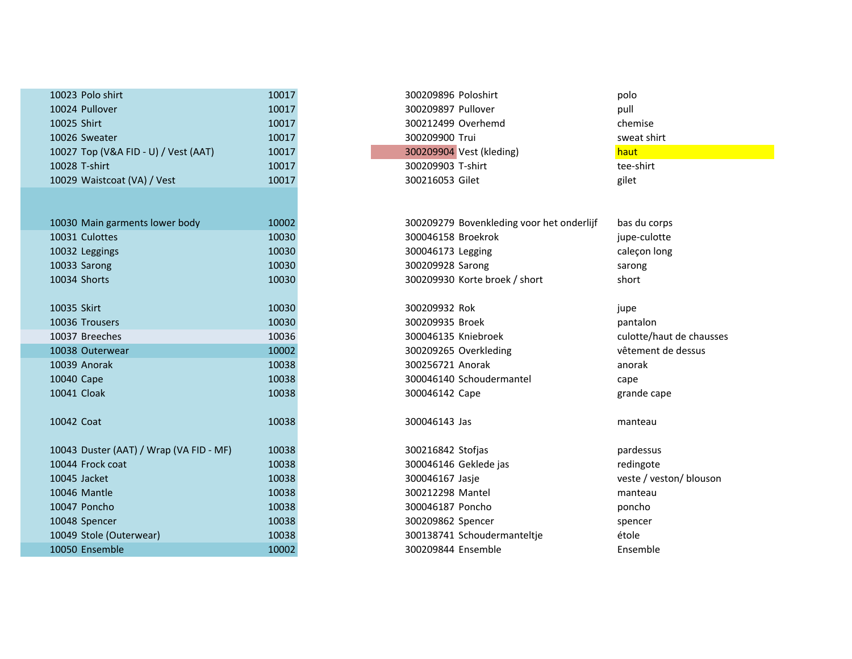| 10023 Polo shirt                        | 10017 | 300209896 Poloshirt                       |
|-----------------------------------------|-------|-------------------------------------------|
| 10024 Pullover                          | 10017 | 300209897 Pullover                        |
| 10025 Shirt                             | 10017 | 300212499 Overhemd                        |
| 10026 Sweater                           | 10017 | 300209900 Trui                            |
| 10027 Top (V&A FID - U) / Vest (AAT)    | 10017 | 300209904 Vest (kleding)                  |
| 10028 T-shirt                           | 10017 | 300209903 T-shirt                         |
| 10029 Waistcoat (VA) / Vest             | 10017 | 300216053 Gilet                           |
|                                         |       |                                           |
| 10030 Main garments lower body          | 10002 | 300209279 Bovenkleding voor het onderlijf |
| 10031 Culottes                          | 10030 | 300046158 Broekrok                        |
| 10032 Leggings                          | 10030 | 300046173 Legging                         |
| 10033 Sarong                            | 10030 | 300209928 Sarong                          |
| 10034 Shorts                            | 10030 | 300209930 Korte broek / short             |
| 10035 Skirt                             | 10030 | 300209932 Rok                             |
| 10036 Trousers                          | 10030 | 300209935 Broek                           |
| 10037 Breeches                          | 10036 | 300046135 Kniebroek                       |
| 10038 Outerwear                         | 10002 | 300209265 Overkleding                     |
| 10039 Anorak                            | 10038 | 300256721 Anorak                          |
| 10040 Cape                              | 10038 | 300046140 Schoudermantel                  |
| 10041 Cloak                             | 10038 | 300046142 Cape                            |
| 10042 Coat                              | 10038 | 300046143 Jas                             |
| 10043 Duster (AAT) / Wrap (VA FID - MF) | 10038 | 300216842 Stofjas                         |
| 10044 Frock coat                        | 10038 | 300046146 Geklede jas                     |
| 10045 Jacket                            | 10038 | 300046167 Jasje                           |
| 10046 Mantle                            | 10038 | 300212298 Mantel                          |
| 10047 Poncho                            | 10038 | 300046187 Poncho                          |
| 10048 Spencer                           | 10038 | 300209862 Spencer                         |
| 10049 Stole (Outerwear)                 | 10038 | 300138741 Schoudermanteltje               |
| 10050 Ensemble                          | 10002 | 300209844 Ensemble                        |

| ט ווווכ טוט ו נבעטב                     | 고 고 고 그 | א ווופטוט דעכטכטבעס                       | μυιν                     |
|-----------------------------------------|---------|-------------------------------------------|--------------------------|
| 10024 Pullover                          | 10017   | 300209897 Pullover                        | pull                     |
| 10025 Shirt                             | 10017   | 300212499 Overhemd                        | chemise                  |
| 10026 Sweater                           | 10017   | 300209900 Trui                            | sweat shirt              |
| 10027 Top (V&A FID - U) / Vest (AAT)    | 10017   | 300209904 Vest (kleding)                  | haut                     |
| 10028 T-shirt                           | 10017   | 300209903 T-shirt                         | tee-shirt                |
| 10029 Waistcoat (VA) / Vest             | 10017   | 300216053 Gilet                           | gilet                    |
|                                         |         |                                           |                          |
|                                         |         |                                           |                          |
| 10030 Main garments lower body          | 10002   | 300209279 Bovenkleding voor het onderlijf | bas du corps             |
| 10031 Culottes                          | 10030   | 300046158 Broekrok                        | jupe-culotte             |
| 10032 Leggings                          | 10030   | 300046173 Legging                         | caleçon long             |
| 10033 Sarong                            | 10030   | 300209928 Sarong                          | sarong                   |
| 10034 Shorts                            | 10030   | 300209930 Korte broek / short             | short                    |
|                                         |         |                                           |                          |
| 10035 Skirt                             | 10030   | 300209932 Rok                             | jupe                     |
| 10036 Trousers                          | 10030   | 300209935 Broek                           | pantalon                 |
| 10037 Breeches                          | 10036   | 300046135 Kniebroek                       | culotte/haut de chausses |
| 10038 Outerwear                         | 10002   | 300209265 Overkleding                     | vêtement de dessus       |
| 10039 Anorak                            | 10038   | 300256721 Anorak                          | anorak                   |
| 10040 Cape                              | 10038   | 300046140 Schoudermantel                  | cape                     |
| 10041 Cloak                             | 10038   | 300046142 Cape                            | grande cape              |
|                                         |         |                                           |                          |
| 10042 Coat                              | 10038   | 300046143 Jas                             | manteau                  |
|                                         |         |                                           |                          |
| 10043 Duster (AAT) / Wrap (VA FID - MF) | 10038   | 300216842 Stofjas                         | pardessus                |
| 10044 Frock coat                        | 10038   | 300046146 Geklede jas                     | redingote                |
| 10045 Jacket                            | 10038   | 300046167 Jasje                           | veste / veston/ blouson  |
| 10046 Mantle                            | 10038   | 300212298 Mantel                          | manteau                  |
| 10047 Poncho                            | 10038   | 300046187 Poncho                          | poncho                   |
| 10048 Spencer                           | 10038   | 300209862 Spencer                         | spencer                  |
| 10049 Stole (Outerwear)                 | 10038   | 300138741 Schoudermanteltje               | étole                    |
| 10050 Ensemble                          | 10002   | 300209844 Ensemble                        | Ensemble                 |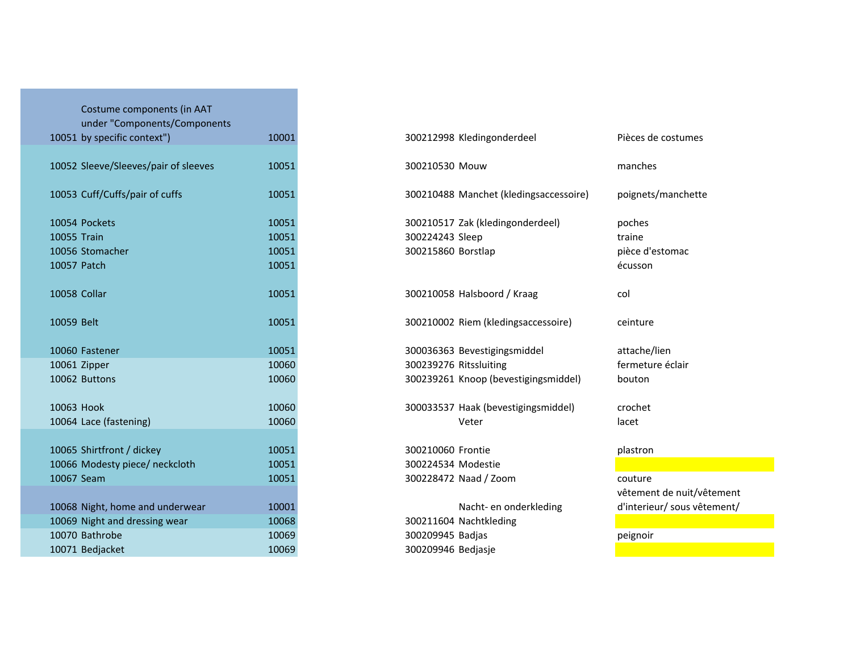| Costume components (in AAT<br>under "Components/Components |       |                                        |
|------------------------------------------------------------|-------|----------------------------------------|
| 10051 by specific context")                                | 10001 | 300212998 Kledingonderdeel             |
| 10052 Sleeve/Sleeves/pair of sleeves                       | 10051 | 300210530 Mouw                         |
| 10053 Cuff/Cuffs/pair of cuffs                             | 10051 | 300210488 Manchet (kledingsaccessoire) |
| 10054 Pockets                                              | 10051 | 300210517 Zak (kledingonderdeel)       |
| 10055 Train                                                | 10051 | 300224243 Sleep                        |
| 10056 Stomacher                                            | 10051 | 300215860 Borstlap                     |
| 10057 Patch                                                | 10051 |                                        |
| 10058 Collar                                               | 10051 | 300210058 Halsboord / Kraag            |
| 10059 Belt                                                 | 10051 | 300210002 Riem (kledingsaccessoire)    |
| 10060 Fastener                                             | 10051 | 300036363 Bevestigingsmiddel           |
| 10061 Zipper                                               | 10060 | 300239276 Ritssluiting                 |
| 10062 Buttons                                              | 10060 | 300239261 Knoop (bevestigingsmiddel)   |
| 10063 Hook                                                 | 10060 | 300033537 Haak (bevestigingsmiddel)    |
| 10064 Lace (fastening)                                     | 10060 | Veter                                  |
| 10065 Shirtfront / dickey                                  | 10051 | 300210060 Frontie                      |
| 10066 Modesty piece/ neckcloth                             | 10051 | 300224534 Modestie                     |
| 10067 Seam                                                 | 10051 | 300228472 Naad / Zoom                  |
|                                                            |       |                                        |
| 10068 Night, home and underwear                            | 10001 | Nacht- en onderkleding                 |
| 10069 Night and dressing wear                              | 10068 | 300211604 Nachtkleding                 |
| 10070 Bathrobe                                             | 10069 | 300209945 Badjas                       |
| 10071 Bedjacket                                            | 10069 | 300209946 Bedjasje                     |

| 10051 by specific context")          | 10001 | 300212998 Kledingonderdeel<br>Pièces de costumes             |  |
|--------------------------------------|-------|--------------------------------------------------------------|--|
| 10052 Sleeve/Sleeves/pair of sleeves | 10051 | 300210530 Mouw<br>manches                                    |  |
| 10053 Cuff/Cuffs/pair of cuffs       | 10051 | poignets/manchette<br>300210488 Manchet (kledingsaccessoire) |  |
| 10054 Pockets                        | 10051 | 300210517 Zak (kledingonderdeel)<br>poches                   |  |
| 10055 Train                          | 10051 | 300224243 Sleep<br>traine                                    |  |
| 10056 Stomacher                      | 10051 | 300215860 Borstlap<br>pièce d'estomac                        |  |
| 10057 Patch                          | 10051 | écusson                                                      |  |
| 10058 Collar                         | 10051 | 300210058 Halsboord / Kraag<br>col                           |  |
| 10059 Belt                           | 10051 | 300210002 Riem (kledingsaccessoire)<br>ceinture              |  |
| 10060 Fastener                       | 10051 | 300036363 Bevestigingsmiddel<br>attache/lien                 |  |
| 10061 Zipper                         | 10060 | fermeture éclair<br>300239276 Ritssluiting                   |  |
| 10062 Buttons                        | 10060 | 300239261 Knoop (bevestigingsmiddel)<br>bouton               |  |
| 10063 Hook                           | 10060 | 300033537 Haak (bevestigingsmiddel)<br>crochet               |  |
| 10064 Lace (fastening)               | 10060 | Veter<br>lacet                                               |  |
| 10065 Shirtfront / dickey            | 10051 | 300210060 Frontie<br>plastron                                |  |
| 10066 Modesty piece/ neckcloth       | 10051 | 300224534 Modestie                                           |  |
| 10067 Seam                           | 10051 | 300228472 Naad / Zoom<br>couture                             |  |
|                                      |       | vêtement de nuit/vêtement                                    |  |
| 10068 Night, home and underwear      | 10001 | d'interieur/ sous vêtement/<br>Nacht- en onderkleding        |  |
| 10069 Night and dressing wear        | 10068 | 300211604 Nachtkleding                                       |  |
| 10070 Bathrobe                       | 10069 | 300209945 Badjas<br>peignoir                                 |  |
| 10071 Bedjacket                      | 10069 | 300209946 Bedjasje                                           |  |
|                                      |       |                                                              |  |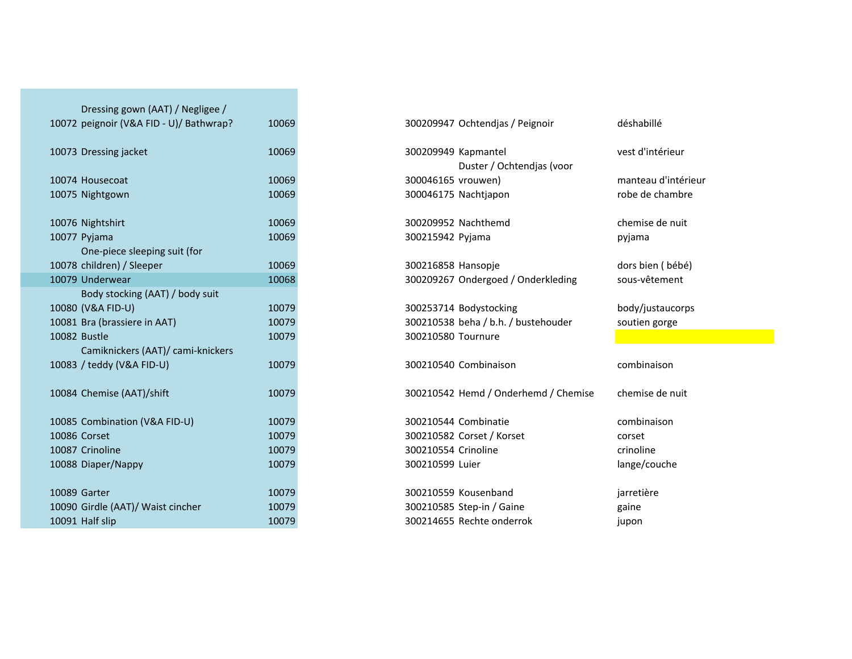| Dressing gown (AAT) / Negligee /        |       |                                      |                  |
|-----------------------------------------|-------|--------------------------------------|------------------|
| 10072 peignoir (V&A FID - U)/ Bathwrap? | 10069 | 300209947 Ochtendjas / Peignoir      | déshabillé       |
| 10073 Dressing jacket                   | 10069 | 300209949 Kapmantel                  | vest d'intérieur |
|                                         |       | Duster / Ochtendjas (voor            |                  |
| 10074 Housecoat                         | 10069 | 300046165 vrouwen)                   | manteau d'intér  |
| 10075 Nightgown                         | 10069 | 300046175 Nachtjapon                 | robe de chambr   |
| 10076 Nightshirt                        | 10069 | 300209952 Nachthemd                  | chemise de nuit  |
| 10077 Pyjama                            | 10069 | 300215942 Pyjama                     | pyjama           |
| One-piece sleeping suit (for            |       |                                      |                  |
| 10078 children) / Sleeper               | 10069 | 300216858 Hansopje                   | dors bien (bébé  |
| 10079 Underwear                         | 10068 | 300209267 Ondergoed / Onderkleding   | sous-vêtement    |
| Body stocking (AAT) / body suit         |       |                                      |                  |
| 10080 (V&A FID-U)                       | 10079 | 300253714 Bodystocking               | body/justaucor   |
| 10081 Bra (brassiere in AAT)            | 10079 | 300210538 beha / b.h. / bustehouder  | soutien gorge    |
| 10082 Bustle                            | 10079 | 300210580 Tournure                   |                  |
| Camiknickers (AAT)/ cami-knickers       |       |                                      |                  |
| 10083 / teddy (V&A FID-U)               | 10079 | 300210540 Combinaison                | combinaison      |
| 10084 Chemise (AAT)/shift               | 10079 | 300210542 Hemd / Onderhemd / Chemise | chemise de nuit  |
| 10085 Combination (V&A FID-U)           | 10079 | 300210544 Combinatie                 | combinaison      |
| 10086 Corset                            | 10079 | 300210582 Corset / Korset            | corset           |
| 10087 Crinoline                         | 10079 | 300210554 Crinoline                  | crinoline        |
| 10088 Diaper/Nappy                      | 10079 | 300210599 Luier                      | lange/couche     |
| 10089 Garter                            | 10079 | 300210559 Kousenband                 | jarretière       |
| 10090 Girdle (AAT)/ Waist cincher       | 10079 | 300210585 Step-in / Gaine            | gaine            |
| 10091 Half slip                         | 10079 | 300214655 Rechte onderrok            | jupon            |
|                                         |       |                                      |                  |

|                                   |       | Duster / Ochtendjas (voor           |                   |
|-----------------------------------|-------|-------------------------------------|-------------------|
| 4 Housecoat                       | 10069 | 300046165 vrouwen)                  | manteau d'intérie |
| 5 Nightgown                       | 10069 | 300046175 Nachtjapon                | robe de chambre   |
| 6 Nightshirt                      | 10069 | 300209952 Nachthemd                 | chemise de nuit   |
| 7 Pyjama                          | 10069 | 300215942 Pyjama                    | pyjama            |
| One-piece sleeping suit (for      |       |                                     |                   |
| 8 children) / Sleeper             | 10069 | 300216858 Hansopie                  | dors bien (bébé)  |
| 9 Underwear                       | 10068 | 300209267 Ondergoed / Onderkleding  | sous-vêtement     |
| Body stocking (AAT) / body suit   |       |                                     |                   |
| 0 (V&A FID-U)                     | 10079 | 300253714 Bodystocking              | body/justaucorps  |
| 1 Bra (brassiere in AAT)          | 10079 | 300210538 beha / b.h. / bustehouder | soutien gorge     |
| 2 Bustle                          | 10079 | 300210580 Tournure                  |                   |
| Camiknickers (AAT)/ cami-knickers |       |                                     |                   |
| 3 / teddy (V&A FID-U)             | 10079 | 300210540 Combinaison               | combinaison       |
|                                   |       |                                     |                   |

eau d'intérieu<mark>r</mark><br>de chambre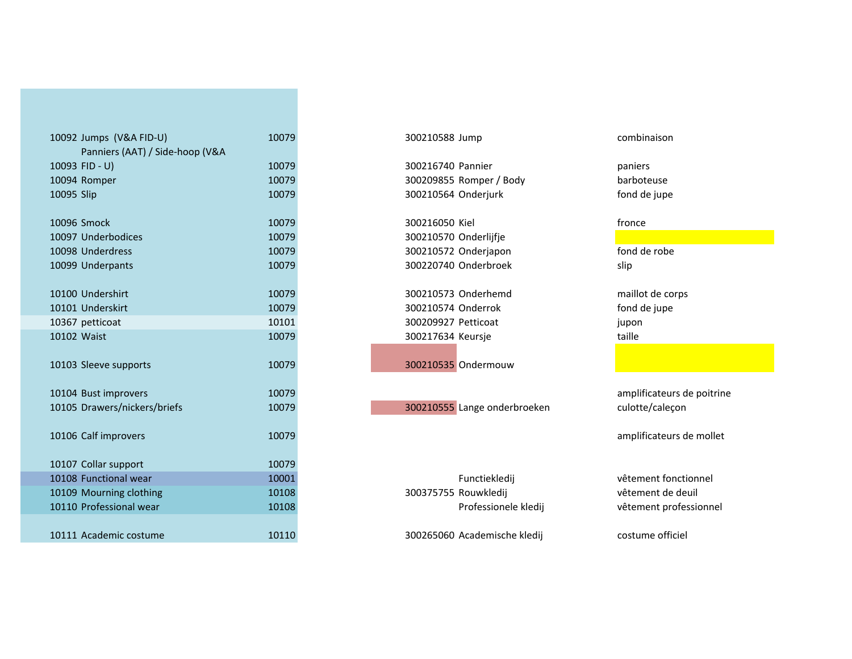| 10092 Jumps (V&A FID-U)         | 10079 | 300210588 Jump               | combinaison   |
|---------------------------------|-------|------------------------------|---------------|
| Panniers (AAT) / Side-hoop (V&A |       |                              |               |
| 10093 FID - U)                  | 10079 | 300216740 Pannier            | paniers       |
| 10094 Romper                    | 10079 | 300209855 Romper / Body      | barboteuse    |
| 10095 Slip                      | 10079 | 300210564 Onderjurk          | fond de jupe  |
|                                 |       |                              |               |
| 10096 Smock                     | 10079 | 300216050 Kiel               | fronce        |
| 10097 Underbodices              | 10079 | 300210570 Onderlijfje        |               |
| 10098 Underdress                | 10079 | 300210572 Onderjapon         | fond de robe  |
| 10099 Underpants                | 10079 | 300220740 Onderbroek         | slip          |
|                                 |       |                              |               |
| 10100 Undershirt                | 10079 | 300210573 Onderhemd          | maillot de co |
| 10101 Underskirt                | 10079 | 300210574 Onderrok           | fond de jupe  |
| 10367 petticoat                 | 10101 | 300209927 Petticoat          | jupon         |
| 10102 Waist                     | 10079 | 300217634 Keursje            | taille        |
|                                 |       |                              |               |
| 10103 Sleeve supports           | 10079 | 300210535 Ondermouw          |               |
|                                 |       |                              |               |
| 10104 Bust improvers            | 10079 |                              | amplificateu  |
| 10105 Drawers/nickers/briefs    | 10079 | 300210555 Lange onderbroeken | culotte/cale  |
|                                 |       |                              |               |
| 10106 Calf improvers            | 10079 |                              | amplificateu  |
| 10107 Collar support            | 10079 |                              |               |
| 10108 Functional wear           | 10001 | Functiekledij                | vêtement fo   |
| 10109 Mourning clothing         | 10108 | 300375755 Rouwkledij         | vêtement de   |
| 10110 Professional wear         | 10108 | Professionele kledij         | vêtement pr   |
|                                 |       |                              |               |
| 10111 Academic costume          | 10110 | 300265060 Academische kledij | costume offi  |
|                                 |       |                              |               |

100210573 Onderhemd maillot de corps<br>
100210574 Onderrok maillot de corps<br>
fond de jupe petticoat <sup>10101</sup> <sup>300209927</sup> Petticoat jupon300217634 Keursje

<sup>10111</sup> Academic costume <sup>10110</sup> <sup>300265060</sup> Academische kledij costume officiel

fond de robe

taille

 amplificateurs de poitrine culotte/caleçon

amplificateurs de mollet

 Functional wear <sup>10001</sup> Functiekledij vêtement fonctionnel vêtement professionnel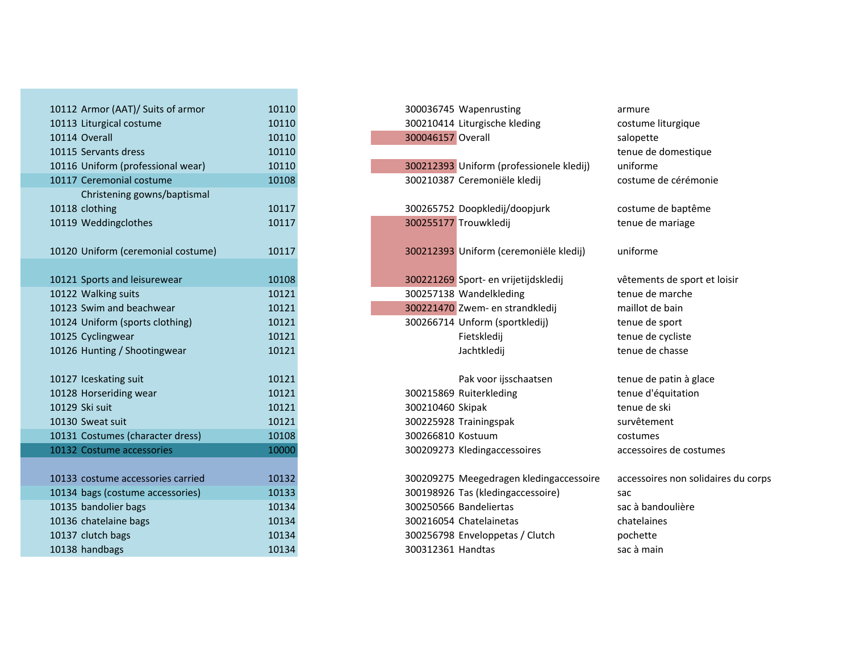| 10112 Armor (AAT)/ Suits of armor  | 10110 | 300036745 Wapenrusting                   | armure             |
|------------------------------------|-------|------------------------------------------|--------------------|
| 10113 Liturgical costume           | 10110 | 300210414 Liturgische kleding            | costume liturgiqu  |
| 10114 Overall                      | 10110 | 300046157 Overall                        | salopette          |
| 10115 Servants dress               | 10110 |                                          | tenue de domest    |
| 10116 Uniform (professional wear)  | 10110 | 300212393 Uniform (professionele kledij) | uniforme           |
| 10117 Ceremonial costume           | 10108 | 300210387 Ceremoniële kledij             | costume de céré    |
| Christening gowns/baptismal        |       |                                          |                    |
| 10118 clothing                     | 10117 | 300265752 Doopkledij/doopjurk            | costume de bapt    |
| 10119 Weddingclothes               | 10117 | 300255177 Trouwkledij                    | tenue de mariag    |
|                                    |       |                                          |                    |
| 10120 Uniform (ceremonial costume) | 10117 | 300212393 Uniform (ceremoniële kledij)   | uniforme           |
|                                    |       |                                          |                    |
| 10121 Sports and leisurewear       | 10108 | 300221269 Sport- en vrijetijdskledij     | vêtements de sp    |
| 10122 Walking suits                | 10121 | 300257138 Wandelkleding                  | tenue de marche    |
| 10123 Swim and beachwear           | 10121 | 300221470 Zwem- en strandkledij          | maillot de bain    |
| 10124 Uniform (sports clothing)    | 10121 | 300266714 Unform (sportkledij)           | tenue de sport     |
| 10125 Cyclingwear                  | 10121 | Fietskledij                              | tenue de cycliste  |
| 10126 Hunting / Shootingwear       | 10121 | Jachtkledij                              | tenue de chasse    |
|                                    |       |                                          |                    |
| 10127 Iceskating suit              | 10121 | Pak voor ijsschaatsen                    | tenue de patin à   |
| 10128 Horseriding wear             | 10121 | 300215869 Ruiterkleding                  | tenue d'équitation |
| 10129 Ski suit                     | 10121 | 300210460 Skipak                         | tenue de ski       |
| 10130 Sweat suit                   | 10121 | 300225928 Trainingspak                   | survêtement        |
| 10131 Costumes (character dress)   | 10108 | 300266810 Kostuum                        | costumes           |
| 10132 Costume accessories          | 10000 | 300209273 Kledingaccessoires             | accessoires de co  |
|                                    |       |                                          |                    |
| 10133 costume accessories carried  | 10132 | 300209275 Meegedragen kledingaccessoire  | accessoires non :  |
| 10134 bags (costume accessories)   | 10133 | 300198926 Tas (kledingaccessoire)        | sac                |
| 10135 bandolier bags               | 10134 | 300250566 Bandeliertas                   | sac à bandoulièr   |
| 10136 chatelaine bags              | 10134 | 300216054 Chatelainetas                  | chatelaines        |
| 10137 clutch bags                  | 10134 | 300256798 Enveloppetas / Clutch          | pochette           |
| 10138 handbags                     | 10134 | 300312361 Handtas                        | sac à main         |

800212393 Uniform (professionele kledij) uniforme<br>300210387 Ceremoniële kledij veare costume de cérémonie 300210387 Ceremoniële kledij

300265752 Doopkledij/doopjurk costume de baptême<br>300255177 Trouwkledij costume de mariage 300255177 Trouwkledij

100221269 Sport- en vrijetijdskledij verboordig veer verents de sport et loisir<br>100257138 Wandelkleding van verboordig van de marche 300257138 Wandelkleding tenue de march<br>300221470 Zwem- en strandkledii maillot de bain 300221470 Zwem- en strandkledij 300266714 Unform (sportkledij)

Pak voor ijsschaatsen is tenue de patin à glace<br>
Ruiterkleding is tenue d'équitation Horseriding 100215869 Ruiterkleding websites tenue d'équitation de skilland and tenue de skilland and tenue de<br>Acceleration de skilland and tenue de skilland and tenue de skilland and tenue de skilland and tenue de skilla Solozio 101210460 Skipak tenue de skipak tenue de skipak tenue de skipak tenue de skipak tenue de skipak tenue <br>Solozio 101225928 Trainingspak tenue de skipak tenue de skipak tenue de skipak tenue de skipak tenue de skipak 300225928 Trainingspak 300266810 Kostuum 300209273 Kledingaccessoires

100209275 Meegedragen kledingaccessoire accessoires non solidaires du corps<br>100198926 Tas (kledingaccessoire) sac Bagas (dedingaccessoire) 500198926 Tas (kledingaccessoire) sac<br>100250566 Bandeliertas saca bandoulière bandolier bags <sup>10134</sup> <sup>300250566</sup> Bandeliertas sac à bandoulière 300216054 Chatelainetas 300256798 Enveloppetas / Clutch<br>300312361 Handtas 8 handbags 10134 **300312361** Handtas sac à main

tenue de domestique<br>uniforme

tenue de sport

costumes<br>accessoires de costumes

pochette<br>sac à main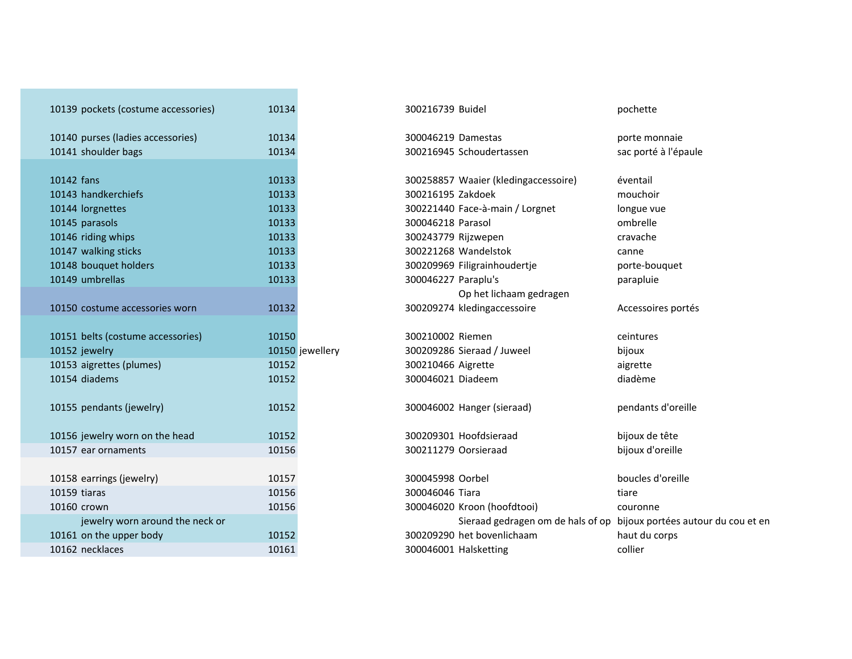| 10139 pockets (costume accessories) | 10134           | 300216739 Buidel                                 | pochette         |
|-------------------------------------|-----------------|--------------------------------------------------|------------------|
| 10140 purses (ladies accessories)   | 10134           | 300046219 Damestas                               | porte monnaie    |
| 10141 shoulder bags                 | 10134           | 300216945 Schoudertassen                         | sac porté à l'ép |
|                                     |                 |                                                  |                  |
| 10142 fans                          | 10133           | 300258857 Waaier (kledingaccessoire)             | éventail         |
| 10143 handkerchiefs                 | 10133           | 300216195 Zakdoek                                | mouchoir         |
| 10144 lorgnettes                    | 10133           | 300221440 Face-à-main / Lorgnet                  | longue vue       |
| 10145 parasols                      | 10133           | 300046218 Parasol                                | ombrelle         |
| 10146 riding whips                  | 10133           | 300243779 Rijzwepen                              | cravache         |
| 10147 walking sticks                | 10133           | 300221268 Wandelstok                             | canne            |
| 10148 bouquet holders               | 10133           | 300209969 Filigrainhoudertje                     | porte-bouquet    |
| 10149 umbrellas                     | 10133           | 300046227 Paraplu's                              | parapluie        |
|                                     |                 | Op het lichaam gedragen                          |                  |
| 10150 costume accessories worn      | 10132           | 300209274 kledingaccessoire                      | Accessoires po   |
| 10151 belts (costume accessories)   | 10150           | 300210002 Riemen                                 | ceintures        |
| 10152 jewelry                       | 10150 jewellery | 300209286 Sieraad / Juweel                       | bijoux           |
| 10153 aigrettes (plumes)            | 10152           | 300210466 Aigrette                               | aigrette         |
| 10154 diadems                       | 10152           | 300046021 Diadeem                                | diadème          |
| 10155 pendants (jewelry)            | 10152           | 300046002 Hanger (sieraad)                       | pendants d'ore   |
| 10156 jewelry worn on the head      | 10152           | 300209301 Hoofdsieraad                           | bijoux de tête   |
| 10157 ear ornaments                 | 10156           | 300211279 Oorsieraad                             | bijoux d'oreille |
| 10158 earrings (jewelry)            | 10157           | 300045998 Oorbel                                 | boucles d'oreil  |
| 10159 tiaras                        | 10156           | 300046046 Tiara                                  | tiare            |
| 10160 crown                         | 10156           | 300046020 Kroon (hoofdtooi)                      | couronne         |
| jewelry worn around the neck or     |                 | Sieraad gedragen om de hals of op bijoux portées |                  |
| 10161 on the upper body             | 10152           | 300209290 het bovenlichaam                       | haut du corps    |
| 10162 necklaces                     | 10161           | 300046001 Halsketting                            | collier          |
|                                     |                 |                                                  |                  |

| 300216739 Buide |  |
|-----------------|--|
|-----------------|--|

<sup>10142</sup> fans <sup>10133</sup> <sup>300258857</sup> Waaier (kledingaccessoire) éventail 300221440 Face-à-main / Lorgnet longue vue<br>300046218 Parasol longue vue ombrelle 300243779 Rijzwepen 300221268 Wandelstok<br>300209969 Filigrainhoudertje enter bouquet 300209969 Filigrainhoudertje 300046227 Paraplu's parapluie Op het lichaam gedragen kledingaccessoire Accessoires portés

<sup>10155</sup> pendants (jewelry) <sup>10152</sup> <sup>300046002</sup> Hanger (sieraad) pendants d'oreille

<sup>10158</sup> earrings (jewelry) <sup>10157</sup> <sup>300045998</sup> Oorbel boucles d'oreille <sup>10156</sup> <sup>300046020</sup> Kroon (hoofdtooi) couronne 2 necklaces and the collier collier collier and the set of 10161 and 300046001 Halsketting collier Sieraad gedragen om de hals of op bijoux portées autour du cou et en 300209290 het bovenlichaam haut du corps

bijoux d'oreille

cravache<br>canne

sac porté à l'épaule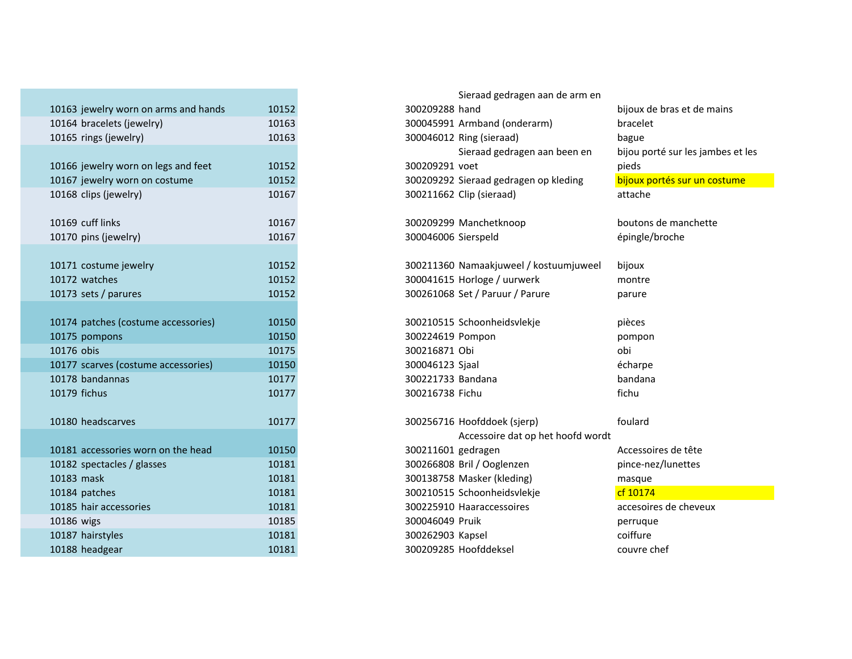| 10163 jewelry worn on arms and hands | 10152 |
|--------------------------------------|-------|
| 10164 bracelets (jewelry)            | 10163 |
| 10165 rings (jewelry)                | 10163 |
|                                      |       |
| 10166 jewelry worn on legs and feet  | 10152 |
| 10167 jewelry worn on costume        | 10152 |
| 10168 clips (jewelry)                | 10167 |
| 10169 cuff links                     |       |
| 10170 pins (jewelry)                 | 10167 |
|                                      | 10167 |
| 10171 costume jewelry                | 10152 |
| 10172 watches                        | 10152 |
| 10173 sets / parures                 | 10152 |
|                                      |       |
| 10174 patches (costume accessories)  | 10150 |
| 10175 pompons                        | 10150 |
| 10176 obis                           | 10175 |
| 10177 scarves (costume accessories)  | 10150 |
| 10178 bandannas                      | 10177 |
| 10179 fichus                         | 10177 |
|                                      |       |
| 10180 headscarves                    | 10177 |
|                                      |       |
| 10181 accessories worn on the head   | 10150 |
| 10182 spectacles / glasses           | 10181 |
| 10183 mask                           | 10181 |
| 10184 patches                        | 10181 |
| 10185 hair accessories               | 10181 |
| 10186 wigs                           | 10185 |
| 10187 hairstyles                     | 10181 |
| 10188 headgear                       | 10181 |

|                                      |       |                     | Sieraad gedragen aan de arm en         |                                   |
|--------------------------------------|-------|---------------------|----------------------------------------|-----------------------------------|
| 10163 jewelry worn on arms and hands | 10152 | 300209288 hand      |                                        | bijoux de bras et de mains        |
| 10164 bracelets (jewelry)            | 10163 |                     | 300045991 Armband (onderarm)           | bracelet                          |
| 10165 rings (jewelry)                | 10163 |                     | 300046012 Ring (sieraad)               | bague                             |
|                                      |       |                     | Sieraad gedragen aan been en           | bijou porté sur les jambes et les |
| 10166 jewelry worn on legs and feet  | 10152 | 300209291 voet      |                                        | pieds                             |
| 10167 jewelry worn on costume        | 10152 |                     | 300209292 Sieraad gedragen op kleding  | bijoux portés sur un costume      |
| 10168 clips (jewelry)                | 10167 |                     | 300211662 Clip (sieraad)               | attache                           |
|                                      |       |                     |                                        |                                   |
| 10169 cuff links                     | 10167 |                     | 300209299 Manchetknoop                 | boutons de manchette              |
| 10170 pins (jewelry)                 | 10167 | 300046006 Sierspeld |                                        | épingle/broche                    |
|                                      |       |                     |                                        |                                   |
| 10171 costume jewelry                | 10152 |                     | 300211360 Namaakjuweel / kostuumjuweel | bijoux                            |
| 10172 watches                        | 10152 |                     | 300041615 Horloge / uurwerk            | montre                            |
| 10173 sets / parures                 | 10152 |                     | 300261068 Set / Paruur / Parure        | parure                            |
|                                      |       |                     |                                        |                                   |
| 10174 patches (costume accessories)  | 10150 |                     | 300210515 Schoonheidsvlekje            | pièces                            |
| 10175 pompons                        | 10150 | 300224619 Pompon    |                                        | pompon                            |
| 10176 obis                           | 10175 | 300216871 Obi       |                                        | obi                               |
| 10177 scarves (costume accessories)  | 10150 | 300046123 Sjaal     |                                        | écharpe                           |
| 10178 bandannas                      | 10177 | 300221733 Bandana   |                                        | bandana                           |
| 10179 fichus                         | 10177 | 300216738 Fichu     |                                        | fichu                             |
|                                      |       |                     |                                        |                                   |
| 10180 headscarves                    | 10177 |                     | 300256716 Hoofddoek (sjerp)            | foulard                           |
|                                      |       |                     | Accessoire dat op het hoofd wordt      |                                   |
| 10181 accessories worn on the head   | 10150 | 300211601 gedragen  |                                        | Accessoires de tête               |
| 10182 spectacles / glasses           | 10181 |                     | 300266808 Bril / Ooglenzen             | pince-nez/lunettes                |
| 10183 mask                           | 10181 |                     | 300138758 Masker (kleding)             | masque                            |
| 10184 patches                        | 10181 |                     | 300210515 Schoonheidsvlekje            | cf 10174                          |
| 10185 hair accessories               | 10181 |                     | 300225910 Haaraccessoires              | accesoires de cheveux             |
| 10186 wigs                           | 10185 | 300046049 Pruik     |                                        | perruque                          |
| 10187 hairstyles                     | 10181 | 300262903 Kapsel    |                                        | coiffure                          |
| 10188 headgear                       | 10181 |                     | 300209285 Hoofddeksel                  | couvre chef                       |
|                                      |       |                     |                                        |                                   |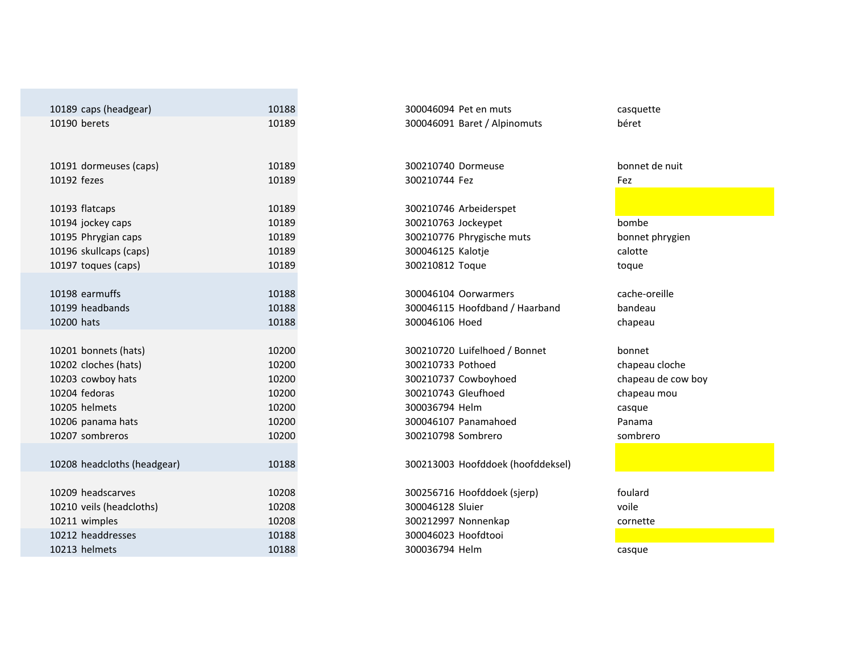| 10189 caps (headgear)       | 10188 | 300046094 Pet en muts             | casquette      |
|-----------------------------|-------|-----------------------------------|----------------|
| 10190 berets                | 10189 | 300046091 Baret / Alpinomuts      | béret          |
|                             |       |                                   |                |
|                             |       |                                   |                |
| 10191 dormeuses (caps)      | 10189 | 300210740 Dormeuse                | bonnet de nuit |
| 10192 fezes                 | 10189 | 300210744 Fez                     | Fez            |
|                             |       |                                   |                |
| 10193 flatcaps              | 10189 | 300210746 Arbeiderspet            |                |
| 10194 jockey caps           | 10189 | 300210763 Jockeypet               | bombe          |
| 10195 Phrygian caps         | 10189 | 300210776 Phrygische muts         | bonnet phrygie |
| 10196 skullcaps (caps)      | 10189 | 300046125 Kalotje                 | calotte        |
| 10197 toques (caps)         | 10189 | 300210812 Toque                   | toque          |
|                             |       |                                   |                |
| 10198 earmuffs              | 10188 | 300046104 Oorwarmers              | cache-oreille  |
| 10199 headbands             | 10188 | 300046115 Hoofdband / Haarband    | bandeau        |
| 10200 hats                  | 10188 | 300046106 Hoed                    | chapeau        |
|                             |       |                                   |                |
| 10201 bonnets (hats)        | 10200 | 300210720 Luifelhoed / Bonnet     | bonnet         |
| 10202 cloches (hats)        | 10200 | 300210733 Pothoed                 | chapeau cloch  |
| 10203 cowboy hats           | 10200 | 300210737 Cowboyhoed              | chapeau de co  |
| 10204 fedoras               | 10200 | 300210743 Gleufhoed               | chapeau mou    |
| 10205 helmets               | 10200 | 300036794 Helm                    | casque         |
| 10206 panama hats           | 10200 | 300046107 Panamahoed              | Panama         |
| 10207 sombreros             | 10200 | 300210798 Sombrero                | sombrero       |
|                             |       |                                   |                |
| 10208 headcloths (headgear) | 10188 | 300213003 Hoofddoek (hoofddeksel) |                |
|                             |       |                                   |                |
| 10209 headscarves           | 10208 | 300256716 Hoofddoek (sjerp)       | foulard        |
| 10210 veils (headcloths)    | 10208 | 300046128 Sluier                  | voile          |
| 10211 wimples               | 10208 | 300212997 Nonnenkap               | cornette       |
| 10212 headdresses           | 10188 | 300046023 Hoofdtooi               |                |
| 10213 helmets               | 10188 | 300036794 Helm                    | casque         |

100256716 Hoofddoek (sjerp) foulard<br>100046128 Sluier foulard voile 300212997 Nonnenkap 300046023 Hoofdtooi 300036794 Helm m casque

 bandeau chapeau

 chapeau cloche chapeau de cow boy chapeau mou Panama sombrero

cornette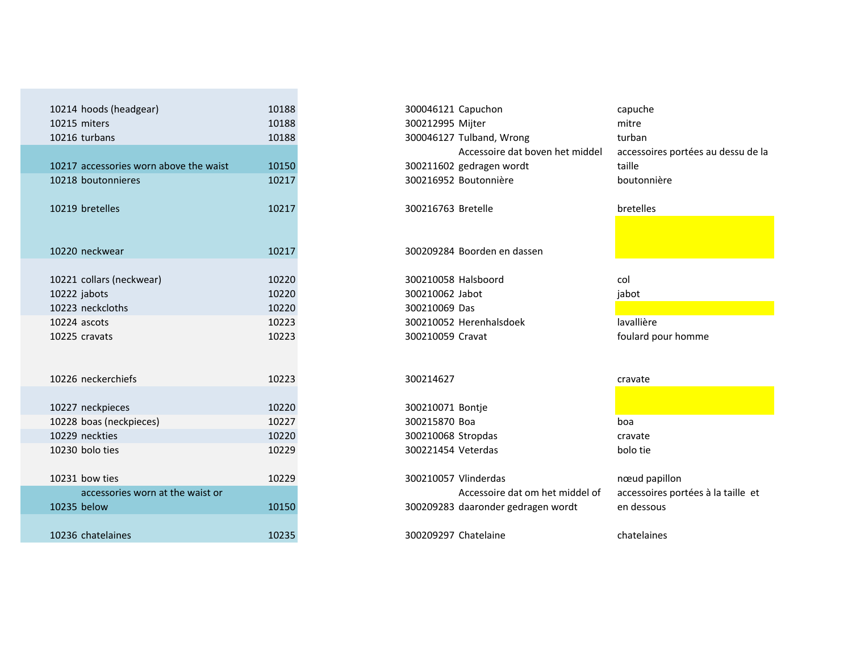| 10214 hoods (headgear)                 | 10188 | 300046121 Capuchon                 |
|----------------------------------------|-------|------------------------------------|
| 10215 miters                           | 10188 | 300212995 Mijter                   |
| 10216 turbans                          | 10188 | 300046127 Tulband, Wrong           |
|                                        |       | Accessoire dat boven het middel    |
| 10217 accessories worn above the waist | 10150 | 300211602 gedragen wordt           |
| 10218 boutonnieres                     | 10217 | 300216952 Boutonnière              |
| 10219 bretelles                        | 10217 | 300216763 Bretelle                 |
| 10220 neckwear                         | 10217 | 300209284 Boorden en dassen        |
| 10221 collars (neckwear)               | 10220 | 300210058 Halsboord                |
| 10222 jabots                           | 10220 | 300210062 Jabot                    |
| 10223 neckcloths                       | 10220 | 300210069 Das                      |
| 10224 ascots                           | 10223 | 300210052 Herenhalsdoek            |
| 10225 cravats                          | 10223 | 300210059 Cravat                   |
| 10226 neckerchiefs                     | 10223 | 300214627                          |
| 10227 neckpieces                       | 10220 | 300210071 Bontje                   |
| 10228 boas (neckpieces)                | 10227 | 300215870 Boa                      |
| 10229 neckties                         | 10220 | 300210068 Stropdas                 |
| 10230 bolo ties                        | 10229 | 300221454 Veterdas                 |
| 10231 bow ties                         | 10229 | 300210057 Vlinderdas               |
| accessories worn at the waist or       |       | Accessoire dat om het middel of    |
| 10235 below                            | 10150 | 300209283 daaronder gedragen wordt |
| 10236 chatelaines                      | 10235 | 300209297 Chatelaine               |

| 10214 hoods (headgear)                 | 10188 | 300046121 Capuchon                 | capuche                            |
|----------------------------------------|-------|------------------------------------|------------------------------------|
| 10215 miters                           | 10188 | 300212995 Mijter                   | mitre                              |
| 10216 turbans                          | 10188 | 300046127 Tulband, Wrong           | turban                             |
|                                        |       | Accessoire dat boven het middel    | accessoires portées au dessu de la |
| 10217 accessories worn above the waist | 10150 | 300211602 gedragen wordt           | taille                             |
| 10218 boutonnieres                     | 10217 | 300216952 Boutonnière              | boutonnière                        |
|                                        |       |                                    |                                    |
| 10219 bretelles                        | 10217 | 300216763 Bretelle                 | bretelles                          |
|                                        |       |                                    |                                    |
|                                        |       |                                    |                                    |
| 10220 neckwear                         | 10217 | 300209284 Boorden en dassen        |                                    |
|                                        |       |                                    |                                    |
| 10221 collars (neckwear)               | 10220 | 300210058 Halsboord                | col                                |
| 10222 jabots                           | 10220 | 300210062 Jabot                    | jabot                              |
| 10223 neckcloths                       | 10220 | 300210069 Das                      |                                    |
| 10224 ascots                           | 10223 | 300210052 Herenhalsdoek            | lavallière                         |
| 10225 cravats                          | 10223 | 300210059 Cravat                   | foulard pour homme                 |
|                                        |       |                                    |                                    |
|                                        |       |                                    |                                    |
| 10226 neckerchiefs                     | 10223 | 300214627                          | cravate                            |
|                                        |       |                                    |                                    |
| 10227 neckpieces                       | 10220 | 300210071 Bontje                   |                                    |
| 10228 boas (neckpieces)                | 10227 | 300215870 Boa                      | boa                                |
| 10229 neckties                         | 10220 | 300210068 Stropdas                 | cravate                            |
| 10230 bolo ties                        | 10229 | 300221454 Veterdas                 | bolo tie                           |
|                                        |       |                                    |                                    |
| 10231 bow ties                         | 10229 | 300210057 Vlinderdas               | nœud papillon                      |
| accessories worn at the waist or       |       | Accessoire dat om het middel of    | accessoires portées à la taille et |
| 10235 below                            | 10150 | 300209283 daaronder gedragen wordt | en dessous                         |
|                                        |       |                                    |                                    |
| 10236 chatelaines                      | 10235 | 300209297 Chatelaine               | chatelaines                        |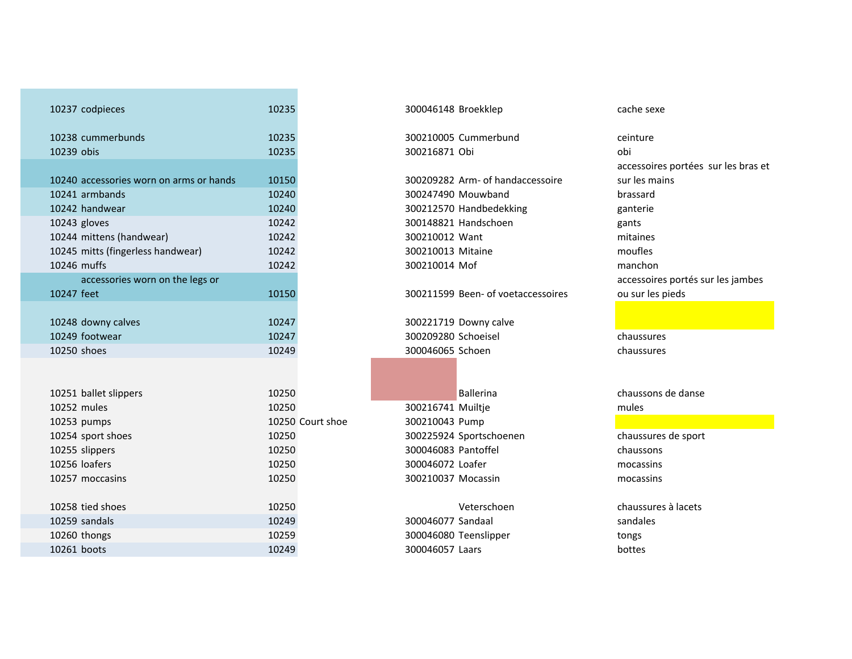| 10237 codpieces                         | 10235            | 300046148 Broekklep                | cache sexe           |
|-----------------------------------------|------------------|------------------------------------|----------------------|
| 10238 cummerbunds                       | 10235            | 300210005 Cummerbund               | ceinture             |
| 10239 obis                              | 10235            | 300216871 Obi                      | obi                  |
|                                         |                  |                                    | accessoires portées  |
| 10240 accessories worn on arms or hands | 10150            | 300209282 Arm- of handaccessoire   | sur les mains        |
| 10241 armbands                          | 10240            | 300247490 Mouwband                 | brassard             |
| 10242 handwear                          | 10240            | 300212570 Handbedekking            | ganterie             |
| 10243 gloves                            | 10242            | 300148821 Handschoen               | gants                |
| 10244 mittens (handwear)                | 10242            | 300210012 Want                     | mitaines             |
| 10245 mitts (fingerless handwear)       | 10242            | 300210013 Mitaine                  | moufles              |
| 10246 muffs                             | 10242            | 300210014 Mof                      | manchon              |
| accessories worn on the legs or         |                  |                                    | accessoires portés s |
| 10247 feet                              | 10150            | 300211599 Been- of voetaccessoires | ou sur les pieds     |
|                                         |                  |                                    |                      |
| 10248 downy calves                      | 10247            | 300221719 Downy calve              |                      |
| 10249 footwear                          | 10247            | 300209280 Schoeisel                | chaussures           |
| 10250 shoes                             | 10249            | 300046065 Schoen                   | chaussures           |
|                                         |                  |                                    |                      |
|                                         |                  |                                    |                      |
| 10251 ballet slippers                   | 10250            | <b>Ballerina</b>                   | chaussons de danse   |
| 10252 mules                             | 10250            | 300216741 Muiltje                  | mules                |
| 10253 pumps                             | 10250 Court shoe | 300210043 Pump                     |                      |
| 10254 sport shoes                       | 10250            | 300225924 Sportschoenen            | chaussures de sport  |
| 10255 slippers                          | 10250            | 300046083 Pantoffel                | chaussons            |
| 10256 loafers                           | 10250            | 300046072 Loafer                   | mocassins            |
| 10257 moccasins                         | 10250            | 300210037 Mocassin                 | mocassins            |
|                                         |                  |                                    |                      |
| 10258 tied shoes                        | 10250            | Veterschoen                        | chaussures à lacets  |
| 10259 sandals                           | 10249            | 300046077 Sandaal                  | sandales             |
| 10260 thongs                            | 10259            | 300046080 Teenslipper              | tongs                |
| 10261 boots                             | 10249            | 300046057 Laars                    | bottes               |
|                                         |                  |                                    |                      |

#### <sup>10237</sup> codpieces <sup>10235</sup> <sup>300046148</sup> Broekklep cache sexe

accessoires portées sur les bras et sur les mains brassard gants<br>mitaines accessoires portés sur les jambes ou sur les pieds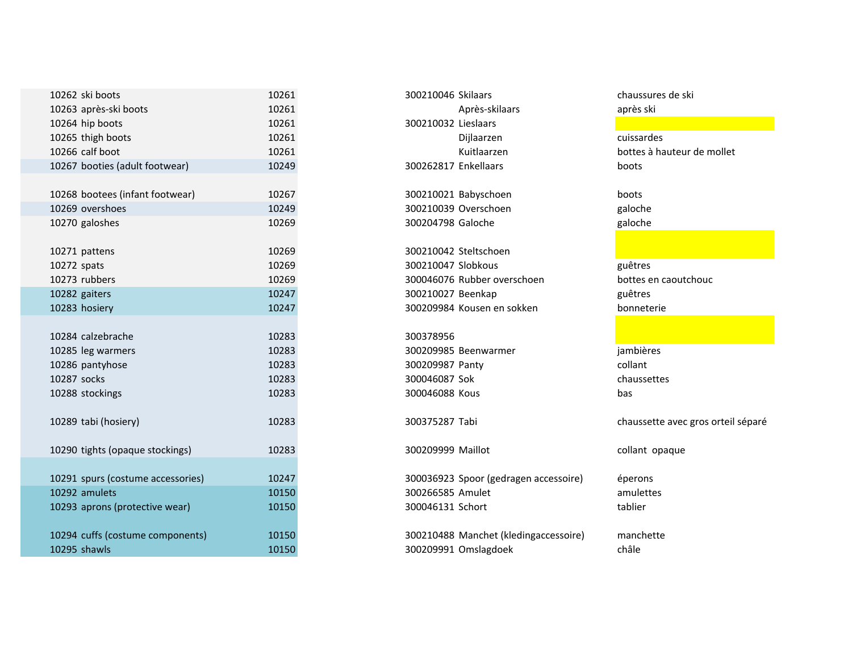| 10262 ski boots                   | 10261 | 300210046 Skilaars                    | chaussures de ski     |
|-----------------------------------|-------|---------------------------------------|-----------------------|
| 10263 après-ski boots             | 10261 | Après-skilaars                        | après ski             |
| 10264 hip boots                   | 10261 | 300210032 Lieslaars                   |                       |
| 10265 thigh boots                 | 10261 | Dijlaarzen                            | cuissardes            |
| 10266 calf boot                   | 10261 | Kuitlaarzen                           | bottes à hauteur de n |
| 10267 booties (adult footwear)    | 10249 | 300262817 Enkellaars                  | boots                 |
|                                   |       |                                       |                       |
| 10268 bootees (infant footwear)   | 10267 | 300210021 Babyschoen                  | boots                 |
| 10269 overshoes                   | 10249 | 300210039 Overschoen                  | galoche               |
| 10270 galoshes                    | 10269 | 300204798 Galoche                     | galoche               |
|                                   |       |                                       |                       |
| 10271 pattens                     | 10269 | 300210042 Steltschoen                 |                       |
| 10272 spats                       | 10269 | 300210047 Slobkous                    | guêtres               |
| 10273 rubbers                     | 10269 | 300046076 Rubber overschoen           | bottes en caoutchoud  |
| 10282 gaiters                     | 10247 | 300210027 Beenkap                     | guêtres               |
| 10283 hosiery                     | 10247 | 300209984 Kousen en sokken            | bonneterie            |
|                                   |       |                                       |                       |
| 10284 calzebrache                 | 10283 | 300378956                             |                       |
| 10285 leg warmers                 | 10283 | 300209985 Beenwarmer                  | jambières             |
| 10286 pantyhose                   | 10283 | 300209987 Panty                       | collant               |
| 10287 socks                       | 10283 | 300046087 Sok                         | chaussettes           |
| 10288 stockings                   | 10283 | 300046088 Kous                        | bas                   |
|                                   |       |                                       |                       |
| 10289 tabi (hosiery)              | 10283 | 300375287 Tabi                        | chaussette avec gros  |
| 10290 tights (opaque stockings)   | 10283 | 300209999 Maillot                     | collant opaque        |
|                                   |       |                                       |                       |
| 10291 spurs (costume accessories) | 10247 | 300036923 Spoor (gedragen accessoire) | éperons               |
| 10292 amulets                     | 10150 | 300266585 Amulet                      | amulettes             |
| 10293 aprons (protective wear)    | 10150 | 300046131 Schort                      | tablier               |
|                                   |       |                                       |                       |
| 10294 cuffs (costume components)  | 10150 | 300210488 Manchet (kledingaccessoire) | manchette             |
| 10295 shawls                      | 10150 | 300209991 Omslagdoek                  | châle                 |

| 300210046 Skilaars   |                            |
|----------------------|----------------------------|
|                      | Après-skilaars             |
| 300210032 Lieslaars  |                            |
|                      | Dijlaarzen                 |
|                      | Kuitlaarzen                |
| 300262817 Enkellaars |                            |
|                      | 300210021 Babyschoen       |
|                      | 300210039 Overschoen       |
| 300204798 Galoche    |                            |
|                      |                            |
|                      | 300210042 Steltschoen      |
| 300210047 Slobkous   |                            |
|                      | 300046076 Rubber overscho  |
| 300210027 Beenkap    |                            |
|                      | 300209984 Kousen en sokker |
|                      |                            |
| 300378956            |                            |
|                      | 300209985 Beenwarmer       |
| 300209987 Panty      |                            |
| 300046087 Sok        |                            |
| 300046088 Kous       |                            |
| 300375287 Tabi       |                            |
|                      |                            |
| 300209999 Maillot    |                            |
|                      | 300036923 Spoor (gedragen  |
| 300266585 Amulet     |                            |
| 300046131 Schort     |                            |
|                      |                            |

 bottes à hauteur de mollet galoche<br>galoche guêtres

chaussette avec gros orteil séparé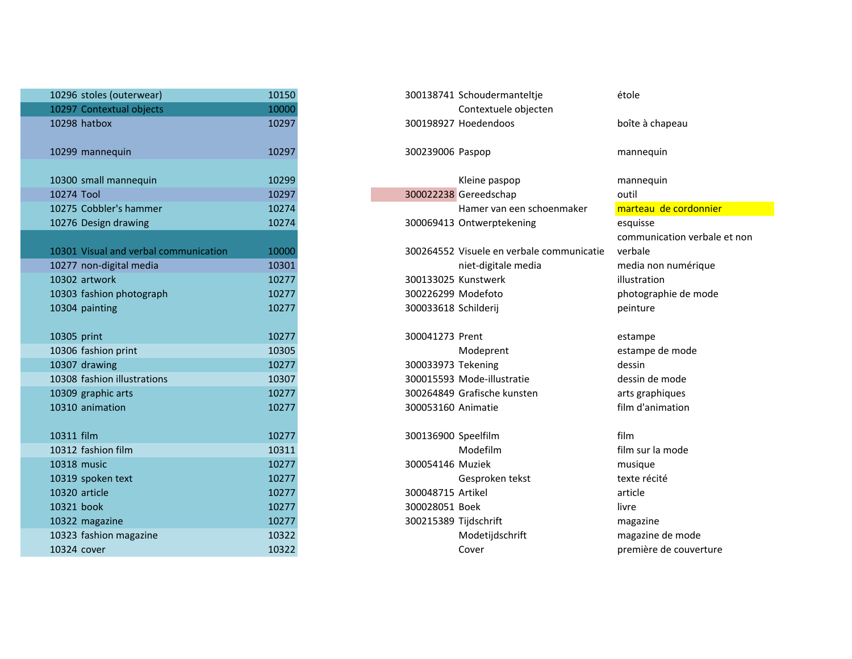| 10296 stoles (outerwear)              | 10150 | 300138741 Schoudermanteltje               | étole         |
|---------------------------------------|-------|-------------------------------------------|---------------|
| 10297 Contextual objects              | 10000 | Contextuele objecten                      |               |
| 10298 hatbox                          | 10297 | 300198927 Hoedendoos                      | boîte à cha   |
| 10299 mannequin                       | 10297 | 300239006 Paspop                          | mannequin     |
| 10300 small mannequin                 | 10299 | Kleine paspop                             | mannequin     |
| 10274 Tool                            | 10297 | 300022238 Gereedschap                     | outil         |
| 10275 Cobbler's hammer                | 10274 | Hamer van een schoenmaker                 | marteau d     |
| 10276 Design drawing                  | 10274 | 300069413 Ontwerptekening                 | esquisse      |
|                                       |       |                                           | communica     |
| 10301 Visual and verbal communication | 10000 | 300264552 Visuele en verbale communicatie | verbale       |
| 10277 non-digital media               | 10301 | niet-digitale media                       | media non     |
| 10302 artwork                         | 10277 | 300133025 Kunstwerk                       | illustration  |
| 10303 fashion photograph              | 10277 | 300226299 Modefoto                        | photograph    |
| 10304 painting                        | 10277 | 300033618 Schilderij                      | peinture      |
| 10305 print                           | 10277 | 300041273 Prent                           | estampe       |
| 10306 fashion print                   | 10305 | Modeprent                                 | estampe de    |
| 10307 drawing                         | 10277 | 300033973 Tekening                        | dessin        |
| 10308 fashion illustrations           | 10307 | 300015593 Mode-illustratie                | dessin de n   |
| 10309 graphic arts                    | 10277 | 300264849 Grafische kunsten               | arts graphi   |
| 10310 animation                       | 10277 | 300053160 Animatie                        | film d'anim   |
| 10311 film                            | 10277 | 300136900 Speelfilm                       | film          |
| 10312 fashion film                    | 10311 | Modefilm                                  | film sur la r |
| 10318 music                           | 10277 | 300054146 Muziek                          | musique       |
| 10319 spoken text                     | 10277 | Gesproken tekst                           | texte récité  |
| 10320 article                         | 10277 | 300048715 Artikel                         | article       |
| 10321 book                            | 10277 | 300028051 Boek                            | livre         |
| 10322 magazine                        | 10277 | 300215389 Tijdschrift                     | magazine      |
| 10323 fashion magazine                | 10322 | Modetijdschrift                           | magazine d    |
| 10324 cover                           | 10322 | Cover                                     | première d    |

| 6 stoles (outerwear)              | 10150 |                       | 300138741 Schoudermanteltje               | étole                        |
|-----------------------------------|-------|-----------------------|-------------------------------------------|------------------------------|
| 7 Contextual objects              | 10000 |                       | Contextuele objecten                      |                              |
| 8 hatbox                          | 10297 |                       | 300198927 Hoedendoos                      | boîte à chapeau              |
| 9 mannequin                       | 10297 | 300239006 Paspop      |                                           | mannequin                    |
| 0 small mannequin                 | 10299 |                       | Kleine paspop                             | mannequin                    |
| 4 Tool                            | 10297 |                       | 300022238 Gereedschap                     | outil                        |
| 5 Cobbler's hammer                | 10274 |                       | Hamer van een schoenmaker                 | marteau de cordonnier        |
| 6 Design drawing                  | 10274 |                       | 300069413 Ontwerptekening                 | esquisse                     |
|                                   |       |                       |                                           | communication verbale et non |
| 1 Visual and verbal communication | 10000 |                       | 300264552 Visuele en verbale communicatie | verbale                      |
| 7 non-digital media               | 10301 |                       | niet-digitale media                       | media non numérique          |
| 2 artwork                         | 10277 | 300133025 Kunstwerk   |                                           | illustration                 |
| 3 fashion photograph              | 10277 | 300226299 Modefoto    |                                           | photographie de mode         |
| 4 painting                        | 10277 | 300033618 Schilderij  |                                           | peinture                     |
|                                   |       |                       |                                           |                              |
| 5 print                           | 10277 | 300041273 Prent       |                                           | estampe                      |
| 6 fashion print                   | 10305 |                       | Modeprent                                 | estampe de mode              |
| 7 drawing                         | 10277 | 300033973 Tekening    |                                           | dessin                       |
| 8 fashion illustrations           | 10307 |                       | 300015593 Mode-illustratie                | dessin de mode               |
| 9 graphic arts                    | 10277 |                       | 300264849 Grafische kunsten               | arts graphiques              |
| 0 animation                       | 10277 | 300053160 Animatie    |                                           | film d'animation             |
|                                   |       |                       |                                           |                              |
| 1 film                            | 10277 | 300136900 Speelfilm   |                                           | film                         |
| 2 fashion film                    | 10311 |                       | Modefilm                                  | film sur la mode             |
| 8 music                           | 10277 | 300054146 Muziek      |                                           | musique                      |
| 9 spoken text                     | 10277 |                       | Gesproken tekst                           | texte récité                 |
| 0 article                         | 10277 | 300048715 Artikel     |                                           | article                      |
| 1 book                            | 10277 | 300028051 Boek        |                                           | livre                        |
| 2 magazine                        | 10277 | 300215389 Tijdschrift |                                           | magazine                     |
| 3 fashion magazine                | 10322 |                       | Modetijdschrift                           | magazine de mode             |
| 4 cover                           | 10322 |                       | Cover                                     | première de couverture       |
|                                   |       |                       |                                           |                              |
|                                   |       |                       |                                           |                              |
|                                   |       |                       |                                           |                              |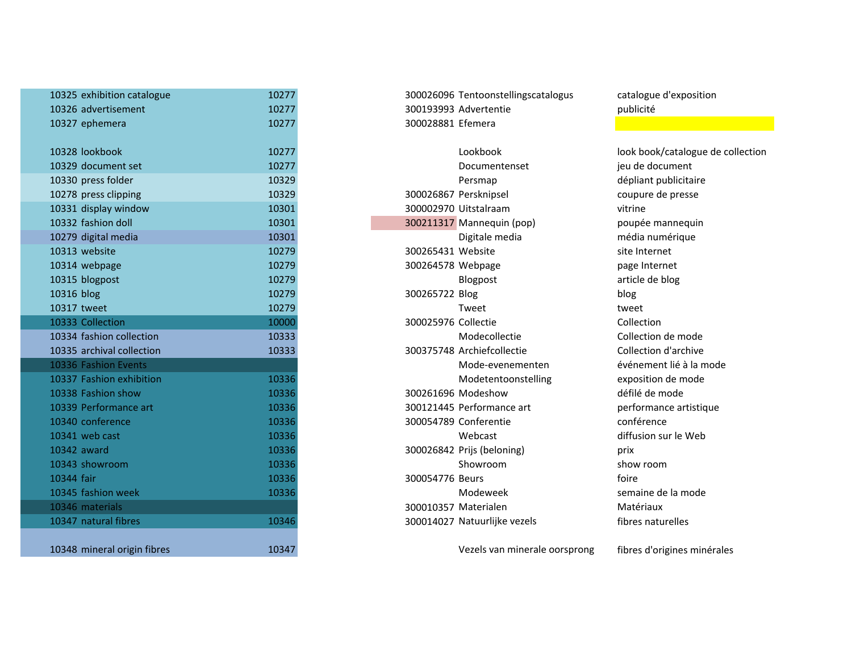| 10325 exhibition catalogue  | 10277 | 300026096 Tentoonstellingscatalogus    | catalogue d'expositi  |
|-----------------------------|-------|----------------------------------------|-----------------------|
| 10326 advertisement         | 10277 | 300193993 Advertentie                  | publicité             |
| 10327 ephemera              | 10277 | 300028881 Efemera                      |                       |
| 10328 lookbook              | 10277 | Lookbook                               | look book/catalogue   |
| 10329 document set          | 10277 | Documentenset                          | jeu de document       |
| 10330 press folder          | 10329 | Persmap                                | dépliant publicitaire |
| 10278 press clipping        | 10329 | 300026867 Persknipsel                  | coupure de presse     |
| 10331 display window        | 10301 | 300002970 Uitstalraam                  | vitrine               |
| 10332 fashion doll          | 10301 | 300211317 Mannequin (pop)              | poupée mannequin      |
| 10279 digital media         | 10301 | Digitale media                         | média numérique       |
| 10313 website               | 10279 | 300265431 Website                      | site Internet         |
| 10314 webpage               | 10279 | 300264578 Webpage                      | page Internet         |
| 10315 blogpost              | 10279 | Blogpost                               | article de blog       |
| 10316 blog                  | 10279 | 300265722 Blog                         |                       |
| 10317 tweet                 | 10279 | Tweet                                  | blog<br>tweet         |
| 10333 Collection            | 10000 | 300025976 Collectie                    | Collection            |
| 10334 fashion collection    | 10333 | Modecollectie                          | Collection de mode    |
| 10335 archival collection   | 10333 | 300375748 Archiefcollectie             | Collection d'archive  |
| 10336 Fashion Events        |       | Mode-evenementen                       | événement lié à la n  |
| 10337 Fashion exhibition    | 10336 | Modetentoonstelling                    | exposition de mode    |
| 10338 Fashion show          | 10336 | 300261696 Modeshow                     | défilé de mode        |
| 10339 Performance art       | 10336 | 300121445 Performance art              | performance artistio  |
| 10340 conference            | 10336 | 300054789 Conferentie                  | conférence            |
| 10341 web cast              | 10336 | Webcast                                | diffusion sur le Web  |
| 10342 award                 | 10336 |                                        |                       |
| 10343 showroom              | 10336 | 300026842 Prijs (beloning)<br>Showroom | prix<br>show room     |
|                             |       |                                        | foire                 |
| 10344 fair                  | 10336 | 300054776 Beurs                        |                       |
| 10345 fashion week          | 10336 | Modeweek                               | semaine de la mode    |
| 10346 materials             |       | 300010357 Materialen                   | Matériaux             |
| 10347 natural fibres        | 10346 | 300014027 Natuurlijke vezels           | fibres naturelles     |
| 10348 mineral origin fibres | 10347 | Vezels van minerale oorsprong          | fibres d'origines mir |
|                             |       |                                        |                       |

1032 Lookbook 10328 look book/catalogue de collection<br>1032 Documentenset 1027 leu de document Persmap dépliant publicitaire<br>
Persknipsel de presse coupure de presse événement lié à la mode Matériaux

Vezels van minerale oorsprong fibres d'origines minérales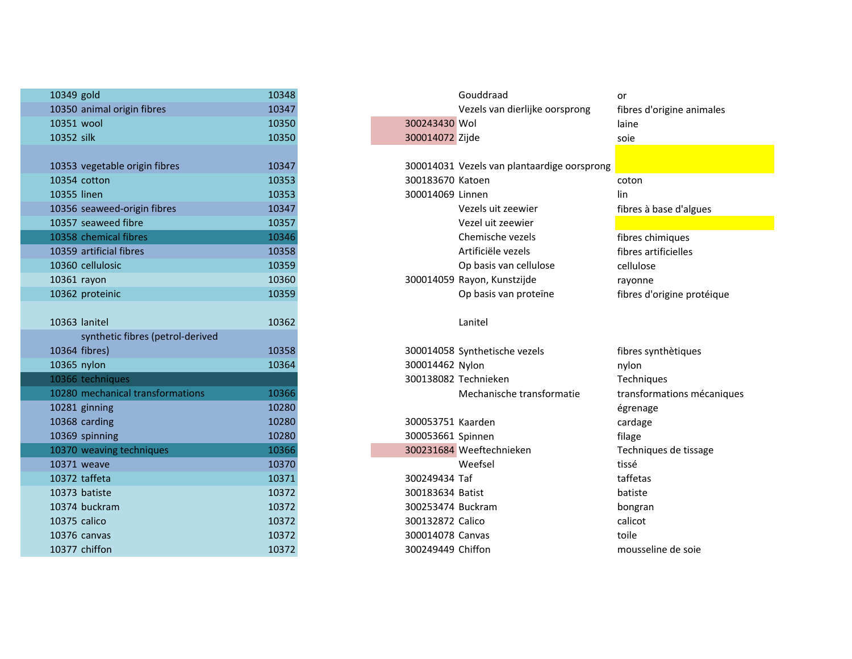| 10349 gold                       | 10348 | Gouddraad                                   |
|----------------------------------|-------|---------------------------------------------|
| 10350 animal origin fibres       | 10347 | Vezels van dierlijke oorsprong              |
| 10351 wool                       | 10350 | 300243430 Wol                               |
| 10352 silk                       | 10350 | 300014072 Zijde                             |
|                                  |       |                                             |
| 10353 vegetable origin fibres    | 10347 | 300014031 Vezels van plantaardige oorsprong |
| 10354 cotton                     | 10353 | 300183670 Katoen                            |
| 10355 linen                      | 10353 | 300014069 Linnen                            |
| 10356 seaweed-origin fibres      | 10347 | Vezels uit zeewier                          |
| 10357 seaweed fibre              | 10357 | Vezel uit zeewier                           |
| 10358 chemical fibres            | 10346 | Chemische vezels                            |
| 10359 artificial fibres          | 10358 | Artificiële vezels                          |
| 10360 cellulosic                 | 10359 | Op basis van cellulose                      |
| 10361 rayon                      | 10360 | 300014059 Rayon, Kunstzijde                 |
| 10362 proteinic                  | 10359 | Op basis van proteïne                       |
|                                  |       |                                             |
| 10363 lanitel                    | 10362 | Lanitel                                     |
| synthetic fibres (petrol-derived |       |                                             |
| 10364 fibres)                    | 10358 | 300014058 Synthetische vezels               |
| 10365 nylon                      | 10364 | 300014462 Nylon                             |
| 10366 techniques                 |       | 300138082 Technieken                        |
| 10280 mechanical transformations | 10366 | Mechanische transformatie                   |
| 10281 ginning                    | 10280 |                                             |
| 10368 carding                    | 10280 | 300053751 Kaarden                           |
| 10369 spinning                   | 10280 | 300053661 Spinnen                           |
| 10370 weaving techniques         | 10366 | 300231684 Weeftechnieken                    |
| 10371 weave                      | 10370 | Weefsel                                     |
| 10372 taffeta                    | 10371 | 300249434 Taf                               |
| 10373 batiste                    | 10372 | 300183634 Batist                            |
| 10374 buckram                    | 10372 | 300253474 Buckram                           |
| 10375 calico                     | 10372 | 300132872 Calico                            |
| 10376 canvas                     | 10372 | 300014078 Canvas                            |
| 10377 chiffon                    | 10372 | 300249449 Chiffon                           |
|                                  |       |                                             |

| 9 gold                           | 10348 |                      | Gouddraad                                   | or                         |
|----------------------------------|-------|----------------------|---------------------------------------------|----------------------------|
| 0 animal origin fibres           | 10347 |                      | Vezels van dierlijke oorsprong              | fibres d'origine animales  |
| 1 wool                           | 10350 | 300243430 Wol        |                                             | laine                      |
| 2 silk                           | 10350 | 300014072 Zijde      |                                             | soie                       |
|                                  |       |                      |                                             |                            |
| 3 vegetable origin fibres        | 10347 |                      | 300014031 Vezels van plantaardige oorsprong |                            |
| 4 cotton                         | 10353 | 300183670 Katoen     |                                             | coton                      |
| 5 linen                          | 10353 | 300014069 Linnen     |                                             | lin                        |
| 6 seaweed-origin fibres          | 10347 |                      | Vezels uit zeewier                          | fibres à base d'algues     |
| 7 seaweed fibre                  | 10357 |                      | Vezel uit zeewier                           |                            |
| 8 chemical fibres                | 10346 |                      | Chemische vezels                            | fibres chimiques           |
| 9 artificial fibres              | 10358 |                      | Artificiële vezels                          | fibres artificielles       |
| 0 cellulosic                     | 10359 |                      | Op basis van cellulose                      | cellulose                  |
| 1 rayon                          | 10360 |                      | 300014059 Rayon, Kunstzijde                 | rayonne                    |
| 2 proteinic                      | 10359 |                      | Op basis van proteïne                       | fibres d'origine protéique |
|                                  |       |                      |                                             |                            |
| 3 lanitel                        | 10362 |                      | Lanitel                                     |                            |
| synthetic fibres (petrol-derived |       |                      |                                             |                            |
| 4 fibres)                        | 10358 |                      | 300014058 Synthetische vezels               | fibres synthètiques        |
| 5 nylon                          | 10364 | 300014462 Nylon      |                                             | nylon                      |
| 6 techniques                     |       | 300138082 Technieken |                                             | Techniques                 |
| 0 mechanical transformations     | 10366 |                      | Mechanische transformatie                   | transformations mécaniques |
| 1 ginning                        | 10280 |                      |                                             | égrenage                   |
| 8 carding                        | 10280 | 300053751 Kaarden    |                                             | cardage                    |
| 9 spinning                       | 10280 | 300053661 Spinnen    |                                             | filage                     |
| 0 weaving techniques             | 10366 |                      | 300231684 Weeftechnieken                    | Techniques de tissage      |
| 1 weave                          | 10370 |                      | Weefsel                                     | tissé                      |
| 2 taffeta                        | 10371 | 300249434 Taf        |                                             | taffetas                   |
| 3 batiste                        | 10372 | 300183634 Batist     |                                             | batiste                    |
| 4 buckram                        | 10372 | 300253474 Buckram    |                                             | bongran                    |
| 5 calico                         | 10372 | 300132872 Calico     |                                             | calicot                    |
| 6 canvas                         | 10372 | 300014078 Canvas     |                                             | toile                      |
| 7 chiffon                        | 10372 | 300249449 Chiffon    |                                             | mousseline de soie         |
|                                  |       |                      |                                             |                            |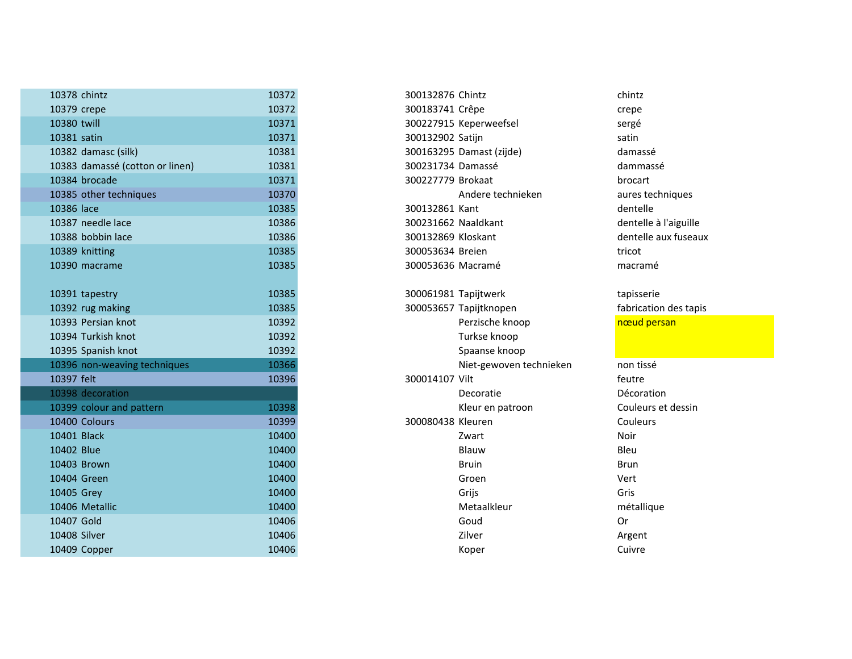| 10378 chintz                    | 10372 | 300132876 Chintz         | chintz                |
|---------------------------------|-------|--------------------------|-----------------------|
| 10379 crepe                     | 10372 | 300183741 Crêpe          | crepe                 |
| 10380 twill                     | 10371 | 300227915 Keperweefsel   | sergé                 |
| 10381 satin                     | 10371 | 300132902 Satijn         | satin                 |
| 10382 damasc (silk)             | 10381 | 300163295 Damast (zijde) | damassé               |
| 10383 damassé (cotton or linen) | 10381 | 300231734 Damassé        | dammassé              |
| 10384 brocade                   | 10371 | 300227779 Brokaat        | brocart               |
| 10385 other techniques          | 10370 | Andere technieken        | aures techniques      |
| 10386 lace                      | 10385 | 300132861 Kant           | dentelle              |
| 10387 needle lace               | 10386 | 300231662 Naaldkant      | dentelle à l'aiguille |
| 10388 bobbin lace               | 10386 | 300132869 Kloskant       | dentelle aux fuseaux  |
| 10389 knitting                  | 10385 | 300053634 Breien         | tricot                |
| 10390 macrame                   | 10385 | 300053636 Macramé        | macramé               |
|                                 |       |                          |                       |
| 10391 tapestry                  | 10385 | 300061981 Tapijtwerk     | tapisserie            |
| 10392 rug making                | 10385 | 300053657 Tapijtknopen   | fabrication des tapis |
| 10393 Persian knot              | 10392 | Perzische knoop          | nœud persan           |
| 10394 Turkish knot              | 10392 | Turkse knoop             |                       |
| 10395 Spanish knot              | 10392 | Spaanse knoop            |                       |
| 10396 non-weaving techniques    | 10366 | Niet-gewoven technieken  | non tissé             |
| 10397 felt                      | 10396 | 300014107 Vilt           | feutre                |
| 10398 decoration                |       | Decoratie                | Décoration            |
| 10399 colour and pattern        | 10398 | Kleur en patroon         | Couleurs et dessin    |
| 10400 Colours                   | 10399 | 300080438 Kleuren        | Couleurs              |
| 10401 Black                     | 10400 | Zwart                    | Noir                  |
| 10402 Blue                      | 10400 | Blauw                    | Bleu                  |
| 10403 Brown                     | 10400 | <b>Bruin</b>             | <b>Brun</b>           |
| 10404 Green                     | 10400 | Groen                    | Vert                  |
| 10405 Grey                      | 10400 | Grijs                    | Gris                  |
| 10406 Metallic                  | 10400 | Metaalkleur              | métallique            |
| 10407 Gold                      | 10406 | Goud                     | 0r                    |
| 10408 Silver                    | 10406 | Zilver                   | Argent                |
| 10409 Copper                    | 10406 | Koper                    | Cuivre                |

| 8 chintz                    | 10372 | 300132876 Chintz         | chintz      |
|-----------------------------|-------|--------------------------|-------------|
| 9 crepe                     | 10372 | 300183741 Crêpe          | crepe       |
| 0 twill                     | 10371 | 300227915 Keperweefsel   | sergé       |
| 1 satin                     | 10371 | 300132902 Satijn         | satin       |
| 2 damasc (silk)             | 10381 | 300163295 Damast (zijde) | damas       |
| 3 damassé (cotton or linen) | 10381 | 300231734 Damassé        | damm        |
| 4 brocade                   | 10371 | 300227779 Brokaat        | broca       |
| 5 other techniques          | 10370 | Andere technieken        | aures       |
| 6 lace                      | 10385 | 300132861 Kant           | dente       |
| 7 needle lace               | 10386 | 300231662 Naaldkant      | dente       |
| 8 bobbin lace               | 10386 | 300132869 Kloskant       | dente       |
| 9 knitting                  | 10385 | 300053634 Breien         | tricot      |
| 0 macrame                   | 10385 | 300053636 Macramé        | macra       |
|                             |       |                          |             |
| 1 tapestry                  | 10385 | 300061981 Tapijtwerk     | tapiss      |
| 2 rug making                | 10385 | 300053657 Tapijtknopen   | fabrica     |
| 3 Persian knot              | 10392 | Perzische knoop          | nœud        |
| 4 Turkish knot              | 10392 | Turkse knoop             |             |
| 5 Spanish knot              | 10392 | Spaanse knoop            |             |
| 6 non-weaving techniques    | 10366 | Niet-gewoven technieken  | non ti:     |
| 7 felt                      | 10396 | 300014107 Vilt           | feutre      |
| 8 decoration                |       | Decoratie                | Décor       |
| 9 colour and pattern        | 10398 | Kleur en patroon         | Couler      |
| 0 Colours                   | 10399 | 300080438 Kleuren        | Couler      |
| 1 Black                     | 10400 | Zwart                    | <b>Noir</b> |
| 2 Blue                      | 10400 | Blauw                    | Bleu        |
| 3 Brown                     | 10400 | <b>Bruin</b>             | <b>Brun</b> |
| 4 Green                     | 10400 | Groen                    | Vert        |
| 5 Grey                      | 10400 | Grijs                    | Gris        |
| 6 Metallic                  | 10400 | Metaalkleur              | métall      |
| 7 Gold                      | 10406 | Goud                     | Or          |
| 8 Silver                    | 10406 | Zilver                   | Argen       |
| 9 Copper                    | 10406 | Koper                    | Cuivre      |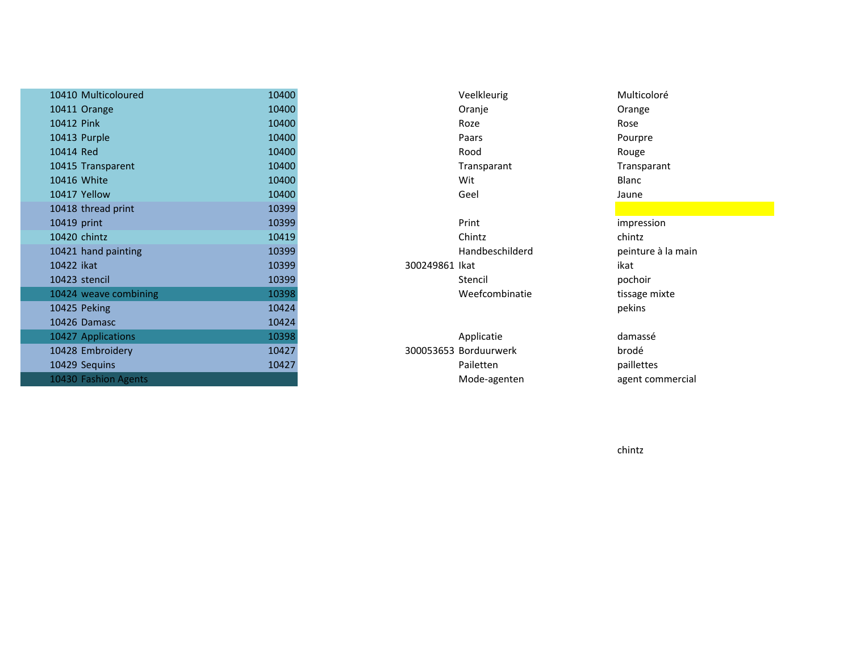| 10410 Multicoloured   | 10400 |                       | Veelkleurig     | Multicoloré   |
|-----------------------|-------|-----------------------|-----------------|---------------|
| 10411 Orange          | 10400 |                       | Oranje          | Orange        |
| 10412 Pink            | 10400 |                       | Roze            | Rose          |
| 10413 Purple          | 10400 |                       | Paars           | Pourpre       |
| 10414 Red             | 10400 |                       | Rood            | Rouge         |
| 10415 Transparent     | 10400 |                       | Transparant     | Transparant   |
| 10416 White           | 10400 |                       | Wit             | Blanc         |
| 10417 Yellow          | 10400 |                       | Geel            | Jaune         |
| 10418 thread print    | 10399 |                       |                 |               |
| 10419 print           | 10399 |                       | Print           | impression    |
| 10420 chintz          | 10419 |                       | Chintz          | chintz        |
| 10421 hand painting   | 10399 |                       | Handbeschilderd | peinture à la |
| 10422 ikat            | 10399 | 300249861 lkat        |                 | ikat          |
| 10423 stencil         | 10399 |                       | Stencil         | pochoir       |
| 10424 weave combining | 10398 |                       | Weefcombinatie  | tissage mixte |
| 10425 Peking          | 10424 |                       |                 | pekins        |
| 10426 Damasc          | 10424 |                       |                 |               |
| 10427 Applications    | 10398 |                       | Applicatie      | damassé       |
| 10428 Embroidery      | 10427 | 300053653 Borduurwerk |                 | brodé         |
| 10429 Sequins         | 10427 |                       | Pailetten       | paillettes    |
| 10430 Fashion Agents  |       |                       | Mode-agenten    | agent comm    |

peinture à la main

 paillettes agent commercial

chintz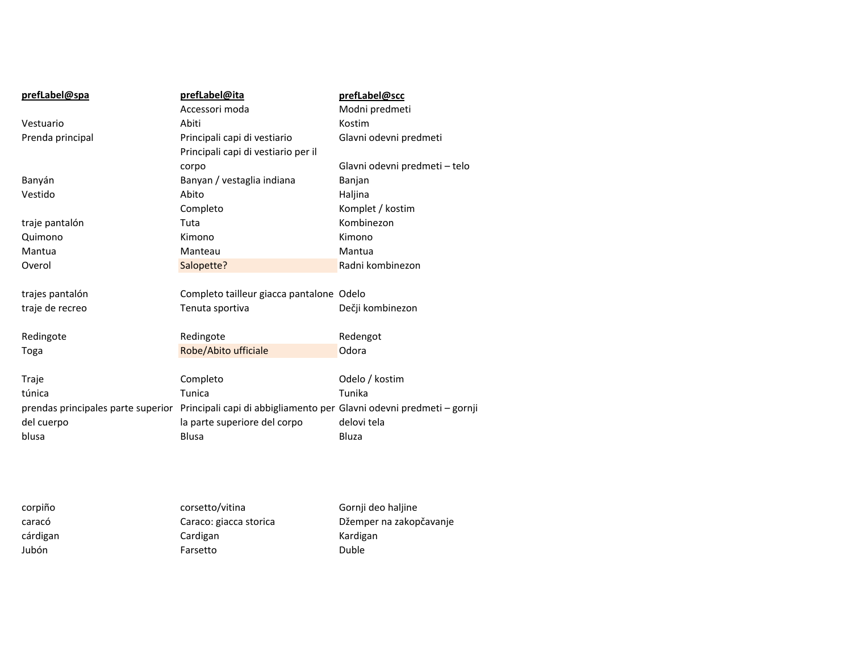| prefLabel@spa                      | prefLabel@ita                                                        | prefLabel@scc                 |
|------------------------------------|----------------------------------------------------------------------|-------------------------------|
|                                    | Accessori moda                                                       | Modni predmeti                |
| Vestuario                          | Abiti                                                                | Kostim                        |
| Prenda principal                   | Principali capi di vestiario                                         | Glavni odevni predmeti        |
|                                    | Principali capi di vestiario per il                                  |                               |
|                                    | corpo                                                                | Glavni odevni predmeti - telo |
| Banyán                             | Banyan / vestaglia indiana                                           | Banjan                        |
| Vestido                            | Abito                                                                | Haljina                       |
|                                    | Completo                                                             | Komplet / kostim              |
| traje pantalón                     | Tuta                                                                 | Kombinezon                    |
| Quimono                            | Kimono                                                               | Kimono                        |
| Mantua                             | Manteau                                                              | Mantua                        |
| Overol                             | Salopette?                                                           | Radni kombinezon              |
|                                    |                                                                      |                               |
| trajes pantalón                    | Completo tailleur giacca pantalone Odelo                             |                               |
| traje de recreo                    | Tenuta sportiva                                                      | Dečji kombinezon              |
|                                    |                                                                      |                               |
| Redingote                          | Redingote                                                            | Redengot                      |
| Toga                               | Robe/Abito ufficiale                                                 | Odora                         |
|                                    |                                                                      |                               |
| Traje                              | Completo                                                             | Odelo / kostim                |
| túnica                             | Tunica                                                               | Tunika                        |
| prendas principales parte superior | Principali capi di abbigliamento per Glavni odevni predmeti - gornji |                               |
| del cuerpo                         | la parte superiore del corpo                                         | delovi tela                   |
| blusa                              | <b>Blusa</b>                                                         | Bluza                         |
|                                    |                                                                      |                               |
|                                    |                                                                      |                               |
|                                    |                                                                      |                               |
|                                    |                                                                      |                               |

| corsetto/vitina        | Gornji deo haljine      |
|------------------------|-------------------------|
| Caraco: giacca storica | Džemper na zakopčavanje |
| Cardigan               | Kardigan                |
| Farsetto               | <b>Duble</b>            |
|                        |                         |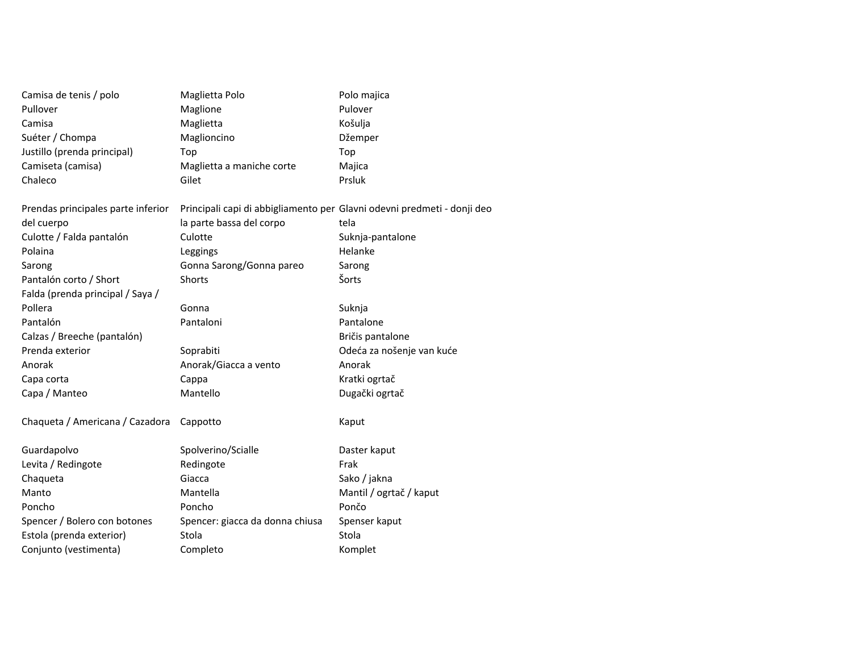| Camisa de tenis / polo             | Maglietta Polo                  | Polo majica                                                             |
|------------------------------------|---------------------------------|-------------------------------------------------------------------------|
| Pullover                           | Maglione                        | Pulover                                                                 |
| Camisa                             | Maglietta                       | Košulja                                                                 |
| Suéter / Chompa                    | Maglioncino                     | Džemper                                                                 |
| Justillo (prenda principal)        | Top                             | Top                                                                     |
| Camiseta (camisa)                  | Maglietta a maniche corte       | Majica                                                                  |
| Chaleco                            | Gilet                           | Prsluk                                                                  |
| Prendas principales parte inferior |                                 | Principali capi di abbigliamento per Glavni odevni predmeti - donji deo |
| del cuerpo                         | la parte bassa del corpo        | tela                                                                    |
| Culotte / Falda pantalón           | Culotte                         | Suknja-pantalone                                                        |
| Polaina                            | Leggings                        | Helanke                                                                 |
| Sarong                             | Gonna Sarong/Gonna pareo        | Sarong                                                                  |
| Pantalón corto / Short             | <b>Shorts</b>                   | Šorts                                                                   |
| Falda (prenda principal / Saya /   |                                 |                                                                         |
| Pollera                            | Gonna                           | Suknja                                                                  |
| Pantalón                           | Pantaloni                       | Pantalone                                                               |
| Calzas / Breeche (pantalón)        |                                 | Bričis pantalone                                                        |
| Prenda exterior                    | Soprabiti                       | Odeća za nošenje van kuće                                               |
| Anorak                             | Anorak/Giacca a vento           | Anorak                                                                  |
| Capa corta                         | Cappa                           | Kratki ogrtač                                                           |
| Capa / Manteo                      | Mantello                        | Dugački ogrtač                                                          |
| Chaqueta / Americana / Cazadora    | Cappotto                        | Kaput                                                                   |
| Guardapolvo                        | Spolverino/Scialle              | Daster kaput                                                            |
| Levita / Redingote                 | Redingote                       | Frak                                                                    |
| Chaqueta                           | Giacca                          | Sako / jakna                                                            |
| Manto                              | Mantella                        | Mantil / ogrtač / kaput                                                 |
| Poncho                             | Poncho                          | Pončo                                                                   |
| Spencer / Bolero con botones       | Spencer: giacca da donna chiusa | Spenser kaput                                                           |
| Estola (prenda exterior)           | Stola                           | Stola                                                                   |
| Conjunto (vestimenta)              | Completo                        | Komplet                                                                 |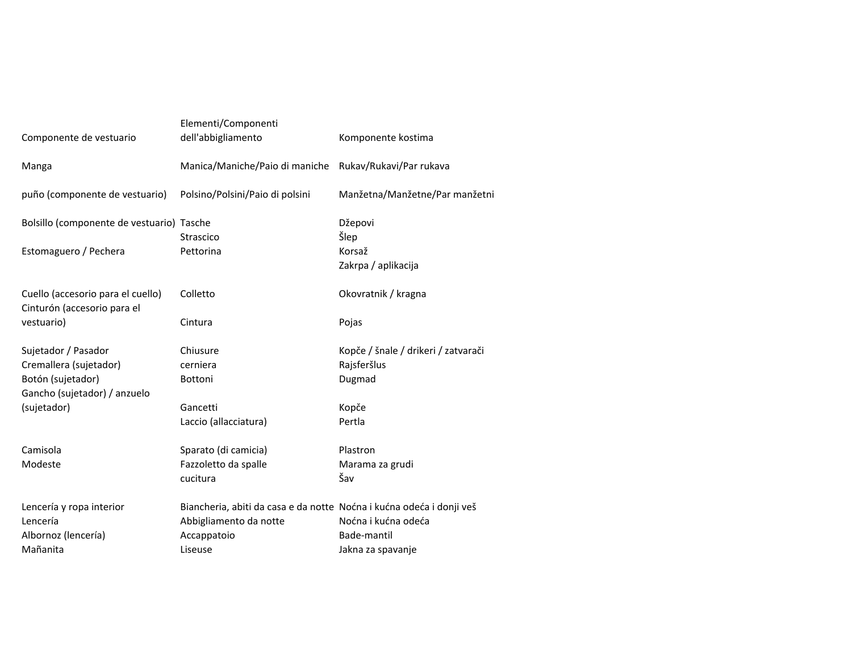| Componente de vestuario                                          | Elementi/Componenti<br>dell'abbigliamento                            | Komponente kostima                  |
|------------------------------------------------------------------|----------------------------------------------------------------------|-------------------------------------|
| Manga                                                            | Manica/Maniche/Paio di maniche Rukav/Rukavi/Par rukava               |                                     |
| puño (componente de vestuario)                                   | Polsino/Polsini/Paio di polsini                                      | Manžetna/Manžetne/Par manžetni      |
| Bolsillo (componente de vestuario) Tasche                        |                                                                      | Džepovi                             |
|                                                                  | Strascico                                                            | Šlep                                |
| Estomaguero / Pechera                                            | Pettorina                                                            | Korsaž                              |
|                                                                  |                                                                      | Zakrpa / aplikacija                 |
| Cuello (accesorio para el cuello)<br>Cinturón (accesorio para el | Colletto                                                             | Okovratnik / kragna                 |
| vestuario)                                                       | Cintura                                                              | Pojas                               |
| Sujetador / Pasador                                              | Chiusure                                                             | Kopče / šnale / drikeri / zatvarači |
| Cremallera (sujetador)                                           | cerniera                                                             | Rajsferšlus                         |
| Botón (sujetador)                                                | <b>Bottoni</b>                                                       | Dugmad                              |
| Gancho (sujetador) / anzuelo                                     | Gancetti                                                             |                                     |
| (sujetador)                                                      | Laccio (allacciatura)                                                | Kopče<br>Pertla                     |
|                                                                  |                                                                      |                                     |
| Camisola                                                         | Sparato (di camicia)                                                 | Plastron                            |
| Modeste                                                          | Fazzoletto da spalle                                                 | Marama za grudi                     |
|                                                                  | cucitura                                                             | Šav                                 |
| Lencería y ropa interior                                         | Biancheria, abiti da casa e da notte Noćna i kućna odeća i donji veš |                                     |
| Lencería                                                         | Abbigliamento da notte                                               | Noćna i kućna odeća                 |
| Albornoz (lencería)                                              | Accappatoio                                                          | Bade-mantil                         |
| Mañanita                                                         | Liseuse                                                              | Jakna za spavanje                   |
|                                                                  |                                                                      |                                     |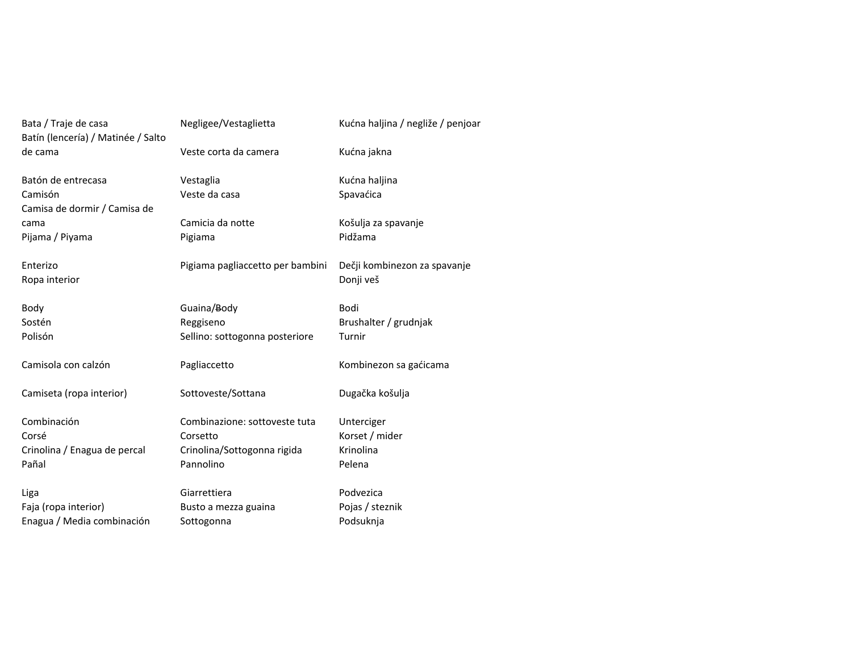| Bata / Traje de casa<br>Batín (lencería) / Matinée / Salto | Negligee/Vestaglietta            | Kućna haljina / negliže / penjoar |
|------------------------------------------------------------|----------------------------------|-----------------------------------|
| de cama                                                    | Veste corta da camera            | Kućna jakna                       |
| Batón de entrecasa                                         | Vestaglia                        | Kućna haljina                     |
| Camisón<br>Camisa de dormir / Camisa de                    | Veste da casa                    | Spavaćica                         |
| cama                                                       | Camicia da notte                 | Košulja za spavanje               |
| Pijama / Piyama                                            | Pigiama                          | Pidžama                           |
| Enterizo                                                   | Pigiama pagliaccetto per bambini | Dečji kombinezon za spavanje      |
| Ropa interior                                              |                                  | Donji veš                         |
| Body                                                       | Guaina/Body                      | Bodi                              |
| Sostén                                                     | Reggiseno                        | Brushalter / grudnjak             |
| Polisón                                                    | Sellino: sottogonna posteriore   | Turnir                            |
| Camisola con calzón                                        | Pagliaccetto                     | Kombinezon sa gaćicama            |
| Camiseta (ropa interior)                                   | Sottoveste/Sottana               | Dugačka košulja                   |
| Combinación                                                | Combinazione: sottoveste tuta    | Unterciger                        |
| Corsé                                                      | Corsetto                         | Korset / mider                    |
| Crinolina / Enagua de percal                               | Crinolina/Sottogonna rigida      | Krinolina                         |
| Pañal                                                      | Pannolino                        | Pelena                            |
| Liga                                                       | Giarrettiera                     | Podvezica                         |
| Faja (ropa interior)                                       | Busto a mezza guaina             | Pojas / steznik                   |
| Enagua / Media combinación                                 | Sottogonna                       | Podsuknja                         |
|                                                            |                                  |                                   |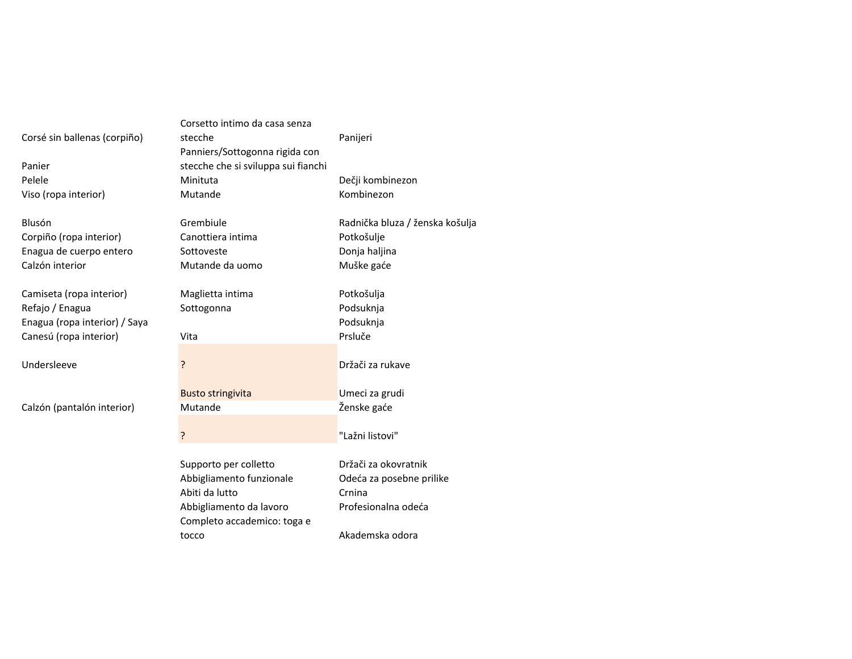| Corsé sin ballenas (corpiño)<br>Panier<br>Pelele<br>Viso (ropa interior)                               | Corsetto intimo da casa senza<br>stecche<br>Panniers/Sottogonna rigida con<br>stecche che si sviluppa sui fianchi<br>Minituta<br>Mutande | Panijeri<br>Dečji kombinezon<br>Kombinezon                                                           |
|--------------------------------------------------------------------------------------------------------|------------------------------------------------------------------------------------------------------------------------------------------|------------------------------------------------------------------------------------------------------|
| Blusón<br>Corpiño (ropa interior)<br>Enagua de cuerpo entero<br>Calzón interior                        | Grembiule<br>Canottiera intima<br>Sottoveste<br>Mutande da uomo                                                                          | Radnička bluza / ženska košulja<br>Potkošulje<br>Donja haljina<br>Muške gaće                         |
| Camiseta (ropa interior)<br>Refajo / Enagua<br>Enagua (ropa interior) / Saya<br>Canesú (ropa interior) | Maglietta intima<br>Sottogonna<br>Vita                                                                                                   | Potkošulja<br>Podsuknja<br>Podsuknja<br>Prsluče                                                      |
| Undersleeve                                                                                            | ?                                                                                                                                        | Držači za rukave                                                                                     |
| Calzón (pantalón interior)                                                                             | <b>Busto stringivita</b><br>Mutande<br>?                                                                                                 | Umeci za grudi<br>Ženske gaće<br>"Lažni listovi"                                                     |
|                                                                                                        | Supporto per colletto<br>Abbigliamento funzionale<br>Abiti da lutto<br>Abbigliamento da lavoro<br>Completo accademico: toga e<br>tocco   | Držači za okovratnik<br>Odeća za posebne prilike<br>Crnina<br>Profesionalna odeća<br>Akademska odora |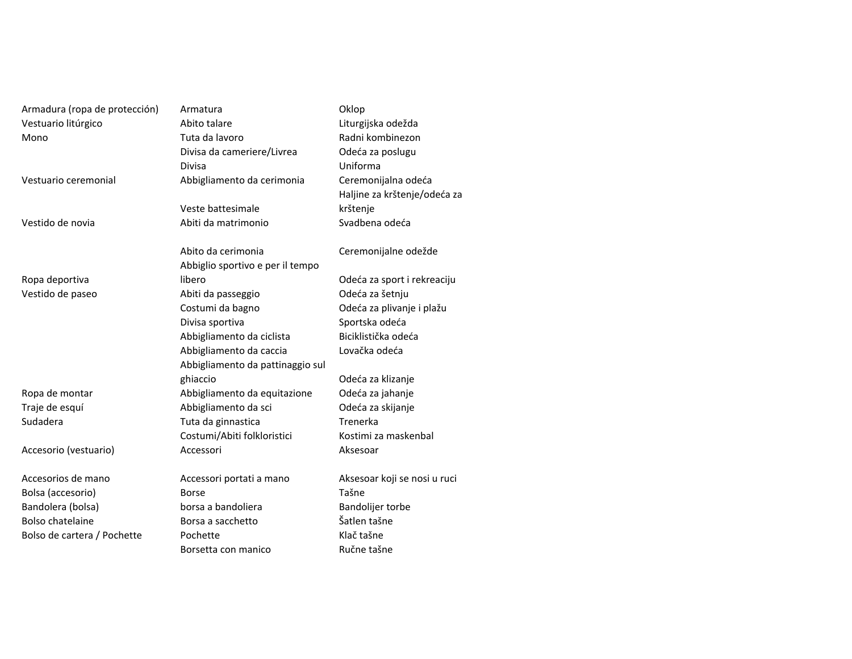| Armadura (ropa de protección) | Armatura                         | Oklop                        |  |
|-------------------------------|----------------------------------|------------------------------|--|
| Vestuario litúrgico           | Abito talare                     | Liturgijska odežda           |  |
| Mono                          | Tuta da lavoro                   | Radni kombinezon             |  |
|                               | Divisa da cameriere/Livrea       | Odeća za poslugu             |  |
|                               | Divisa                           | Uniforma                     |  |
| Vestuario ceremonial          | Abbigliamento da cerimonia       | Ceremonijalna odeća          |  |
|                               |                                  | Haljine za krštenje/odeća za |  |
|                               | Veste battesimale                | krštenje                     |  |
| Vestido de novia              | Abiti da matrimonio              | Svadbena odeća               |  |
|                               | Abito da cerimonia               | Ceremonijalne odežde         |  |
|                               | Abbiglio sportivo e per il tempo |                              |  |
| Ropa deportiva                | libero                           | Odeća za sport i rekreaciju  |  |
| Vestido de paseo              | Abiti da passeggio               | Odeća za šetnju              |  |
|                               | Costumi da bagno                 | Odeća za plivanje i plažu    |  |
|                               | Divisa sportiva                  | Sportska odeća               |  |
|                               | Abbigliamento da ciclista        | Biciklistička odeća          |  |
|                               | Abbigliamento da caccia          | Lovačka odeća                |  |
|                               | Abbigliamento da pattinaggio sul |                              |  |
|                               | ghiaccio                         | Odeća za klizanje            |  |
| Ropa de montar                | Abbigliamento da equitazione     | Odeća za jahanje             |  |
| Traje de esquí                | Abbigliamento da sci             | Odeća za skijanje            |  |
| Sudadera                      | Tuta da ginnastica               | Trenerka                     |  |
|                               | Costumi/Abiti folkloristici      | Kostimi za maskenbal         |  |
| Accesorio (vestuario)         | Accessori                        | Aksesoar                     |  |
| Accesorios de mano            | Accessori portati a mano         | Aksesoar koji se nosi u ruci |  |
| Bolsa (accesorio)             | Borse                            | Tašne                        |  |
| Bandolera (bolsa)             | borsa a bandoliera               | Bandolijer torbe             |  |
| <b>Bolso chatelaine</b>       | Borsa a sacchetto                | Šatlen tašne                 |  |
| Bolso de cartera / Pochette   | Pochette                         | Klač tašne                   |  |
|                               | Borsetta con manico              | Ručne tašne                  |  |
|                               |                                  |                              |  |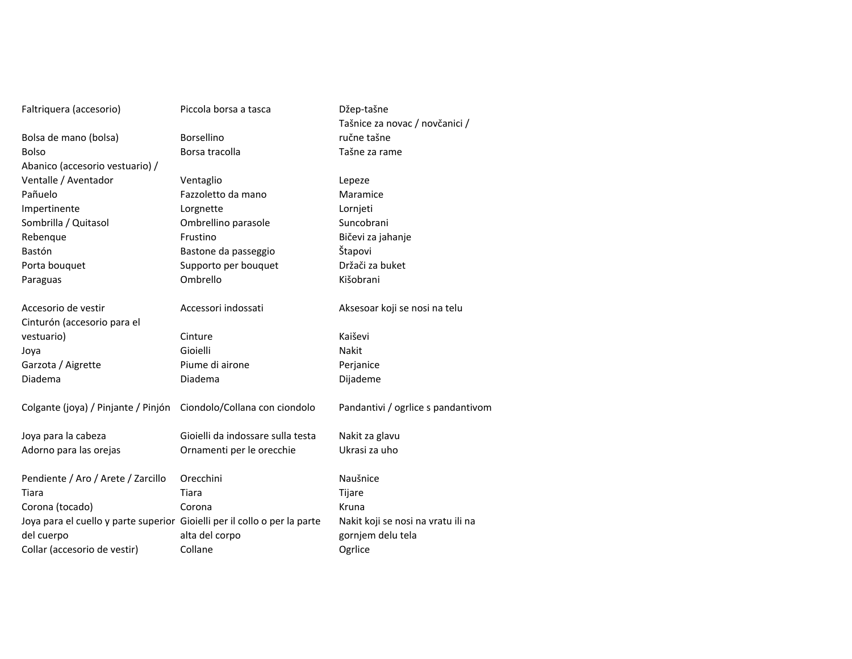| Faltriquera (accesorio)                                                   | Piccola borsa a tasca             | Džep-tašne                         |
|---------------------------------------------------------------------------|-----------------------------------|------------------------------------|
|                                                                           |                                   | Tašnice za novac / novčanici /     |
| Bolsa de mano (bolsa)                                                     | Borsellino                        | ručne tašne                        |
| <b>Bolso</b>                                                              | Borsa tracolla                    | Tašne za rame                      |
| Abanico (accesorio vestuario) /                                           |                                   |                                    |
| Ventalle / Aventador                                                      | Ventaglio                         | Lepeze                             |
| Pañuelo                                                                   | Fazzoletto da mano                | Maramice                           |
| Impertinente                                                              | Lorgnette                         | Lornjeti                           |
| Sombrilla / Quitasol                                                      | Ombrellino parasole               | Suncobrani                         |
| Rebenque                                                                  | Frustino                          | Bičevi za jahanje                  |
| Bastón                                                                    | Bastone da passeggio              | Štapovi                            |
| Porta bouquet                                                             | Supporto per bouquet              | Držači za buket                    |
| Paraguas                                                                  | Ombrello                          | Kišobrani                          |
|                                                                           |                                   |                                    |
| Accesorio de vestir                                                       | Accessori indossati               | Aksesoar koji se nosi na telu      |
| Cinturón (accesorio para el                                               |                                   |                                    |
| vestuario)                                                                | Cinture                           | Kaiševi                            |
| Joya                                                                      | Gioielli                          | Nakit                              |
| Garzota / Aigrette                                                        | Piume di airone                   | Perjanice                          |
| Diadema                                                                   | Diadema                           | Dijademe                           |
|                                                                           |                                   |                                    |
| Colgante (joya) / Pinjante / Pinjón                                       | Ciondolo/Collana con ciondolo     | Pandantivi / ogrlice s pandantivom |
|                                                                           |                                   |                                    |
| Joya para la cabeza                                                       | Gioielli da indossare sulla testa | Nakit za glavu                     |
| Adorno para las orejas                                                    | Ornamenti per le orecchie         | Ukrasi za uho                      |
|                                                                           |                                   |                                    |
| Pendiente / Aro / Arete / Zarcillo                                        | Orecchini                         | Naušnice                           |
| Tiara                                                                     | Tiara                             | Tijare                             |
| Corona (tocado)                                                           | Corona                            | Kruna                              |
| Joya para el cuello y parte superior Gioielli per il collo o per la parte |                                   | Nakit koji se nosi na vratu ili na |
| del cuerpo                                                                | alta del corpo                    | gornjem delu tela                  |
| Collar (accesorio de vestir)                                              | Collane                           | Ogrlice                            |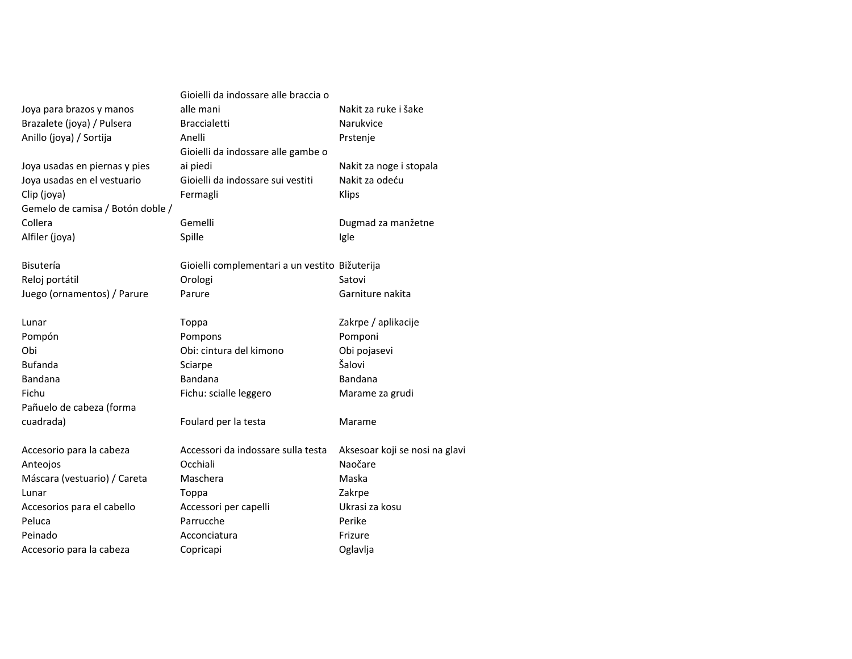|                                  | Gioielli da indossare alle braccia o           |                                |
|----------------------------------|------------------------------------------------|--------------------------------|
| Joya para brazos y manos         | alle mani                                      | Nakit za ruke i šake           |
| Brazalete (joya) / Pulsera       | <b>Braccialetti</b>                            | Narukvice                      |
| Anillo (joya) / Sortija          | Anelli                                         | Prstenje                       |
|                                  | Gioielli da indossare alle gambe o             |                                |
| Joya usadas en piernas y pies    | ai piedi                                       | Nakit za noge i stopala        |
| Joya usadas en el vestuario      | Gioielli da indossare sui vestiti              | Nakit za odeću                 |
| Clip (joya)                      | Fermagli                                       | <b>Klips</b>                   |
| Gemelo de camisa / Botón doble / |                                                |                                |
| Collera                          | Gemelli                                        | Dugmad za manžetne             |
| Alfiler (joya)                   | Spille                                         | Igle                           |
| Bisutería                        | Gioielli complementari a un vestito Bižuterija |                                |
| Reloj portátil                   | Orologi                                        | Satovi                         |
| Juego (ornamentos) / Parure      | Parure                                         | Garniture nakita               |
| Lunar                            | Toppa                                          | Zakrpe / aplikacije            |
| Pompón                           | Pompons                                        | Pomponi                        |
| Obi                              | Obi: cintura del kimono                        | Obi pojasevi                   |
| Bufanda                          | Sciarpe                                        | Šalovi                         |
| Bandana                          | Bandana                                        | <b>Bandana</b>                 |
| Fichu                            | Fichu: scialle leggero                         | Marame za grudi                |
| Pañuelo de cabeza (forma         |                                                |                                |
| cuadrada)                        | Foulard per la testa                           | Marame                         |
| Accesorio para la cabeza         | Accessori da indossare sulla testa             | Aksesoar koji se nosi na glavi |
| Anteojos                         | Occhiali                                       | Naočare                        |
| Máscara (vestuario) / Careta     | Maschera                                       | Maska                          |
| Lunar                            | Toppa                                          | Zakrpe                         |
| Accesorios para el cabello       | Accessori per capelli                          | Ukrasi za kosu                 |
| Peluca                           | Parrucche                                      | Perike                         |
| Peinado                          | Acconciatura                                   | Frizure                        |
| Accesorio para la cabeza         | Copricapi                                      | Oglavlja                       |
|                                  |                                                |                                |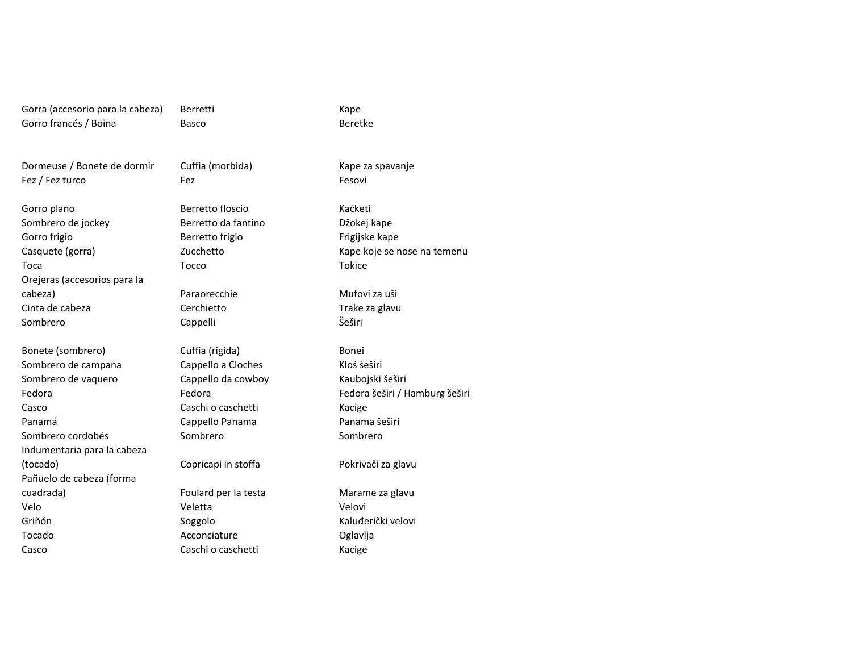Gorra (accesorio para la cabeza) Berretti Kape Gorro francés / Boina

Fez / Fez turco

Gorro frigio

Toca

Sombrero de jockey

Orejeras (accesorios para la

Casquete (gorra)

Cinta de cabeza

Sombrero de campana

Sombrero de vaquero

Sombrero cordobés

Indumentaria para la cabeza

Pañuelo de cabeza (forma

Sombrero

Fedora

Casco

Velo

Griñón

Tocado

Casco

Panamá

Basco

Dormeuse / Bonete de dormir Cuffia (morbida) Kape za spavanje<br>
Fez / Fez turco Fez Fez Fesovi o Fez Feadulation of the Fesovi

Gorro plano **Berretto floscio** Kačketi Berretto da fantinoBerretto frigio Frigijske kape Zucchettoa Tocco Tocco Tokice

> CerchiettoCappelli Šeširi

Bonete (sombrero) **Cuffia (rigida)** Bonei Bonei Bonei Bonei Bonei et anno 12 anno 2012<br>
Bonetero de campana Cappello a Cloches Kloš šeširi Cappello a Cloches<br>
Cappello da cowboy Kaubojski šeširi Cappello da cowboy<br>Fedora Caschi o caschetti **Kacige**<br>
Cappello Panama<br>
Cappello Panama<br>
Cappello Panama Cappello Panama Sombrero

cuadrada) Foulard per la testa Marame za glavuo veletta veletta velovi SoggoloAcconciature Oglavlja<br>Caschi o caschetti **Caschi Caschi** Caschi o caschetti

Beretke

 Džokej kape Kape koje se nose na temenu

cabeza) Paraorecchie Mufovi za uši Trake za glavu

> Fedora šeširi / Hamburg šeširi Sombrero

(tocado) Copricapi in stoffa Pokrivači za glavu

Kaluđerički velovi<br>Oglavlja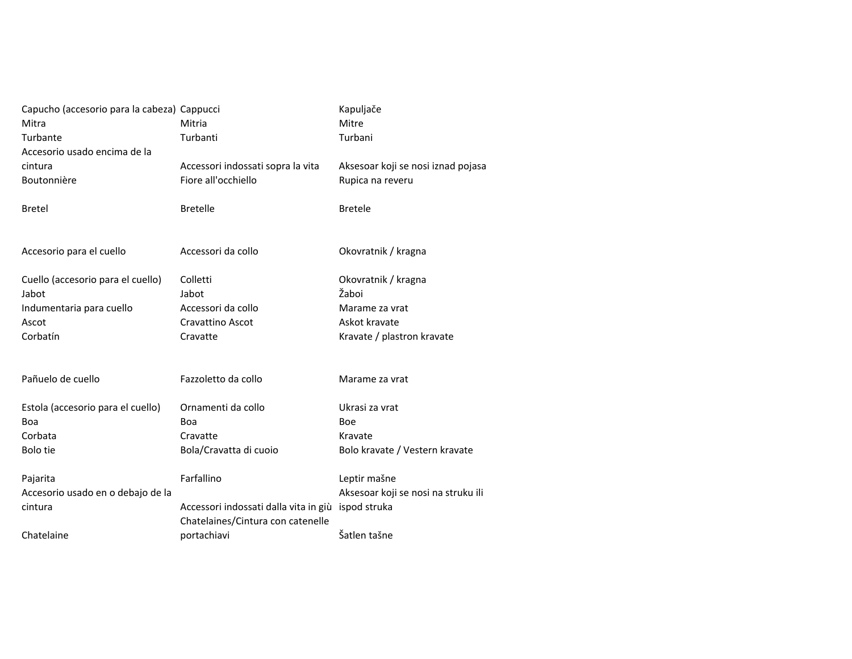| Capucho (accesorio para la cabeza) Cappucci |                                       | Kapuljače                           |
|---------------------------------------------|---------------------------------------|-------------------------------------|
| Mitra                                       | Mitria                                | Mitre                               |
| Turbante                                    | Turbanti                              | Turbani                             |
| Accesorio usado encima de la                |                                       |                                     |
| cintura                                     | Accessori indossati sopra la vita     | Aksesoar koji se nosi iznad pojasa  |
| Boutonnière                                 | Fiore all'occhiello                   | Rupica na reveru                    |
|                                             |                                       |                                     |
| <b>Bretel</b>                               | <b>Bretelle</b>                       | <b>Bretele</b>                      |
|                                             |                                       |                                     |
|                                             |                                       |                                     |
| Accesorio para el cuello                    | Accessori da collo                    | Okovratnik / kragna                 |
|                                             |                                       |                                     |
| Cuello (accesorio para el cuello)           | Colletti                              | Okovratnik / kragna                 |
| Jabot                                       | Jabot                                 | Žaboi                               |
| Indumentaria para cuello                    | Accessori da collo                    | Marame za vrat                      |
| Ascot                                       | Cravattino Ascot                      | Askot kravate                       |
| Corbatín                                    | Cravatte                              | Kravate / plastron kravate          |
|                                             |                                       |                                     |
|                                             |                                       |                                     |
| Pañuelo de cuello                           | Fazzoletto da collo                   | Marame za vrat                      |
| Estola (accesorio para el cuello)           | Ornamenti da collo                    | Ukrasi za vrat                      |
| Boa                                         | Boa                                   | Boe                                 |
| Corbata                                     | Cravatte                              | Kravate                             |
| Bolo tie                                    | Bola/Cravatta di cuoio                | Bolo kravate / Vestern kravate      |
|                                             |                                       |                                     |
| Pajarita                                    | Farfallino                            | Leptir mašne                        |
| Accesorio usado en o debajo de la           |                                       | Aksesoar koji se nosi na struku ili |
| cintura                                     | Accessori indossati dalla vita in giù | ispod struka                        |
|                                             | Chatelaines/Cintura con catenelle     |                                     |
| Chatelaine                                  | portachiavi                           | Šatlen tašne                        |
|                                             |                                       |                                     |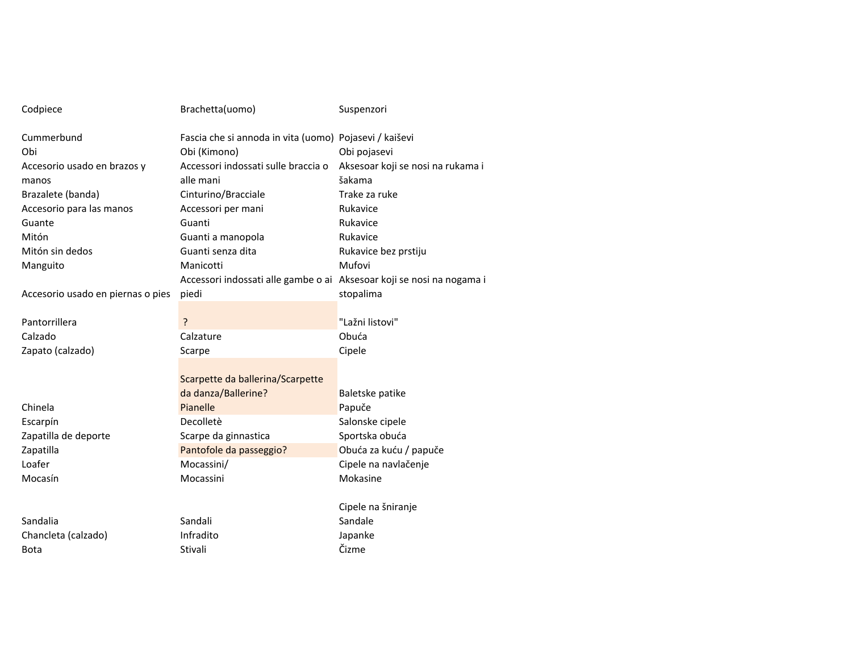| Codpiece                          | Brachetta(uomo)                                                       | Suspenzori                        |
|-----------------------------------|-----------------------------------------------------------------------|-----------------------------------|
| Cummerbund                        | Fascia che si annoda in vita (uomo) Pojasevi / kaiševi                |                                   |
| Obi                               | Obi (Kimono)                                                          | Obi pojasevi                      |
| Accesorio usado en brazos y       | Accessori indossati sulle braccia o                                   | Aksesoar koji se nosi na rukama i |
| manos                             | alle mani                                                             | šakama                            |
| Brazalete (banda)                 | Cinturino/Bracciale                                                   | Trake za ruke                     |
| Accesorio para las manos          | Accessori per mani                                                    | Rukavice                          |
| Guante                            | Guanti                                                                | Rukavice                          |
| Mitón                             | Guanti a manopola                                                     | Rukavice                          |
| Mitón sin dedos                   | Guanti senza dita                                                     | Rukavice bez prstiju              |
| Manguito                          | Manicotti                                                             | Mufovi                            |
|                                   | Accessori indossati alle gambe o ai Aksesoar koji se nosi na nogama i |                                   |
| Accesorio usado en piernas o pies | piedi                                                                 | stopalima                         |
|                                   |                                                                       |                                   |
| Pantorrillera                     | ?                                                                     | "Lažni listovi"                   |
| Calzado                           | Calzature                                                             | Obuća                             |
| Zapato (calzado)                  | Scarpe                                                                | Cipele                            |
|                                   |                                                                       |                                   |
|                                   | Scarpette da ballerina/Scarpette                                      |                                   |
|                                   | da danza/Ballerine?                                                   | Baletske patike                   |
| Chinela                           | Pianelle                                                              | Papuče                            |
| Escarpín                          | Decolletè                                                             | Salonske cipele                   |
| Zapatilla de deporte              | Scarpe da ginnastica                                                  | Sportska obuća                    |
| Zapatilla                         | Pantofole da passeggio?                                               | Obuća za kuću / papuče            |
| Loafer                            | Mocassini/                                                            | Cipele na navlačenje              |
| Mocasín                           | Mocassini                                                             | Mokasine                          |
|                                   |                                                                       |                                   |
|                                   |                                                                       | Cipele na šniranje                |
| Sandalia                          | Sandali                                                               | Sandale                           |
| Chancleta (calzado)               | Infradito                                                             | Japanke                           |
| <b>Bota</b>                       | Stivali                                                               | Čizme                             |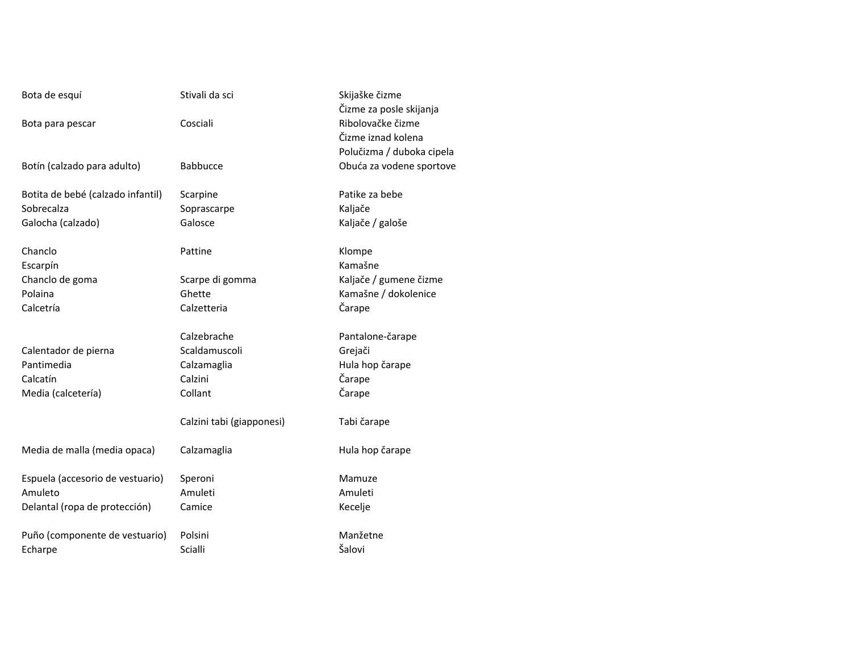| Bota de esquí                     | Stivali da sci            | Skijaške čizme<br>Čizme za posle skijanja |
|-----------------------------------|---------------------------|-------------------------------------------|
| Bota para pescar                  | Cosciali                  | Ribolovačke čizme                         |
|                                   |                           | Čizme iznad kolena                        |
|                                   |                           | Polučizma / duboka cipela                 |
| Botín (calzado para adulto)       | <b>Babbucce</b>           | Obuća za vodene sportove                  |
| Botita de bebé (calzado infantil) | Scarpine                  | Patike za bebe                            |
| Sobrecalza                        | Soprascarpe               | Kaljače                                   |
| Galocha (calzado)                 | Galosce                   | Kaljače / galoše                          |
| Chanclo                           | Pattine                   | Klompe                                    |
| Escarpín                          |                           | Kamašne                                   |
| Chanclo de goma                   | Scarpe di gomma           | Kaljače / gumene čizme                    |
| Polaina                           | Ghette                    | Kamašne / dokolenice                      |
| Calcetría                         | Calzetteria               | Čarape                                    |
|                                   | Calzebrache               | Pantalone-čarape                          |
| Calentador de pierna              | Scaldamuscoli             | Grejači                                   |
| Pantimedia                        | Calzamaglia               | Hula hop čarape                           |
| Calcatín                          | Calzini                   | Čarape                                    |
| Media (calcetería)                | Collant                   | Čarape                                    |
|                                   | Calzini tabi (giapponesi) | Tabi čarape                               |
| Media de malla (media opaca)      | Calzamaglia               | Hula hop čarape                           |
| Espuela (accesorio de vestuario)  | Speroni                   | Mamuze                                    |
| Amuleto                           | Amuleti                   | Amuleti                                   |
| Delantal (ropa de protección)     | Camice                    | Kecelje                                   |
| Puño (componente de vestuario)    | Polsini                   | Manžetne                                  |
| Echarpe                           | Scialli                   | Šalovi                                    |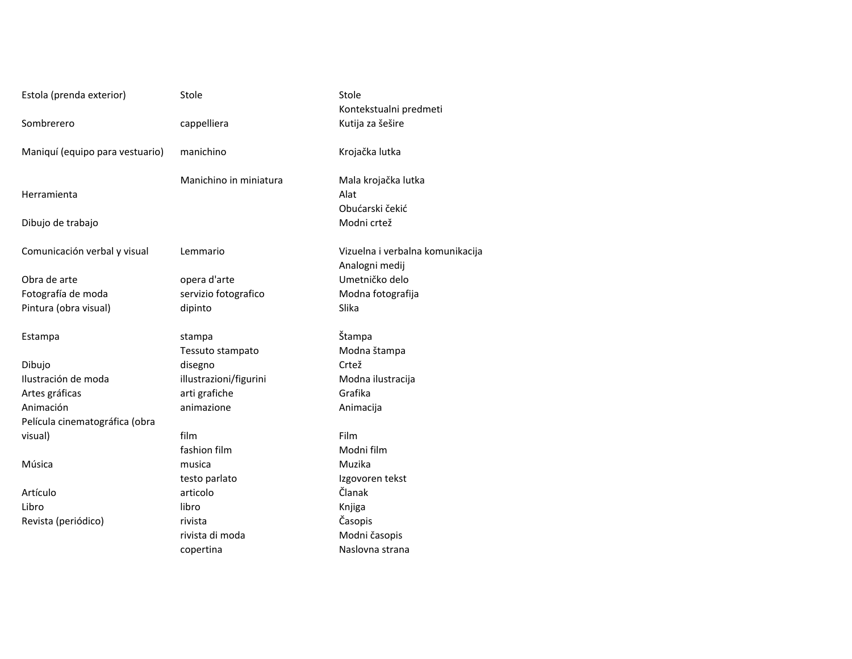| Estola (prenda exterior)        | Stole                  | Stole                            |
|---------------------------------|------------------------|----------------------------------|
|                                 |                        | Kontekstualni predmeti           |
| Sombrerero                      | cappelliera            | Kutija za šešire                 |
| Maniquí (equipo para vestuario) | manichino              | Krojačka lutka                   |
|                                 | Manichino in miniatura | Mala krojačka lutka              |
| Herramienta                     |                        | Alat                             |
|                                 |                        | Obućarski čekić                  |
| Dibujo de trabajo               |                        | Modni crtež                      |
| Comunicación verbal y visual    | Lemmario               | Vizuelna i verbalna komunikacija |
|                                 |                        | Analogni medij                   |
| Obra de arte                    | opera d'arte           | Umetničko delo                   |
| Fotografía de moda              | servizio fotografico   | Modna fotografija                |
| Pintura (obra visual)           | dipinto                | Slika                            |
| Estampa                         | stampa                 | Štampa                           |
|                                 | Tessuto stampato       | Modna štampa                     |
| Dibujo                          | disegno                | Crtež                            |
| Ilustración de moda             | illustrazioni/figurini | Modna ilustracija                |
| Artes gráficas                  | arti grafiche          | Grafika                          |
| Animación                       | animazione             | Animacija                        |
| Película cinematográfica (obra  |                        |                                  |
| visual)                         | film                   | Film                             |
|                                 | fashion film           | Modni film                       |
| Música                          | musica                 | Muzika                           |
|                                 | testo parlato          | Izgovoren tekst                  |
| Artículo                        | articolo               | Članak                           |
| Libro                           | libro                  | Knjiga                           |
| Revista (periódico)             | rivista                | Časopis                          |
|                                 | rivista di moda        | Modni časopis                    |
|                                 | copertina              | Naslovna strana                  |

|                 | Stole                            |
|-----------------|----------------------------------|
|                 | Kontekstualni predmeti           |
| era             | Kutija za šešire                 |
| 10              | Krojačka lutka                   |
| no in miniatura | Mala krojačka lutka              |
|                 | Alat                             |
|                 | Obućarski čekić                  |
|                 | Modni crtež                      |
| io              | Vizuelna i verbalna komunikacija |
|                 | Analogni medij                   |
| arte            | Umetničko delo                   |
| fotografico     | Modna fotografija                |
|                 | Slika                            |
|                 | Štampa                           |
| stampato        | Modna štampa                     |
|                 | Crtež                            |
| oni/figurini    | Modna ilustracija                |
| che             | Grafika                          |
| eמ              | Animacija                        |
|                 | Film                             |
| ilm             | Modni film                       |
|                 | Muzika                           |
| rlato           | Izgovoren tekst                  |
|                 | Članak                           |
|                 | Knjiga                           |
|                 | Časopis                          |
| moda            | Modni časopis                    |
| а               | Naslovna strana                  |
|                 |                                  |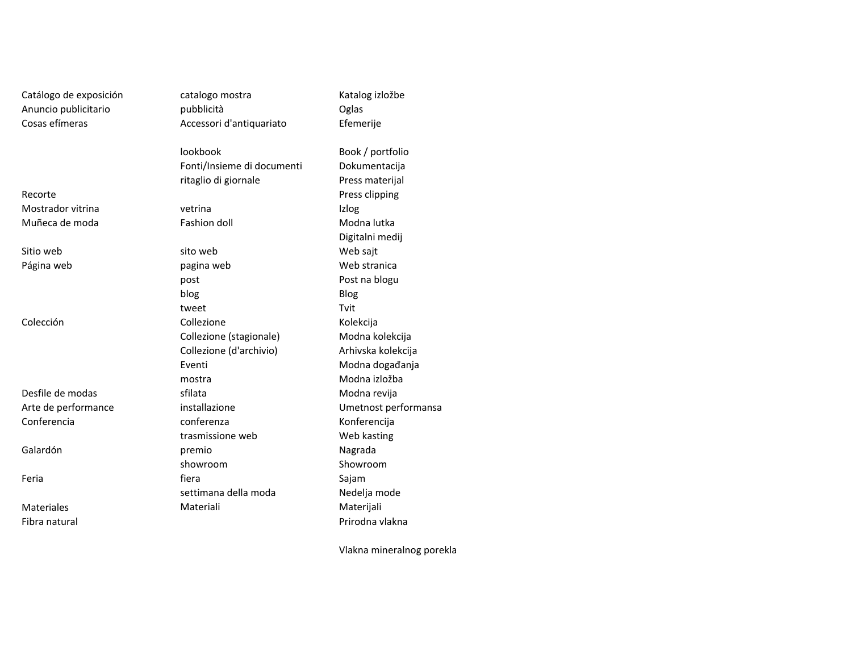Catálogo de exposición catalogo mostra Anuncio publicitarioCosas efímeras

RecorteMostrador vitrinaMuñeca de moda

Sitio webPágina web

Colección

Desfile de modasArte de performanceConferencia

Galardón

Feria

MaterialesFibra natural

 pubblicità Oglas Accessori d'antiquariato

lookbook Book / portfolioFonti/Insieme di documentiritaglio di giornale

a vetrina lzlog

b sito web sajt pagina web Web stranica postblogg Blog tweet Tvit n Collezione Collexione Kolekcija Collezione (stagionale)Collezione (d'archivio)Eventimostra sfilata Modna revija trasmissione web premioshowrooma Sajaman Sajaman Sajaman Sajaman Sajaman Sajaman Sajaman Sajaman Sajaman Sajaman Sajaman Sajaman Sajaman Saja settimana della modaMateriali Materijali

 Efemerije Dokumentacija Press materijal Press clipping Fashion doll **Modna** lutka Digitalni medij Post na blogu Modna kolekcija Arhivska kolekcija Modna događanja Modna izložba installazione Umetnost performansa Konferencija Web kasting Nagrada Showroom<br>Sajam Nedelja modePrirodna vlakna

Katalog izložbe

Vlakna mineralnog porekla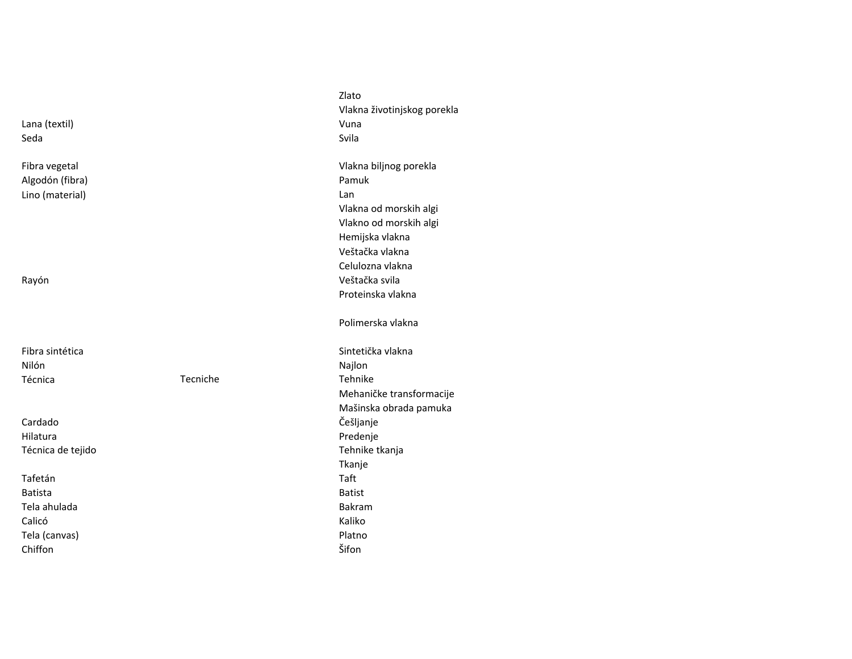|                   |          | Vlakna životinjskog porekla |
|-------------------|----------|-----------------------------|
| Lana (textil)     |          | Vuna                        |
| Seda              |          | Svila                       |
|                   |          |                             |
| Fibra vegetal     |          | Vlakna biljnog porekla      |
| Algodón (fibra)   |          | Pamuk                       |
| Lino (material)   |          | Lan                         |
|                   |          | Vlakna od morskih algi      |
|                   |          | Vlakno od morskih algi      |
|                   |          | Hemijska vlakna             |
|                   |          | Veštačka vlakna             |
|                   |          | Celulozna vlakna            |
| Rayón             |          | Veštačka svila              |
|                   |          | Proteinska vlakna           |
|                   |          | Polimerska vlakna           |
| Fibra sintética   |          | Sintetička vlakna           |
| Nilón             |          | Najlon                      |
| Técnica           | Tecniche | Tehnike                     |
|                   |          | Mehaničke transformacije    |
|                   |          | Mašinska obrada pamuka      |
| Cardado           |          | Češljanje                   |
| Hilatura          |          | Predenje                    |
| Técnica de tejido |          | Tehnike tkanja              |
|                   |          | Tkanje                      |
| Tafetán           |          | Taft                        |
| <b>Batista</b>    |          | <b>Batist</b>               |
| Tela ahulada      |          | Bakram                      |
| Calicó            |          | Kaliko                      |
| Tela (canvas)     |          | Platno                      |
| Chiffon           |          | Šifon                       |
|                   |          |                             |

Zlato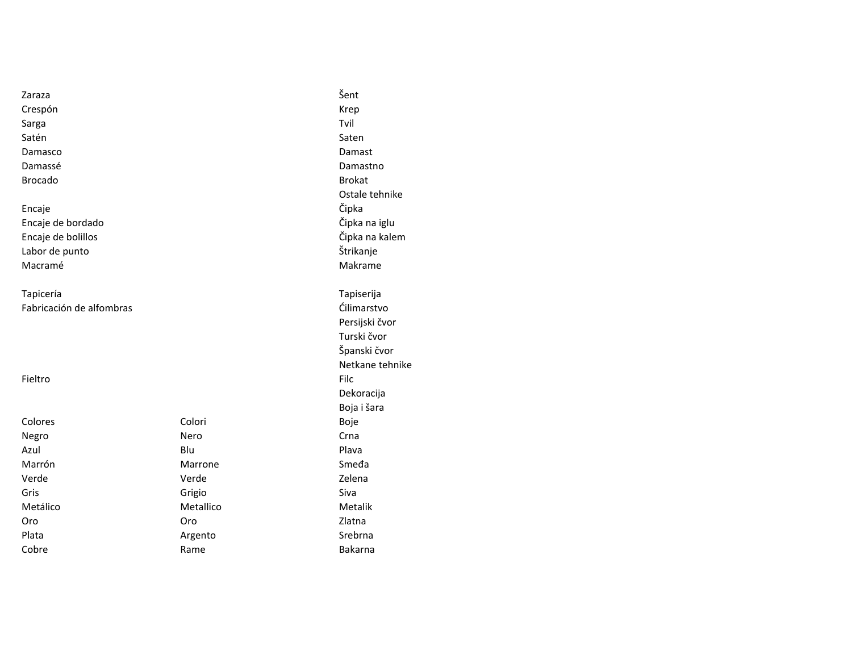| Zaraza                   |                | Šent            |
|--------------------------|----------------|-----------------|
| Crespón                  |                | Krep            |
| Sarga                    |                | Tvil            |
| Satén                    |                | Saten           |
| Damasco                  |                | Damast          |
| Damassé                  |                | Damastno        |
| <b>Brocado</b>           |                | <b>Brokat</b>   |
|                          |                | Ostale tehnike  |
| Encaje                   |                | Čipka           |
| Encaje de bordado        |                | Čipka na iglu   |
| Encaje de bolillos       | Čipka na kalem |                 |
| Labor de punto           | Štrikanje      |                 |
| Macramé                  |                | Makrame         |
| Tapicería                |                | Tapiserija      |
| Fabricación de alfombras |                | Ćilimarstvo     |
|                          |                | Persijski čvor  |
|                          |                | Turski čvor     |
|                          |                | Španski čvor    |
|                          |                | Netkane tehnike |
| Fieltro                  |                | Filc            |
|                          |                | Dekoracija      |
|                          |                | Boja i šara     |
| Colores                  | Colori         | Boje            |
| Negro                    | Nero           | Crna            |
| Azul                     | Blu            | Plava           |
| Marrón                   | Marrone        | Smeda           |
| Verde                    | Verde          | Zelena          |
| Gris                     | Grigio         | Siva            |
| Metálico                 | Metallico      | Metalik         |
| Oro                      | Oro            | Zlatna          |
| Plata                    | Argento        | Srebrna         |
| Cobre                    | Rame           | Bakarna         |
|                          |                |                 |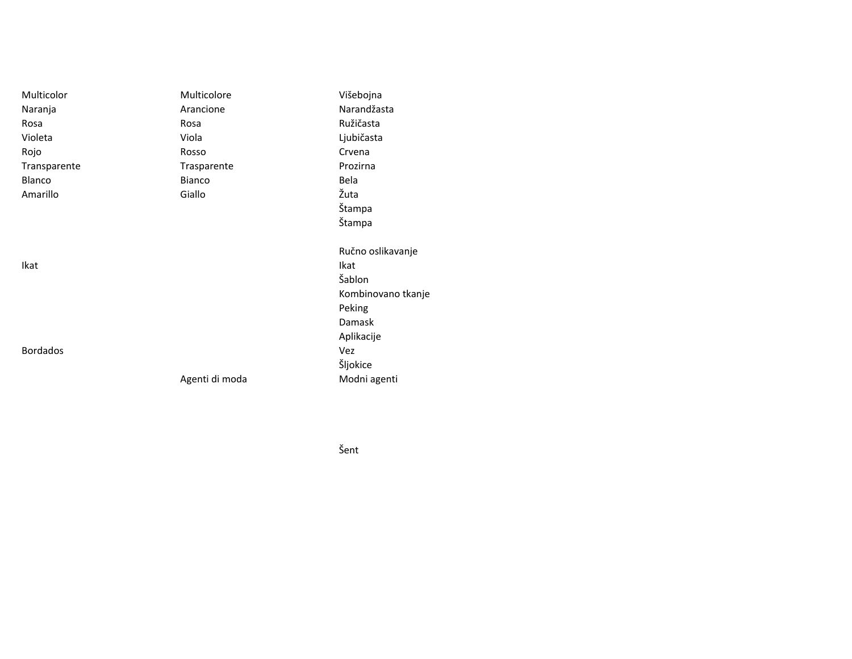| Multicolor      | Multicolore    | Višebojna          |
|-----------------|----------------|--------------------|
| Naranja         | Arancione      | Narandžasta        |
| Rosa            | Rosa           | Ružičasta          |
| Violeta         | Viola          | Ljubičasta         |
| Rojo            | Rosso          | Crvena             |
| Transparente    | Trasparente    | Prozirna           |
| <b>Blanco</b>   | <b>Bianco</b>  | Bela               |
| Amarillo        | Giallo         | Žuta               |
|                 |                | Štampa             |
|                 |                | Štampa             |
|                 |                | Ručno oslikavanje  |
| Ikat            |                | Ikat               |
|                 |                | Šablon             |
|                 |                | Kombinovano tkanje |
|                 |                | Peking             |
|                 |                | Damask             |
|                 |                | Aplikacije         |
| <b>Bordados</b> |                | Vez                |
|                 |                | Šljokice           |
|                 | Agenti di moda | Modni agenti       |

Šent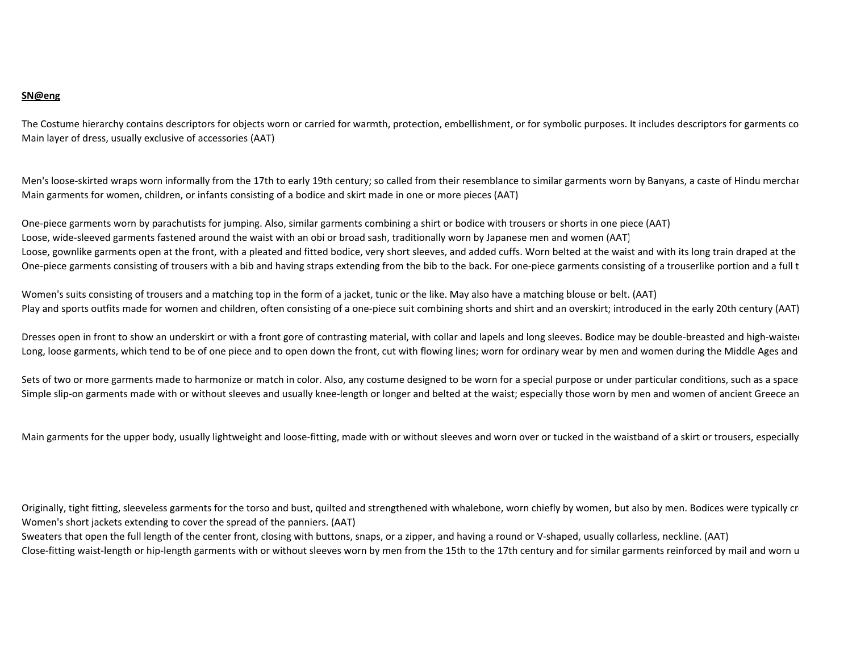## **SN@eng**

The Costume hierarchy contains descriptors for objects worn or carried for warmth, protection, embellishment, or for symbolic purposes. It includes descriptors for garments co Main layer of dress, usually exclusive of accessories (AAT)

Men's loose-skirted wraps worn informally from the 17th to early 19th century; so called from their resemblance to similar garments worn by Banyans, a caste of Hindu merchar Main garments for women, children, or infants consisting of a bodice and skirt made in one or more pieces (AAT)

One-piece garments worn by parachutists for jumping. Also, similar garments combining a shirt or bodice with trousers or shorts in one piece (AAT)Loose, wide-sleeved garments fastened around the waist with an obi or broad sash, traditionally worn by Japanese men and women (AAT)Loose, gownlike garments open at the front, with a pleated and fitted bodice, very short sleeves, and added cuffs. Worn belted at the waist and with its long train draped at the One-piece garments consisting of trousers with a bib and having straps extending from the bib to the back. For one-piece garments consisting of a trouserlike portion and a full t

Women's suits consisting of trousers and a matching top in the form of a jacket, tunic or the like. May also have a matching blouse or belt. (AAT)Play and sports outfits made for women and children, often consisting of a one-piece suit combining shorts and shirt and an overskirt; introduced in the early 20th century (AAT)

Dresses open in front to show an underskirt or with a front gore of contrasting material, with collar and lapels and long sleeves. Bodice may be double-breasted and high-waister Long, loose garments, which tend to be of one piece and to open down the front, cut with flowing lines; worn for ordinary wear by men and women during the Middle Ages and

Sets of two or more garments made to harmonize or match in color. Also, any costume designed to be worn for a special purpose or under particular conditions, such as a space Simple slip-on garments made with or without sleeves and usually knee-length or longer and belted at the waist; especially those worn by men and women of ancient Greece an

Main garments for the upper body, usually lightweight and loose-fitting, made with or without sleeves and worn over or tucked in the waistband of a skirt or trousers, especially

Originally, tight fitting, sleeveless garments for the torso and bust, quilted and strengthened with whalebone, worn chiefly by women, but also by men. Bodices were typically creatly for Women's short jackets extending to cover the spread of the panniers. (AAT)

Sweaters that open the full length of the center front, closing with buttons, snaps, or a zipper, and having a round or V-shaped, usually collarless, neckline. (AAT)Close-fitting waist-length or hip-length garments with or without sleeves worn by men from the 15th to the 17th century and for similar garments reinforced by mail and worn u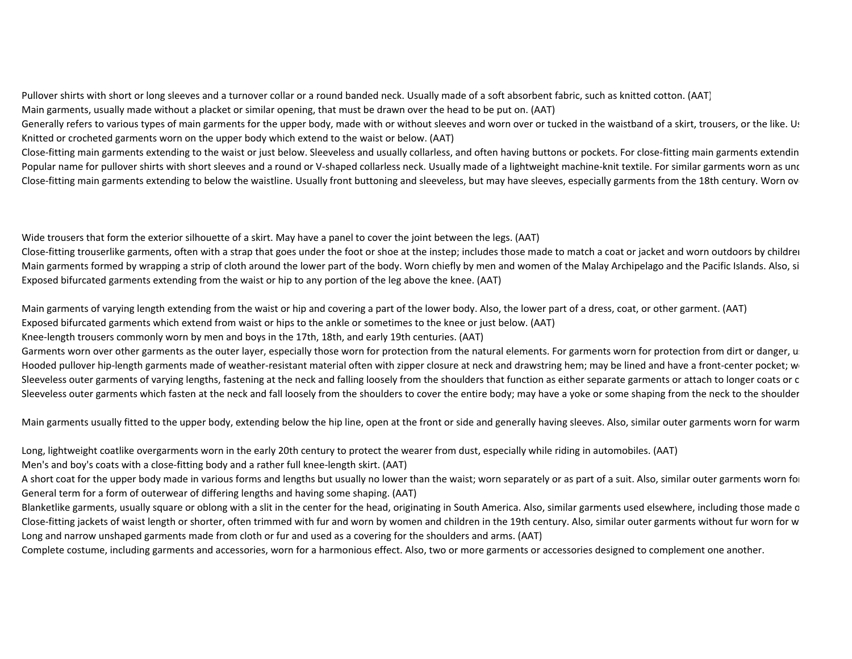Pullover shirts with short or long sleeves and a turnover collar or a round banded neck. Usually made of a soft absorbent fabric, such as knitted cotton. (AAT)Main garments, usually made without a placket or similar opening, that must be drawn over the head to be put on. (AAT)

Generally refers to various types of main garments for the upper body, made with or without sleeves and worn over or tucked in the waistband of a skirt, trousers, or the like. Us Knitted or crocheted garments worn on the upper body which extend to the waist or below. (AAT)

Close-fitting main garments extending to the waist or just below. Sleeveless and usually collarless, and often having buttons or pockets. For close-fitting main garments extendin Popular name for pullover shirts with short sleeves and a round or V-shaped collarless neck. Usually made of a lightweight machine-knit textile. For similar garments worn as under Close-fitting main garments extending to below the waistline. Usually front buttoning and sleeveless, but may have sleeves, especially garments from the 18th century. Worn ov

Wide trousers that form the exterior silhouette of a skirt. May have a panel to cover the joint between the legs. (AAT)

Close-fitting trouserlike garments, often with a strap that goes under the foot or shoe at the instep; includes those made to match a coat or jacket and worn outdoors by childrei Main garments formed by wrapping a strip of cloth around the lower part of the body. Worn chiefly by men and women of the Malay Archipelago and the Pacific Islands. Also, si Exposed bifurcated garments extending from the waist or hip to any portion of the leg above the knee. (AAT)

Main garments of varying length extending from the waist or hip and covering a part of the lower body. Also, the lower part of a dress, coat, or other garment. (AAT)Exposed bifurcated garments which extend from waist or hips to the ankle or sometimes to the knee or just below. (AAT)

Knee-length trousers commonly worn by men and boys in the 17th, 18th, and early 19th centuries. (AAT)

Garments worn over other garments as the outer layer, especially those worn for protection from the natural elements. For garments worn for protection from dirt or danger, un Hooded pullover hip-length garments made of weather-resistant material often with zipper closure at neck and drawstring hem; may be lined and have a front-center pocket; w Sleeveless outer garments of varying lengths, fastening at the neck and falling loosely from the shoulders that function as either separate garments or attach to longer coats or c Sleeveless outer garments which fasten at the neck and fall loosely from the shoulders to cover the entire body; may have a yoke or some shaping from the neck to the shoulder

Main garments usually fitted to the upper body, extending below the hip line, open at the front or side and generally having sleeves. Also, similar outer garments worn for warm

Long, lightweight coatlike overgarments worn in the early 20th century to protect the wearer from dust, especially while riding in automobiles. (AAT)

Men's and boy's coats with a close-fitting body and a rather full knee-length skirt. (AAT)

A short coat for the upper body made in various forms and lengths but usually no lower than the waist; worn separately or as part of a suit. Also, similar outer garments worn for General term for a form of outerwear of differing lengths and having some shaping. (AAT)

Blanketlike garments, usually square or oblong with a slit in the center for the head, originating in South America. Also, similar garments used elsewhere, including those made o Close-fitting jackets of waist length or shorter, often trimmed with fur and worn by women and children in the 19th century. Also, similar outer garments without fur worn for w Long and narrow unshaped garments made from cloth or fur and used as a covering for the shoulders and arms. (AAT)

Complete costume, including garments and accessories, worn for a harmonious effect. Also, two or more garments or accessories designed to complement one another.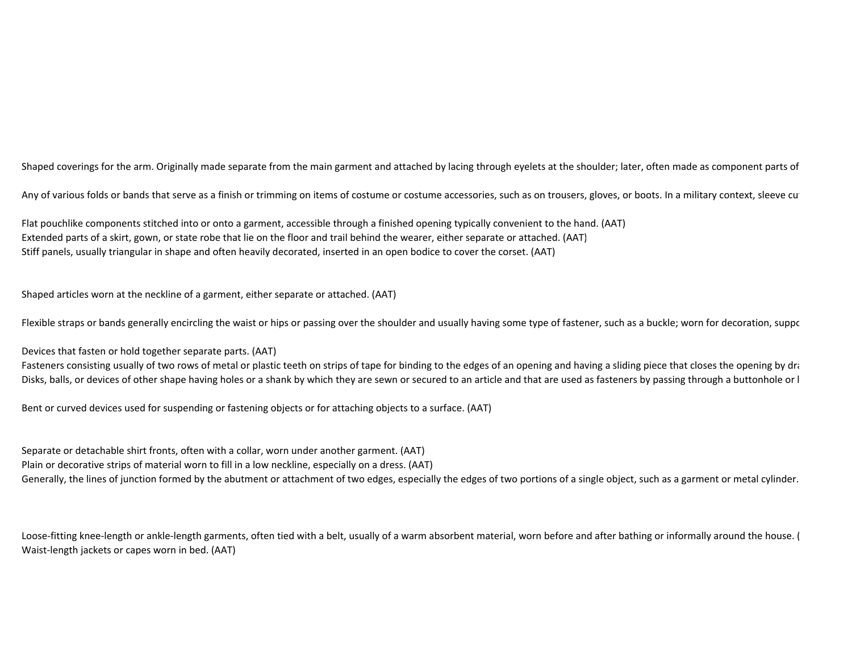Shaped coverings for the arm. Originally made separate from the main garment and attached by lacing through eyelets at the shoulder; later, often made as component parts of

Any of various folds or bands that serve as a finish or trimming on items of costume or costume accessories, such as on trousers, gloves, or boots. In a military context, sleeve cu

Flat pouchlike components stitched into or onto a garment, accessible through a finished opening typically convenient to the hand. (AAT)Extended parts of a skirt, gown, or state robe that lie on the floor and trail behind the wearer, either separate or attached. (AAT)Stiff panels, usually triangular in shape and often heavily decorated, inserted in an open bodice to cover the corset. (AAT)

Shaped articles worn at the neckline of a garment, either separate or attached. (AAT)

Flexible straps or bands generally encircling the waist or hips or passing over the shoulder and usually having some type of fastener, such as a buckle; worn for decoration, suppor

Devices that fasten or hold together separate parts. (AAT)

Fasteners consisting usually of two rows of metal or plastic teeth on strips of tape for binding to the edges of an opening and having a sliding piece that closes the opening by drangleral proce that closes the opening by Disks, balls, or devices of other shape having holes or a shank by which they are sewn or secured to an article and that are used as fasteners by passing through a buttonhole or I

Bent or curved devices used for suspending or fastening objects or for attaching objects to a surface. (AAT)

Separate or detachable shirt fronts, often with a collar, worn under another garment. (AAT)Plain or decorative strips of material worn to fill in a low neckline, especially on a dress. (AAT)Generally, the lines of junction formed by the abutment or attachment of two edges, especially the edges of two portions of a single object, such as a garment or metal cylinder.

Loose-fitting knee-length or ankle-length garments, often tied with a belt, usually of a warm absorbent material, worn before and after bathing or informally around the house. ( Waist-length jackets or capes worn in bed. (AAT)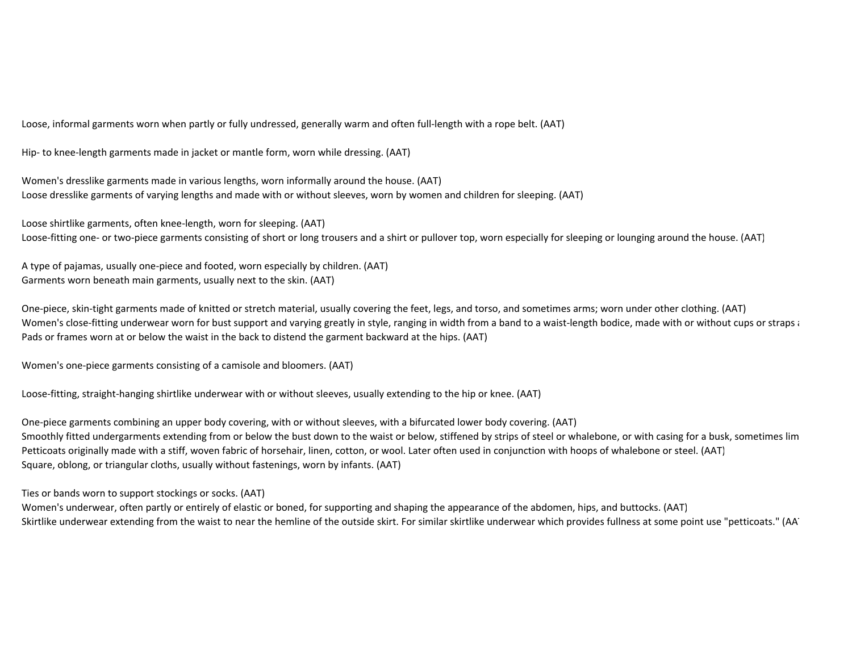Loose, informal garments worn when partly or fully undressed, generally warm and often full-length with a rope belt. (AAT)

Hip- to knee-length garments made in jacket or mantle form, worn while dressing. (AAT)

Women's dresslike garments made in various lengths, worn informally around the house. (AAT)Loose dresslike garments of varying lengths and made with or without sleeves, worn by women and children for sleeping. (AAT)

Loose shirtlike garments, often knee-length, worn for sleeping. (AAT)Loose-fitting one- or two-piece garments consisting of short or long trousers and a shirt or pullover top, worn especially for sleeping or lounging around the house. (AAT)

A type of pajamas, usually one-piece and footed, worn especially by children. (AAT)Garments worn beneath main garments, usually next to the skin. (AAT)

One-piece, skin-tight garments made of knitted or stretch material, usually covering the feet, legs, and torso, and sometimes arms; worn under other clothing. (AAT)Women's close-fitting underwear worn for bust support and varying greatly in style, ranging in width from a band to a waist-length bodice, made with or without cups or straps and to a waist flength bodice, made with or wit Pads or frames worn at or below the waist in the back to distend the garment backward at the hips. (AAT)

Women's one-piece garments consisting of a camisole and bloomers. (AAT)

Loose-fitting, straight-hanging shirtlike underwear with or without sleeves, usually extending to the hip or knee. (AAT)

One-piece garments combining an upper body covering, with or without sleeves, with a bifurcated lower body covering. (AAT)Smoothly fitted undergarments extending from or below the bust down to the waist or below, stiffened by strips of steel or whalebone, or with casing for a busk, sometimes lim Petticoats originally made with a stiff, woven fabric of horsehair, linen, cotton, or wool. Later often used in conjunction with hoops of whalebone or steel. (AAT)Square, oblong, or triangular cloths, usually without fastenings, worn by infants. (AAT)

Ties or bands worn to support stockings or socks. (AAT)

 Women's underwear, often partly or entirely of elastic or boned, for supporting and shaping the appearance of the abdomen, hips, and buttocks. (AAT)Skirtlike underwear extending from the waist to near the hemline of the outside skirt. For similar skirtlike underwear which provides fullness at some point use "petticoats." (AAT)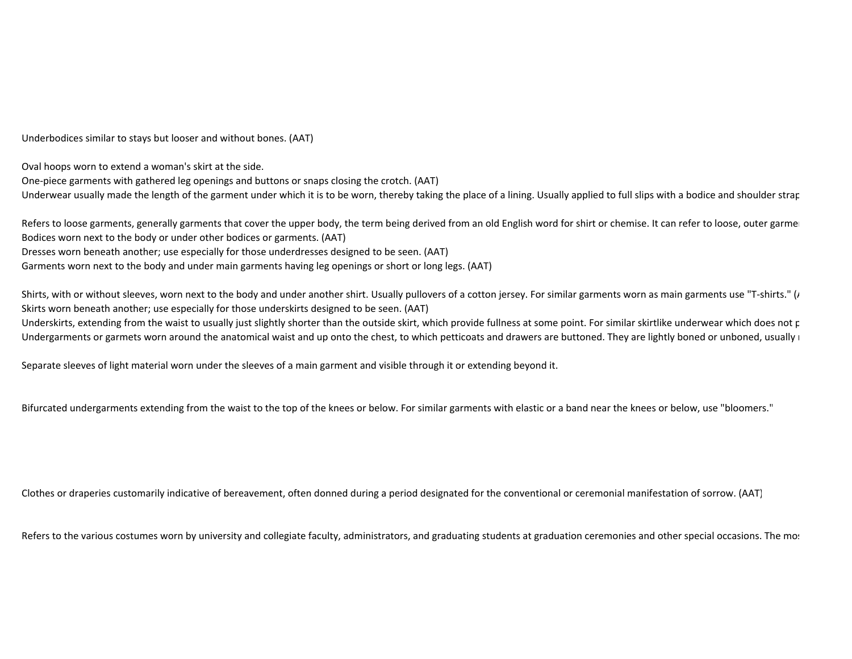Underbodices similar to stays but looser and without bones. (AAT)

Oval hoops worn to extend a woman's skirt at the side.One-piece garments with gathered leg openings and buttons or snaps closing the crotch. (AAT)Underwear usually made the length of the garment under which it is to be worn, thereby taking the place of a lining. Usually applied to full slips with a bodice and shoulder strap

Refers to loose garments, generally garments that cover the upper body, the term being derived from an old English word for shirt or chemise. It can refer to loose, outer garme Bodices worn next to the body or under other bodices or garments. (AAT)Dresses worn beneath another; use especially for those underdresses designed to be seen. (AAT)Garments worn next to the body and under main garments having leg openings or short or long legs. (AAT)

Shirts, with or without sleeves, worn next to the body and under another shirt. Usually pullovers of a cotton jersey. For similar garments worn as main garments use "T-shirts."  $(\mu)$ Skirts worn beneath another; use especially for those underskirts designed to be seen. (AAT)

Underskirts, extending from the waist to usually just slightly shorter than the outside skirt, which provide fullness at some point. For similar skirtlike underwear which does not provide fullness Undergarments or garmets worn around the anatomical waist and up onto the chest, to which petticoats and drawers are buttoned. They are lightly boned or unboned, usually i

Separate sleeves of light material worn under the sleeves of a main garment and visible through it or extending beyond it.

Bifurcated undergarments extending from the waist to the top of the knees or below. For similar garments with elastic or a band near the knees or below, use "bloomers."

Clothes or draperies customarily indicative of bereavement, often donned during a period designated for the conventional or ceremonial manifestation of sorrow. (AAT)

Refers to the various costumes worn by university and collegiate faculty, administrators, and graduating students at graduation ceremonies and other special occasions. The mot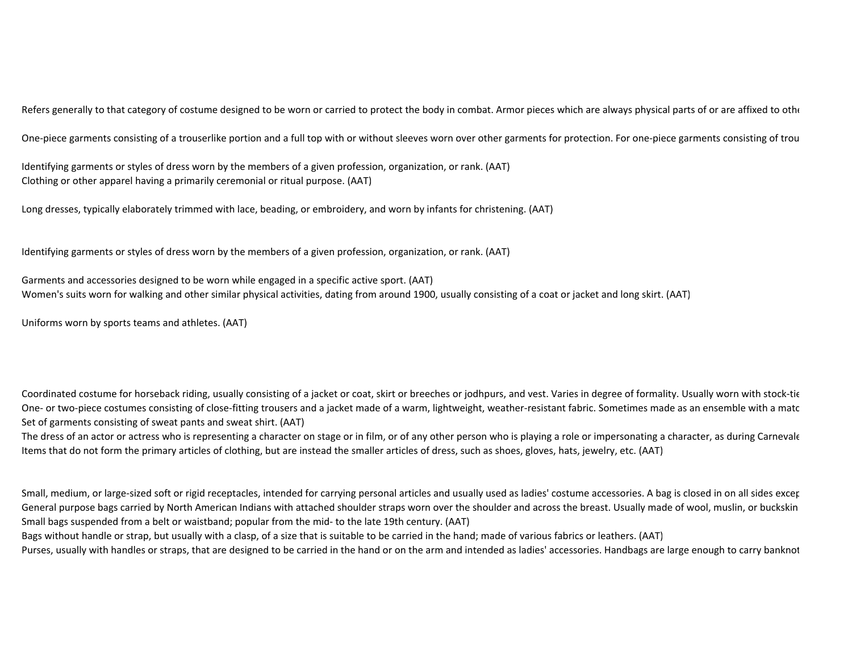Refers generally to that category of costume designed to be worn or carried to protect the body in combat. Armor pieces which are always physical parts of or are affixed to othe

One-piece garments consisting of a trouserlike portion and a full top with or without sleeves worn over other garments for protection. For one-piece garments consisting of trou

Identifying garments or styles of dress worn by the members of a given profession, organization, or rank. (AAT)Clothing or other apparel having a primarily ceremonial or ritual purpose. (AAT)

Long dresses, typically elaborately trimmed with lace, beading, or embroidery, and worn by infants for christening. (AAT)

Identifying garments or styles of dress worn by the members of a given profession, organization, or rank. (AAT)

Garments and accessories designed to be worn while engaged in a specific active sport. (AAT)Women's suits worn for walking and other similar physical activities, dating from around 1900, usually consisting of a coat or jacket and long skirt. (AAT)

Uniforms worn by sports teams and athletes. (AAT)

Coordinated costume for horseback riding, usually consisting of a jacket or coat, skirt or breeches or jodhpurs, and vest. Varies in degree of formality. Usually worn with stock-tie One- or two-piece costumes consisting of close-fitting trousers and a jacket made of a warm, lightweight, weather-resistant fabric. Sometimes made as an ensemble with a matc Set of garments consisting of sweat pants and sweat shirt. (AAT)

The dress of an actor or actress who is representing a character on stage or in film, or of any other person who is playing a role or impersonating a character, as during Carnevale Items that do not form the primary articles of clothing, but are instead the smaller articles of dress, such as shoes, gloves, hats, jewelry, etc. (AAT)

Small, medium, or large-sized soft or rigid receptacles, intended for carrying personal articles and usually used as ladies' costume accessories. A bag is closed in on all sides excer General purpose bags carried by North American Indians with attached shoulder straps worn over the shoulder and across the breast. Usually made of wool, muslin, or buckskin Small bags suspended from a belt or waistband; popular from the mid- to the late 19th century. (AAT)

Bags without handle or strap, but usually with a clasp, of a size that is suitable to be carried in the hand; made of various fabrics or leathers. (AAT)

Purses, usually with handles or straps, that are designed to be carried in the hand or on the arm and intended as ladies' accessories. Handbags are large enough to carry banknot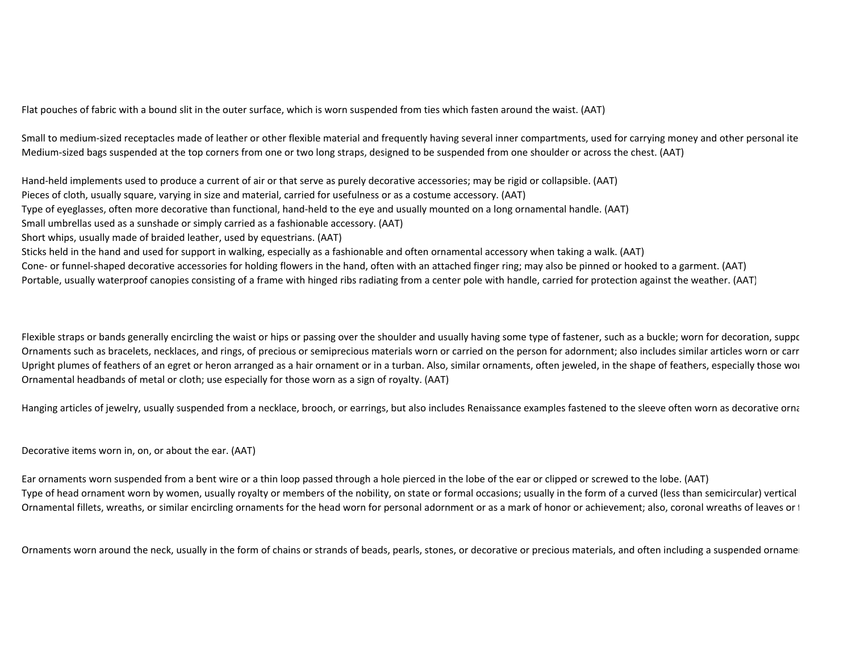Flat pouches of fabric with a bound slit in the outer surface, which is worn suspended from ties which fasten around the waist. (AAT)

Small to medium-sized receptacles made of leather or other flexible material and frequently having several inner compartments, used for carrying money and other personal ite Medium-sized bags suspended at the top corners from one or two long straps, designed to be suspended from one shoulder or across the chest. (AAT)

Hand-held implements used to produce a current of air or that serve as purely decorative accessories; may be rigid or collapsible. (AAT)Pieces of cloth, usually square, varying in size and material, carried for usefulness or as a costume accessory. (AAT)Type of eyeglasses, often more decorative than functional, hand-held to the eye and usually mounted on a long ornamental handle. (AAT)Small umbrellas used as a sunshade or simply carried as a fashionable accessory. (AAT)Short whips, usually made of braided leather, used by equestrians. (AAT)Sticks held in the hand and used for support in walking, especially as a fashionable and often ornamental accessory when taking a walk. (AAT)Cone- or funnel-shaped decorative accessories for holding flowers in the hand, often with an attached finger ring; may also be pinned or hooked to a garment. (AAT)Portable, usually waterproof canopies consisting of a frame with hinged ribs radiating from a center pole with handle, carried for protection against the weather. (AAT)

Flexible straps or bands generally encircling the waist or hips or passing over the shoulder and usually having some type of fastener, such as a buckle; worn for decoration, support Ornaments such as bracelets, necklaces, and rings, of precious or semiprecious materials worn or carried on the person for adornment; also includes similar articles worn or carr Upright plumes of feathers of an egret or heron arranged as a hair ornament or in a turban. Also, similar ornaments, often jeweled, in the shape of feathers, especially those wor Ornamental headbands of metal or cloth; use especially for those worn as a sign of royalty. (AAT)

Hanging articles of jewelry, usually suspended from a necklace, brooch, or earrings, but also includes Renaissance examples fastened to the sleeve often worn as decorative orna

Decorative items worn in, on, or about the ear. (AAT)

Ear ornaments worn suspended from a bent wire or a thin loop passed through a hole pierced in the lobe of the ear or clipped or screwed to the lobe. (AAT)Type of head ornament worn by women, usually royalty or members of the nobility, on state or formal occasions; usually in the form of a curved (less than semicircular) vertical Ornamental fillets, wreaths, or similar encircling ornaments for the head worn for personal adornment or as a mark of honor or achievement; also, coronal wreaths of leaves or t

Ornaments worn around the neck, usually in the form of chains or strands of beads, pearls, stones, or decorative or precious materials, and often including a suspended orname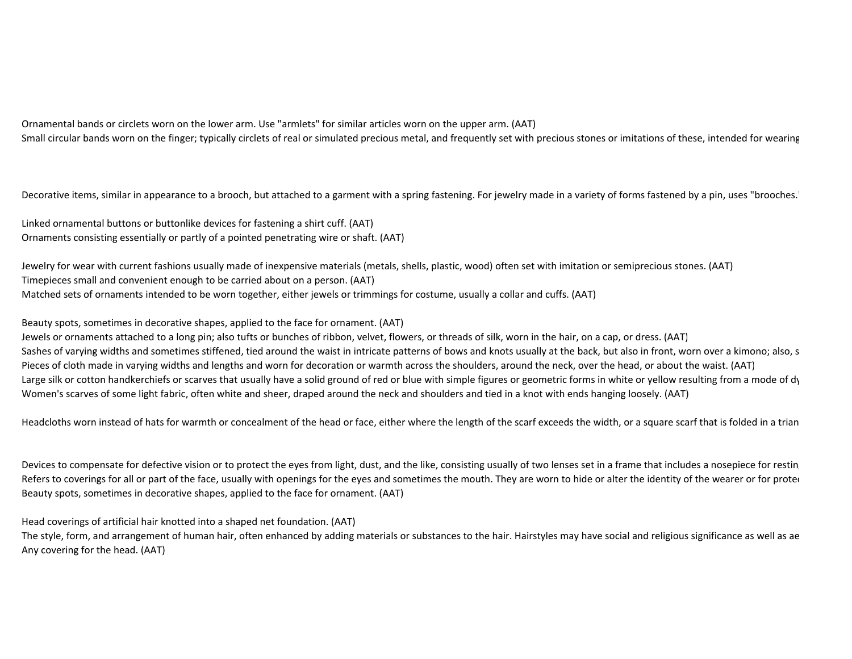Ornamental bands or circlets worn on the lower arm. Use "armlets" for similar articles worn on the upper arm. (AAT)Small circular bands worn on the finger; typically circlets of real or simulated precious metal, and frequently set with precious stones or imitations of these, intended for wearing

Decorative items, similar in appearance to a brooch, but attached to a garment with a spring fastening. For jewelry made in a variety of forms fastened by a pin, uses "brooches."

Linked ornamental buttons or buttonlike devices for fastening a shirt cuff. (AAT)Ornaments consisting essentially or partly of a pointed penetrating wire or shaft. (AAT)

Jewelry for wear with current fashions usually made of inexpensive materials (metals, shells, plastic, wood) often set with imitation or semiprecious stones. (AAT)Timepieces small and convenient enough to be carried about on a person. (AAT)Matched sets of ornaments intended to be worn together, either jewels or trimmings for costume, usually a collar and cuffs. (AAT)

Beauty spots, sometimes in decorative shapes, applied to the face for ornament. (AAT)

Jewels or ornaments attached to a long pin; also tufts or bunches of ribbon, velvet, flowers, or threads of silk, worn in the hair, on a cap, or dress. (AAT)Sashes of varying widths and sometimes stiffened, tied around the waist in intricate patterns of bows and knots usually at the back, but also in front, worn over a kimono; also, s Pieces of cloth made in varying widths and lengths and worn for decoration or warmth across the shoulders, around the neck, over the head, or about the waist. (AAT)Large silk or cotton handkerchiefs or scarves that usually have a solid ground of red or blue with simple figures or geometric forms in white or yellow resulting from a mode of dy Women's scarves of some light fabric, often white and sheer, draped around the neck and shoulders and tied in a knot with ends hanging loosely. (AAT)

Headcloths worn instead of hats for warmth or concealment of the head or face, either where the length of the scarf exceeds the width, or a square scarf that is folded in a trian

Devices to compensate for defective vision or to protect the eyes from light, dust, and the like, consisting usually of two lenses set in a frame that includes a nosepiece for resting Refers to coverings for all or part of the face, usually with openings for the eyes and sometimes the mouth. They are worn to hide or alter the identity of the wearer or for proter Beauty spots, sometimes in decorative shapes, applied to the face for ornament. (AAT)

Head coverings of artificial hair knotted into a shaped net foundation. (AAT)

The style, form, and arrangement of human hair, often enhanced by adding materials or substances to the hair. Hairstyles may have social and religious significance as well as ae Any covering for the head. (AAT)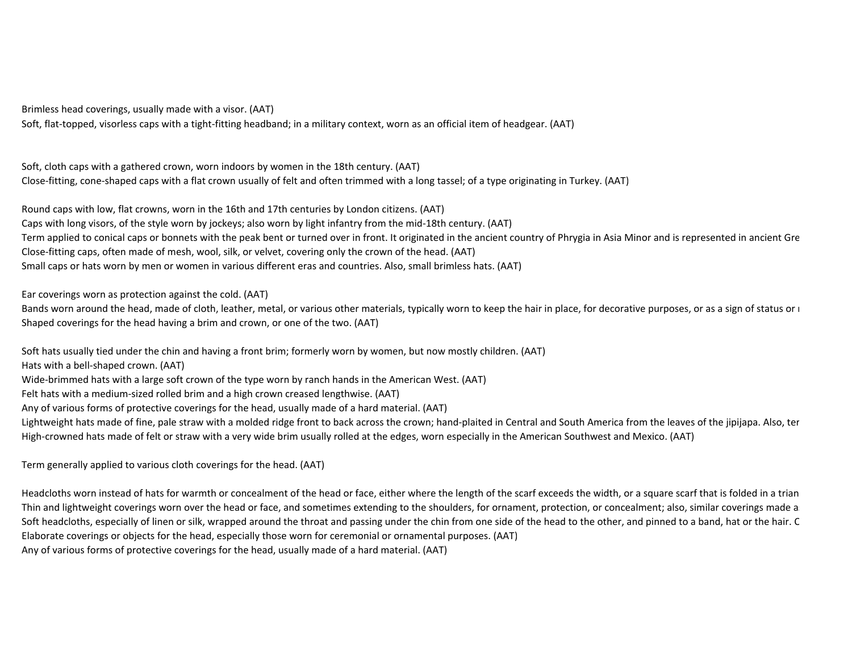Brimless head coverings, usually made with a visor. (AAT)

Soft, flat-topped, visorless caps with a tight-fitting headband; in a military context, worn as an official item of headgear. (AAT)

Soft, cloth caps with a gathered crown, worn indoors by women in the 18th century. (AAT)Close-fitting, cone-shaped caps with a flat crown usually of felt and often trimmed with a long tassel; of a type originating in Turkey. (AAT)

Round caps with low, flat crowns, worn in the 16th and 17th centuries by London citizens. (AAT)Caps with long visors, of the style worn by jockeys; also worn by light infantry from the mid-18th century. (AAT)Term applied to conical caps or bonnets with the peak bent or turned over in front. It originated in the ancient country of Phrygia in Asia Minor and is represented in ancient Gre Close-fitting caps, often made of mesh, wool, silk, or velvet, covering only the crown of the head. (AAT)Small caps or hats worn by men or women in various different eras and countries. Also, small brimless hats. (AAT)

Ear coverings worn as protection against the cold. (AAT)

Bands worn around the head, made of cloth, leather, metal, or various other materials, typically worn to keep the hair in place, for decorative purposes, or as a sign of status or  $\iota$ Shaped coverings for the head having a brim and crown, or one of the two. (AAT)

Soft hats usually tied under the chin and having a front brim; formerly worn by women, but now mostly children. (AAT)

Hats with a bell-shaped crown. (AAT)

Wide-brimmed hats with a large soft crown of the type worn by ranch hands in the American West. (AAT)

Felt hats with a medium-sized rolled brim and a high crown creased lengthwise. (AAT)

Any of various forms of protective coverings for the head, usually made of a hard material. (AAT)

Lightweight hats made of fine, pale straw with a molded ridge front to back across the crown; hand-plaited in Central and South America from the leaves of the jipijapa. Also, ter High-crowned hats made of felt or straw with a very wide brim usually rolled at the edges, worn especially in the American Southwest and Mexico. (AAT)

Term generally applied to various cloth coverings for the head. (AAT)

Headcloths worn instead of hats for warmth or concealment of the head or face, either where the length of the scarf exceeds the width, or a square scarf that is folded in a trian Thin and lightweight coverings worn over the head or face, and sometimes extending to the shoulders, for ornament, protection, or concealment; also, similar coverings made a Soft headcloths, especially of linen or silk, wrapped around the throat and passing under the chin from one side of the head to the other, and pinned to a band, hat or the hair. C Elaborate coverings or objects for the head, especially those worn for ceremonial or ornamental purposes. (AAT)Any of various forms of protective coverings for the head, usually made of a hard material. (AAT)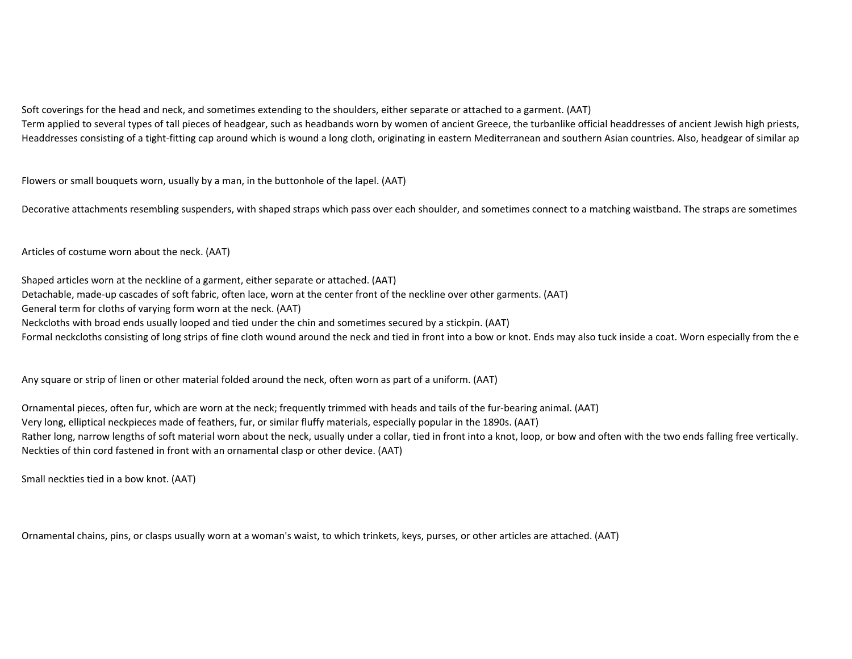Soft coverings for the head and neck, and sometimes extending to the shoulders, either separate or attached to a garment. (AAT)Term applied to several types of tall pieces of headgear, such as headbands worn by women of ancient Greece, the turbanlike official headdresses of ancient Jewish high priests, Headdresses consisting of a tight-fitting cap around which is wound a long cloth, originating in eastern Mediterranean and southern Asian countries. Also, headgear of similar ap

Flowers or small bouquets worn, usually by a man, in the buttonhole of the lapel. (AAT)

Decorative attachments resembling suspenders, with shaped straps which pass over each shoulder, and sometimes connect to a matching waistband. The straps are sometimes

Articles of costume worn about the neck. (AAT)

Shaped articles worn at the neckline of a garment, either separate or attached. (AAT)Detachable, made-up cascades of soft fabric, often lace, worn at the center front of the neckline over other garments. (AAT)General term for cloths of varying form worn at the neck. (AAT)Neckcloths with broad ends usually looped and tied under the chin and sometimes secured by a stickpin. (AAT)Formal neckcloths consisting of long strips of fine cloth wound around the neck and tied in front into a bow or knot. Ends may also tuck inside a coat. Worn especially from the e

Any square or strip of linen or other material folded around the neck, often worn as part of a uniform. (AAT)

Ornamental pieces, often fur, which are worn at the neck; frequently trimmed with heads and tails of the fur-bearing animal. (AAT)Very long, elliptical neckpieces made of feathers, fur, or similar fluffy materials, especially popular in the 1890s. (AAT)Rather long, narrow lengths of soft material worn about the neck, usually under a collar, tied in front into a knot, loop, or bow and often with the two ends falling free vertically. Neckties of thin cord fastened in front with an ornamental clasp or other device. (AAT)

Small neckties tied in a bow knot. (AAT)

Ornamental chains, pins, or clasps usually worn at a woman's waist, to which trinkets, keys, purses, or other articles are attached. (AAT)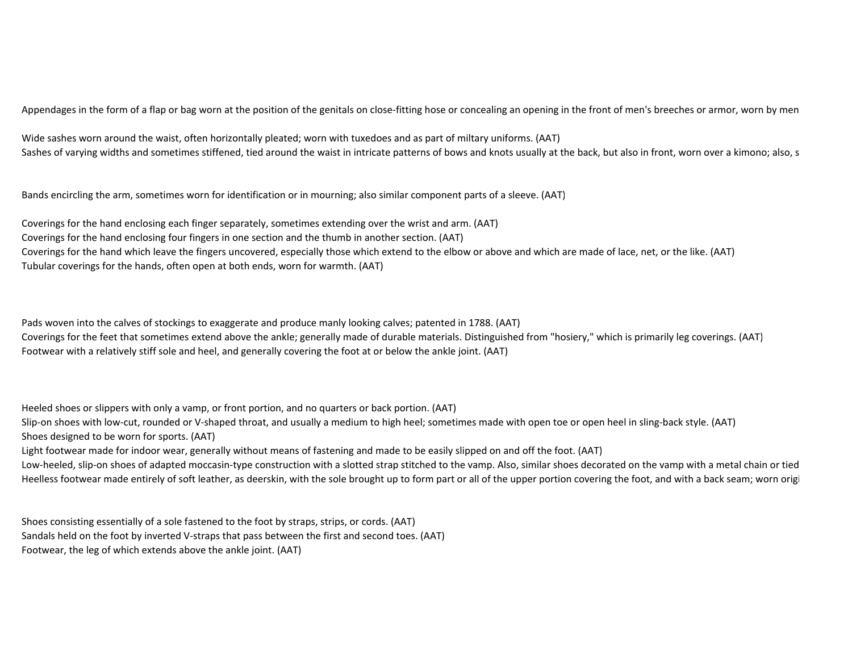Appendages in the form of a flap or bag worn at the position of the genitals on close-fitting hose or concealing an opening in the front of men's breeches or armor, worn by men

Wide sashes worn around the waist, often horizontally pleated; worn with tuxedoes and as part of miltary uniforms. (AAT)Sashes of varying widths and sometimes stiffened, tied around the waist in intricate patterns of bows and knots usually at the back, but also in front, worn over a kimono; also, s

Bands encircling the arm, sometimes worn for identification or in mourning; also similar component parts of a sleeve. (AAT)

Coverings for the hand enclosing each finger separately, sometimes extending over the wrist and arm. (AAT)Coverings for the hand enclosing four fingers in one section and the thumb in another section. (AAT)Coverings for the hand which leave the fingers uncovered, especially those which extend to the elbow or above and which are made of lace, net, or the like. (AAT)Tubular coverings for the hands, often open at both ends, worn for warmth. (AAT)

Pads woven into the calves of stockings to exaggerate and produce manly looking calves; patented in 1788. (AAT)Coverings for the feet that sometimes extend above the ankle; generally made of durable materials. Distinguished from "hosiery," which is primarily leg coverings. (AAT)Footwear with a relatively stiff sole and heel, and generally covering the foot at or below the ankle joint. (AAT)

Heeled shoes or slippers with only a vamp, or front portion, and no quarters or back portion. (AAT)Slip-on shoes with low-cut, rounded or V-shaped throat, and usually a medium to high heel; sometimes made with open toe or open heel in sling-back style. (AAT)

Shoes designed to be worn for sports. (AAT)

Light footwear made for indoor wear, generally without means of fastening and made to be easily slipped on and off the foot. (AAT)

Low-heeled, slip-on shoes of adapted moccasin-type construction with a slotted strap stitched to the vamp. Also, similar shoes decorated on the vamp with a metal chain or tied Heelless footwear made entirely of soft leather, as deerskin, with the sole brought up to form part or all of the upper portion covering the foot, and with a back seam; worn origi

Shoes consisting essentially of a sole fastened to the foot by straps, strips, or cords. (AAT)Sandals held on the foot by inverted V-straps that pass between the first and second toes. (AAT)Footwear, the leg of which extends above the ankle joint. (AAT)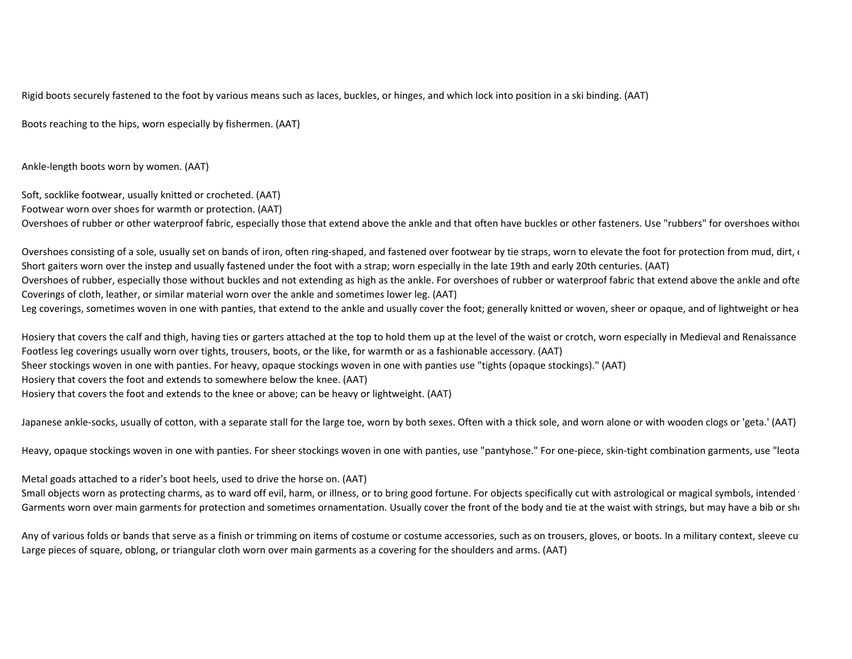Rigid boots securely fastened to the foot by various means such as laces, buckles, or hinges, and which lock into position in a ski binding. (AAT)

Boots reaching to the hips, worn especially by fishermen. (AAT)

Ankle-length boots worn by women. (AAT)

Soft, socklike footwear, usually knitted or crocheted. (AAT)Footwear worn over shoes for warmth or protection. (AAT)

Overshoes of rubber or other waterproof fabric, especially those that extend above the ankle and that often have buckles or other fasteners. Use "rubbers" for overshoes withou

Overshoes consisting of a sole, usually set on bands of iron, often ring-shaped, and fastened over footwear by tie straps, worn to elevate the foot for protection from mud, dirt, our election from mud, dirt, or Short gaiters worn over the instep and usually fastened under the foot with a strap; worn especially in the late 19th and early 20th centuries. (AAT)Overshoes of rubber, especially those without buckles and not extending as high as the ankle. For overshoes of rubber or waterproof fabric that extend above the ankle and ofte Coverings of cloth, leather, or similar material worn over the ankle and sometimes lower leg. (AAT)Leg coverings, sometimes woven in one with panties, that extend to the ankle and usually cover the foot; generally knitted or woven, sheer or opaque, and of lightweight or hea

Hosiery that covers the calf and thigh, having ties or garters attached at the top to hold them up at the level of the waist or crotch, worn especially in Medieval and Renaissance Footless leg coverings usually worn over tights, trousers, boots, or the like, for warmth or as a fashionable accessory. (AAT)Sheer stockings woven in one with panties. For heavy, opaque stockings woven in one with panties use "tights (opaque stockings)." (AAT)Hosiery that covers the foot and extends to somewhere below the knee. (AAT)Hosiery that covers the foot and extends to the knee or above; can be heavy or lightweight. (AAT)

Japanese ankle-socks, usually of cotton, with a separate stall for the large toe, worn by both sexes. Often with a thick sole, and worn alone or with wooden clogs or 'geta.' (AAT)

Heavy, opaque stockings woven in one with panties. For sheer stockings woven in one with panties, use "pantyhose." For one-piece, skin-tight combination garments, use "leotards."

Metal goads attached to a rider's boot heels, used to drive the horse on. (AAT)

Small objects worn as protecting charms, as to ward off evil, harm, or illness, or to bring good fortune. For objects specifically cut with astrological or magical symbols, intended 1 Garments worn over main garments for protection and sometimes ornamentation. Usually cover the front of the body and tie at the waist with strings, but may have a bib or should

Any of various folds or bands that serve as a finish or trimming on items of costume or costume accessories, such as on trousers, gloves, or boots. In a military context, sleeve cu Large pieces of square, oblong, or triangular cloth worn over main garments as a covering for the shoulders and arms. (AAT)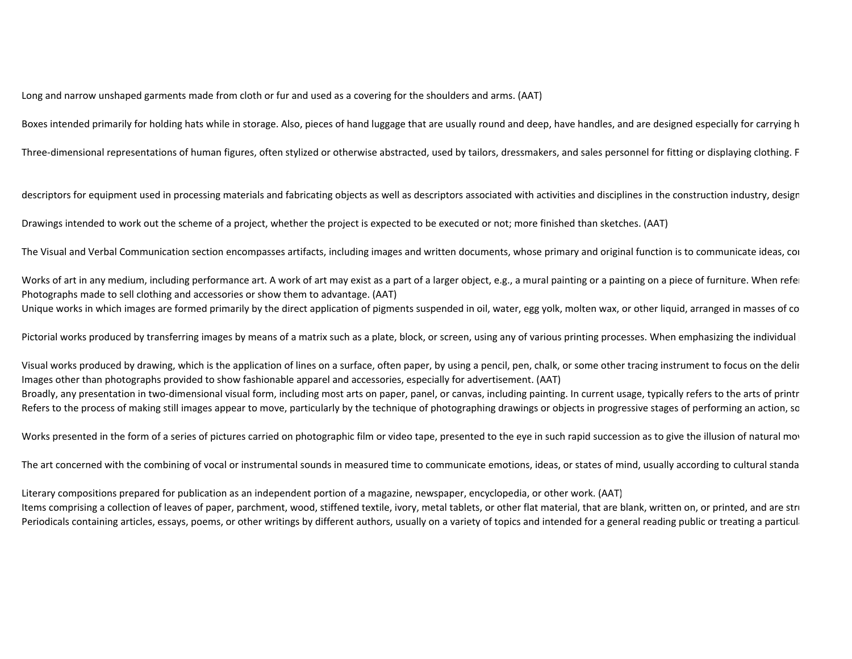Long and narrow unshaped garments made from cloth or fur and used as a covering for the shoulders and arms. (AAT)

Boxes intended primarily for holding hats while in storage. Also, pieces of hand luggage that are usually round and deep, have handles, and are designed especially for carrying h

Three-dimensional representations of human figures, often stylized or otherwise abstracted, used by tailors, dressmakers, and sales personnel for fitting or displaying clothing. F

descriptors for equipment used in processing materials and fabricating objects as well as descriptors associated with activities and disciplines in the construction industry, design

Drawings intended to work out the scheme of a project, whether the project is expected to be executed or not; more finished than sketches. (AAT)

The Visual and Verbal Communication section encompasses artifacts, including images and written documents, whose primary and original function is to communicate ideas, cor

Works of art in any medium, including performance art. A work of art may exist as a part of a larger object, e.g., a mural painting or a painting on a piece of furniture. When refered Photographs made to sell clothing and accessories or show them to advantage. (AAT)Unique works in which images are formed primarily by the direct application of pigments suspended in oil, water, egg yolk, molten wax, or other liquid, arranged in masses of co

Pictorial works produced by transferring images by means of a matrix such as a plate, block, or screen, using any of various printing processes. When emphasizing the individual

Visual works produced by drawing, which is the application of lines on a surface, often paper, by using a pencil, pen, chalk, or some other tracing instrument to focus on the delir Images other than photographs provided to show fashionable apparel and accessories, especially for advertisement. (AAT)Broadly, any presentation in two-dimensional visual form, including most arts on paper, panel, or canvas, including painting. In current usage, typically refers to the arts of printr Refers to the process of making still images appear to move, particularly by the technique of photographing drawings or objects in progressive stages of performing an action, so

Works presented in the form of a series of pictures carried on photographic film or video tape, presented to the eye in such rapid succession as to give the illusion of natural moves

The art concerned with the combining of vocal or instrumental sounds in measured time to communicate emotions, ideas, or states of mind, usually according to cultural standa

Literary compositions prepared for publication as an independent portion of a magazine, newspaper, encyclopedia, or other work. (AAT)

Items comprising a collection of leaves of paper, parchment, wood, stiffened textile, ivory, metal tablets, or other flat material, that are blank, written on, or printed, and are stru Periodicals containing articles, essays, poems, or other writings by different authors, usually on a variety of topics and intended for a general reading public or treating a particular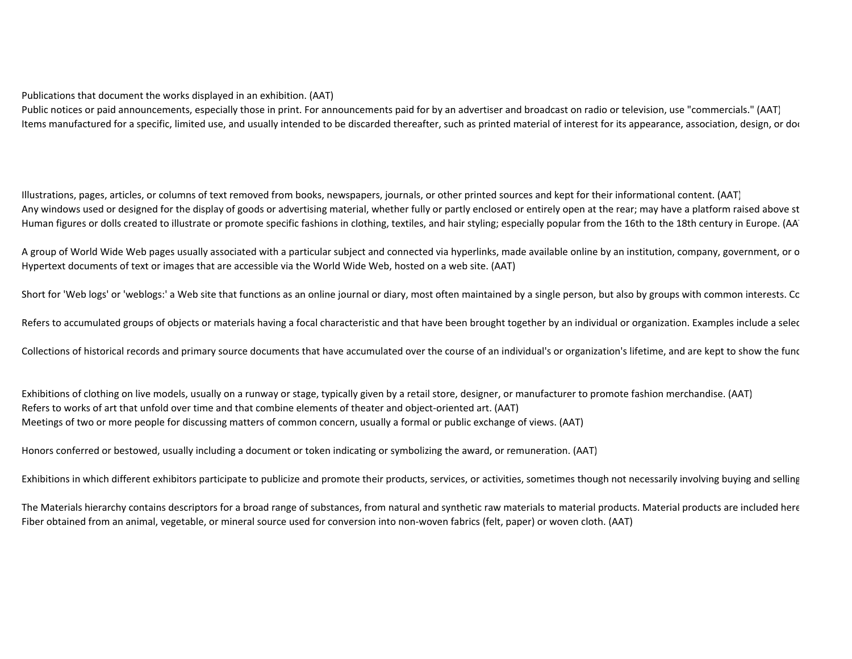Public notices or paid announcements, especially those in print. For announcements paid for by an advertiser and broadcast on radio or television, use "commercials." (AAT) Items manufactured for a specific, limited use, and usually intended to be discarded thereafter, such as printed material of interest for its appearance, association, design, or doc

Illustrations, pages, articles, or columns of text removed from books, newspapers, journals, or other printed sources and kept for their informational content. (AAT)Any windows used or designed for the display of goods or advertising material, whether fully or partly enclosed or entirely open at the rear; may have a platform raised above st Human figures or dolls created to illustrate or promote specific fashions in clothing, textiles, and hair styling; especially popular from the 16th to the 18th century in Europe. (AA

A group of World Wide Web pages usually associated with a particular subject and connected via hyperlinks, made available online by an institution, company, government, or o Hypertext documents of text or images that are accessible via the World Wide Web, hosted on a web site. (AAT)

Short for 'Web logs' or 'weblogs:' a Web site that functions as an online journal or diary, most often maintained by a single person, but also by groups with common interests. Co

Refers to accumulated groups of objects or materials having a focal characteristic and that have been brought together by an individual or organization. Examples include a selec

Collections of historical records and primary source documents that have accumulated over the course of an individual's or organization's lifetime, and are kept to show the funce

Exhibitions of clothing on live models, usually on a runway or stage, typically given by a retail store, designer, or manufacturer to promote fashion merchandise. (AAT)Refers to works of art that unfold over time and that combine elements of theater and object-oriented art. (AAT)Meetings of two or more people for discussing matters of common concern, usually a formal or public exchange of views. (AAT)

Honors conferred or bestowed, usually including a document or token indicating or symbolizing the award, or remuneration. (AAT)

Exhibitions in which different exhibitors participate to publicize and promote their products, services, or activities, sometimes though not necessarily involving buying and selling

The Materials hierarchy contains descriptors for a broad range of substances, from natural and synthetic raw materials to material products. Material products are included here Fiber obtained from an animal, vegetable, or mineral source used for conversion into non-woven fabrics (felt, paper) or woven cloth. (AAT)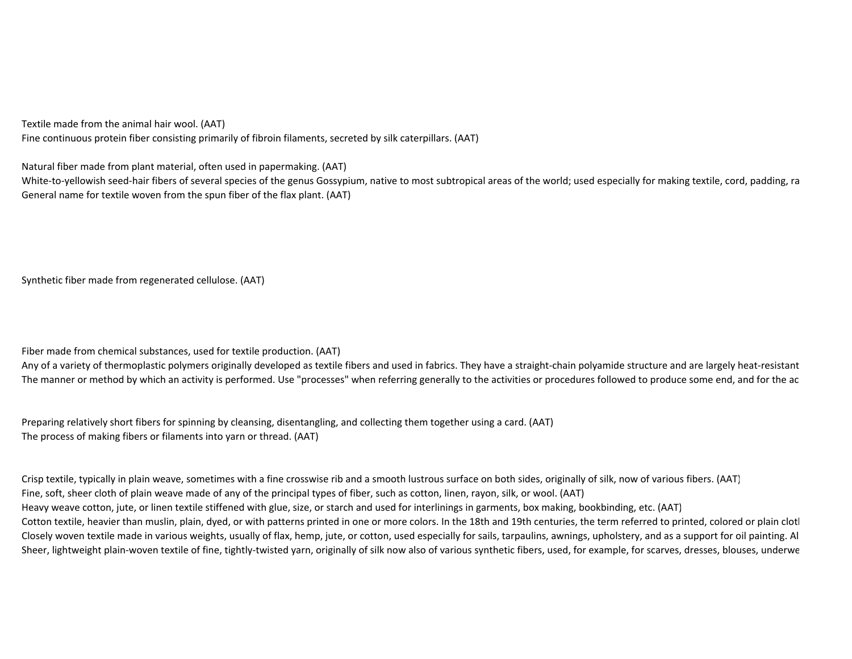Textile made from the animal hair wool. (AAT)

Fine continuous protein fiber consisting primarily of fibroin filaments, secreted by silk caterpillars. (AAT)

Natural fiber made from plant material, often used in papermaking. (AAT)

White-to-yellowish seed-hair fibers of several species of the genus Gossypium, native to most subtropical areas of the world; used especially for making textile, cord, padding, ra General name for textile woven from the spun fiber of the flax plant. (AAT)

Synthetic fiber made from regenerated cellulose. (AAT)

Fiber made from chemical substances, used for textile production. (AAT)

Any of a variety of thermoplastic polymers originally developed as textile fibers and used in fabrics. They have a straight-chain polyamide structure and are largely heat-resistant The manner or method by which an activity is performed. Use "processes" when referring generally to the activities or procedures followed to produce some end, and for the ac

Preparing relatively short fibers for spinning by cleansing, disentangling, and collecting them together using a card. (AAT)The process of making fibers or filaments into yarn or thread. (AAT)

Crisp textile, typically in plain weave, sometimes with a fine crosswise rib and a smooth lustrous surface on both sides, originally of silk, now of various fibers. (AAT)Fine, soft, sheer cloth of plain weave made of any of the principal types of fiber, such as cotton, linen, rayon, silk, or wool. (AAT)Heavy weave cotton, jute, or linen textile stiffened with glue, size, or starch and used for interlinings in garments, box making, bookbinding, etc. (AAT)Cotton textile, heavier than muslin, plain, dyed, or with patterns printed in one or more colors. In the 18th and 19th centuries, the term referred to printed, colored or plain clotl Closely woven textile made in various weights, usually of flax, hemp, jute, or cotton, used especially for sails, tarpaulins, awnings, upholstery, and as a support for oil painting. Al Sheer, lightweight plain-woven textile of fine, tightly-twisted yarn, originally of silk now also of various synthetic fibers, used, for example, for scarves, dresses, blouses, underwe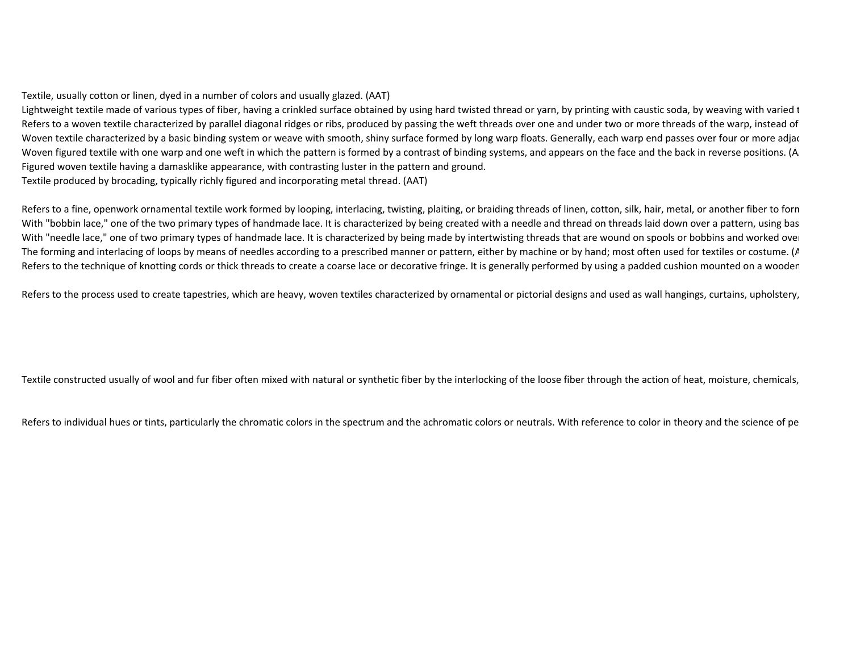Textile, usually cotton or linen, dyed in a number of colors and usually glazed. (AAT)

Lightweight textile made of various types of fiber, having a crinkled surface obtained by using hard twisted thread or yarn, by printing with caustic soda, by weaving with varied t Refers to a woven textile characterized by parallel diagonal ridges or ribs, produced by passing the weft threads over one and under two or more threads of the warp, instead of Woven textile characterized by a basic binding system or weave with smooth, shiny surface formed by long warp floats. Generally, each warp end passes over four or more adjacent picks and under the next one. (AAT) or more a Woven figured textile with one warp and one weft in which the pattern is formed by a contrast of binding systems, and appears on the face and the back in reverse positions. (A. Figured woven textile having a damasklike appearance, with contrasting luster in the pattern and ground.

Textile produced by brocading, typically richly figured and incorporating metal thread. (AAT)

Refers to a fine, openwork ornamental textile work formed by looping, interlacing, twisting, plaiting, or braiding threads of linen, cotton, silk, hair, metal, or another fiber to forn With "bobbin lace," one of the two primary types of handmade lace. It is characterized by being created with a needle and thread on threads laid down over a pattern, using bas With "needle lace," one of two primary types of handmade lace. It is characterized by being made by intertwisting threads that are wound on spools or bobbins and worked over The forming and interlacing of loops by means of needles according to a prescribed manner or pattern, either by machine or by hand; most often used for textiles or costume.  $(A)$ Refers to the technique of knotting cords or thick threads to create a coarse lace or decorative fringe. It is generally performed by using a padded cushion mounted on a wooden

Refers to the process used to create tapestries, which are heavy, woven textiles characterized by ornamental or pictorial designs and used as wall hangings, curtains, upholstery,

Textile constructed usually of wool and fur fiber often mixed with natural or synthetic fiber by the interlocking of the loose fiber through the action of heat, moisture, chemicals,

Refers to individual hues or tints, particularly the chromatic colors in the spectrum and the achromatic colors or neutrals. With reference to color in theory and the science of pe